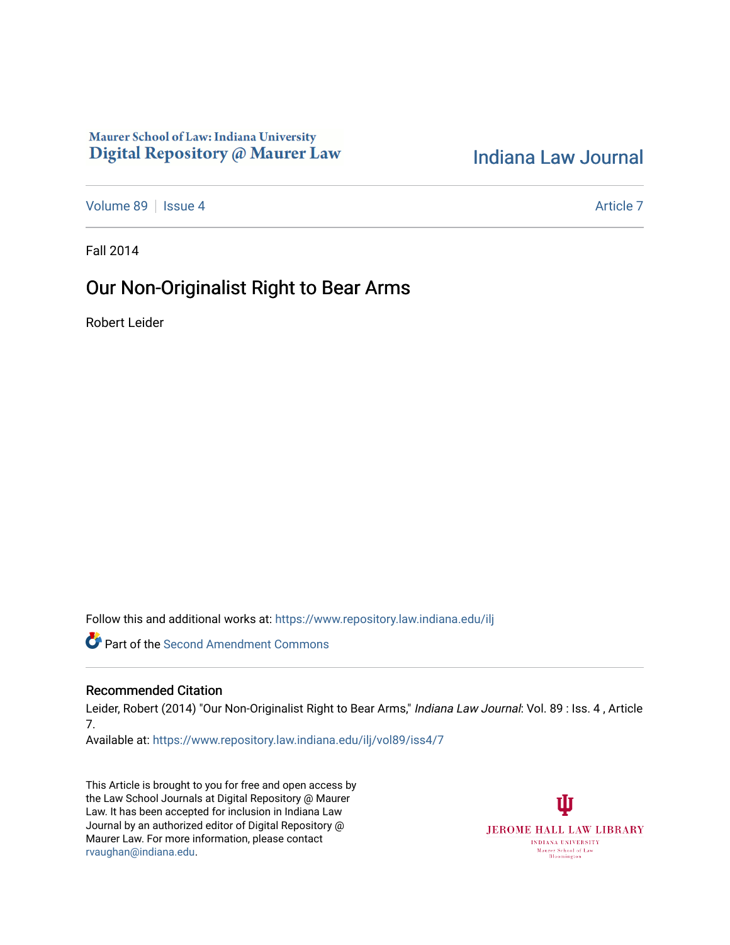## Maurer School of Law: Indiana University Digital Repository @ Maurer Law

# [Indiana Law Journal](https://www.repository.law.indiana.edu/ilj)

[Volume 89](https://www.repository.law.indiana.edu/ilj/vol89) | [Issue 4](https://www.repository.law.indiana.edu/ilj/vol89/iss4) [Article 7](https://www.repository.law.indiana.edu/ilj/vol89/iss4/7) Article 7 Article 7 Article 7 Article 7 Article 7

Fall 2014

# Our Non-Originalist Right to Bear Arms

Robert Leider

Follow this and additional works at: [https://www.repository.law.indiana.edu/ilj](https://www.repository.law.indiana.edu/ilj?utm_source=www.repository.law.indiana.edu%2Filj%2Fvol89%2Fiss4%2F7&utm_medium=PDF&utm_campaign=PDFCoverPages) 

**C** Part of the [Second Amendment Commons](http://network.bepress.com/hgg/discipline/1119?utm_source=www.repository.law.indiana.edu%2Filj%2Fvol89%2Fiss4%2F7&utm_medium=PDF&utm_campaign=PDFCoverPages)

## Recommended Citation

Leider, Robert (2014) "Our Non-Originalist Right to Bear Arms," Indiana Law Journal: Vol. 89 : Iss. 4, Article 7.

Available at: [https://www.repository.law.indiana.edu/ilj/vol89/iss4/7](https://www.repository.law.indiana.edu/ilj/vol89/iss4/7?utm_source=www.repository.law.indiana.edu%2Filj%2Fvol89%2Fiss4%2F7&utm_medium=PDF&utm_campaign=PDFCoverPages) 

This Article is brought to you for free and open access by the Law School Journals at Digital Repository @ Maurer Law. It has been accepted for inclusion in Indiana Law Journal by an authorized editor of Digital Repository @ Maurer Law. For more information, please contact [rvaughan@indiana.edu.](mailto:rvaughan@indiana.edu)

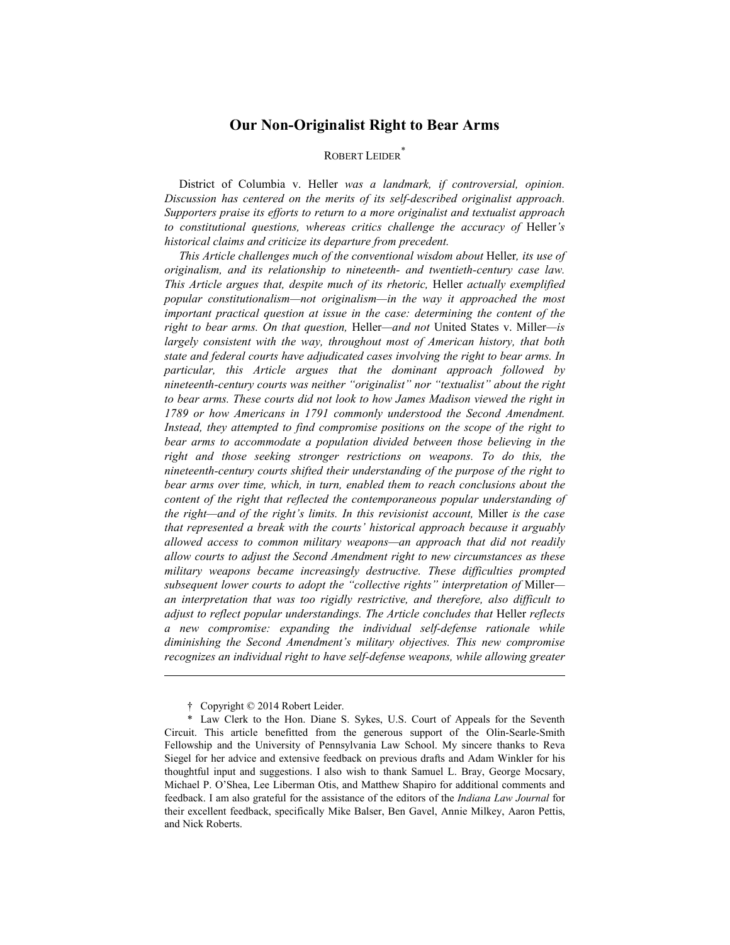## **Our Non-Originalist Right to Bear Arms**

## ROBERT LEIDER<sup>\*</sup>

District of Columbia v. Heller *was a landmark, if controversial, opinion. Discussion has centered on the merits of its self-described originalist approach. Supporters praise its efforts to return to a more originalist and textualist approach to constitutional questions, whereas critics challenge the accuracy of* Heller*'s historical claims and criticize its departure from precedent.* 

*This Article challenges much of the conventional wisdom about* Heller*, its use of originalism, and its relationship to nineteenth- and twentieth-century case law. This Article argues that, despite much of its rhetoric,* Heller *actually exemplified popular constitutionalism—not originalism—in the way it approached the most important practical question at issue in the case: determining the content of the right to bear arms. On that question,* Heller*—and not* United States v. Miller*—is largely consistent with the way, throughout most of American history, that both state and federal courts have adjudicated cases involving the right to bear arms. In particular, this Article argues that the dominant approach followed by nineteenth-century courts was neither "originalist" nor "textualist" about the right to bear arms. These courts did not look to how James Madison viewed the right in 1789 or how Americans in 1791 commonly understood the Second Amendment. Instead, they attempted to find compromise positions on the scope of the right to bear arms to accommodate a population divided between those believing in the right and those seeking stronger restrictions on weapons. To do this, the nineteenth-century courts shifted their understanding of the purpose of the right to bear arms over time, which, in turn, enabled them to reach conclusions about the content of the right that reflected the contemporaneous popular understanding of the right—and of the right's limits. In this revisionist account,* Miller *is the case that represented a break with the courts' historical approach because it arguably allowed access to common military weapons—an approach that did not readily allow courts to adjust the Second Amendment right to new circumstances as these military weapons became increasingly destructive. These difficulties prompted subsequent lower courts to adopt the "collective rights" interpretation of* Miller *an interpretation that was too rigidly restrictive, and therefore, also difficult to adjust to reflect popular understandings. The Article concludes that* Heller *reflects a new compromise: expanding the individual self-defense rationale while diminishing the Second Amendment's military objectives. This new compromise recognizes an individual right to have self-defense weapons, while allowing greater* 

 <sup>†</sup> Copyright © 2014 Robert Leider.

 <sup>\*</sup> Law Clerk to the Hon. Diane S. Sykes, U.S. Court of Appeals for the Seventh Circuit. This article benefitted from the generous support of the Olin-Searle-Smith Fellowship and the University of Pennsylvania Law School. My sincere thanks to Reva Siegel for her advice and extensive feedback on previous drafts and Adam Winkler for his thoughtful input and suggestions. I also wish to thank Samuel L. Bray, George Mocsary, Michael P. O'Shea, Lee Liberman Otis, and Matthew Shapiro for additional comments and feedback. I am also grateful for the assistance of the editors of the *Indiana Law Journal* for their excellent feedback, specifically Mike Balser, Ben Gavel, Annie Milkey, Aaron Pettis, and Nick Roberts.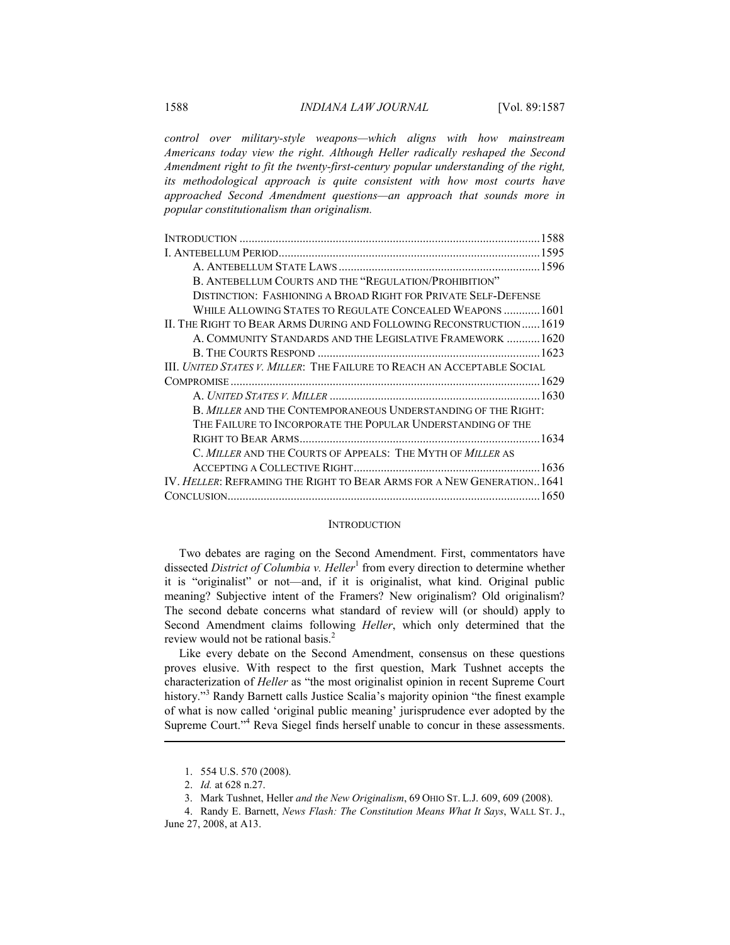*control over military-style weapons—which aligns with how mainstream Americans today view the right. Although Heller radically reshaped the Second Amendment right to fit the twenty-first-century popular understanding of the right, its methodological approach is quite consistent with how most courts have approached Second Amendment questions—an approach that sounds more in popular constitutionalism than originalism.* 

| B. ANTEBELLUM COURTS AND THE "REGULATION/PROHIBITION"                          |  |
|--------------------------------------------------------------------------------|--|
| DISTINCTION: FASHIONING A BROAD RIGHT FOR PRIVATE SELF-DEFENSE                 |  |
| WHILE ALLOWING STATES TO REGULATE CONCEALED WEAPONS 1601                       |  |
| II. THE RIGHT TO BEAR ARMS DURING AND FOLLOWING RECONSTRUCTION1619             |  |
| A. COMMUNITY STANDARDS AND THE LEGISLATIVE FRAMEWORK 1620                      |  |
|                                                                                |  |
| <b>III.</b> United States v. Miller: The Failure to Reach an Acceptable Social |  |
|                                                                                |  |
|                                                                                |  |
| B. MILLER AND THE CONTEMPORANEOUS UNDERSTANDING OF THE RIGHT:                  |  |
| THE FAILURE TO INCORPORATE THE POPULAR UNDERSTANDING OF THE                    |  |
|                                                                                |  |
| C. MILLER AND THE COURTS OF APPEALS: THE MYTH OF MILLER AS                     |  |
|                                                                                |  |
| IV. <i>Heller:</i> Reframing the Right to Bear Arms for a New Generation. 1641 |  |
|                                                                                |  |
|                                                                                |  |

#### **INTRODUCTION**

Two debates are raging on the Second Amendment. First, commentators have dissected *District of Columbia v. Heller*<sup>1</sup> from every direction to determine whether it is "originalist" or not—and, if it is originalist, what kind. Original public meaning? Subjective intent of the Framers? New originalism? Old originalism? The second debate concerns what standard of review will (or should) apply to Second Amendment claims following *Heller*, which only determined that the review would not be rational basis.<sup>2</sup>

Like every debate on the Second Amendment, consensus on these questions proves elusive. With respect to the first question, Mark Tushnet accepts the characterization of *Heller* as "the most originalist opinion in recent Supreme Court history."<sup>3</sup> Randy Barnett calls Justice Scalia's majority opinion "the finest example of what is now called 'original public meaning' jurisprudence ever adopted by the Supreme Court."<sup>4</sup> Reva Siegel finds herself unable to concur in these assessments.

 <sup>1. 554</sup> U.S. 570 (2008).

 <sup>2.</sup> *Id.* at 628 n.27.

 <sup>3.</sup> Mark Tushnet, Heller *and the New Originalism*, 69 OHIO ST. L.J. 609, 609 (2008).

 <sup>4.</sup> Randy E. Barnett, *News Flash: The Constitution Means What It Says*, WALL ST. J., June 27, 2008, at A13.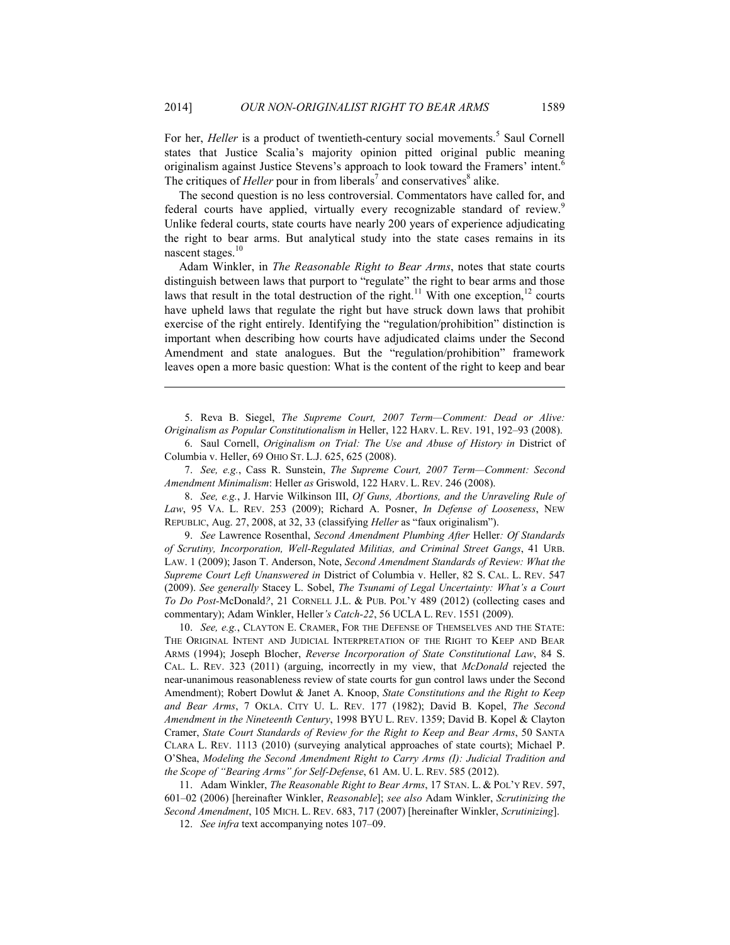For her, *Heller* is a product of twentieth-century social movements.<sup>5</sup> Saul Cornell states that Justice Scalia's majority opinion pitted original public meaning originalism against Justice Stevens's approach to look toward the Framers' intent.<sup>6</sup> The critiques of *Heller* pour in from liberals<sup>7</sup> and conservatives<sup>8</sup> alike.

The second question is no less controversial. Commentators have called for, and federal courts have applied, virtually every recognizable standard of review.<sup>9</sup> Unlike federal courts, state courts have nearly 200 years of experience adjudicating the right to bear arms. But analytical study into the state cases remains in its nascent stages. $10$ 

Adam Winkler, in *The Reasonable Right to Bear Arms*, notes that state courts distinguish between laws that purport to "regulate" the right to bear arms and those laws that result in the total destruction of the right.<sup>11</sup> With one exception,<sup>12</sup> courts have upheld laws that regulate the right but have struck down laws that prohibit exercise of the right entirely. Identifying the "regulation/prohibition" distinction is important when describing how courts have adjudicated claims under the Second Amendment and state analogues. But the "regulation/prohibition" framework leaves open a more basic question: What is the content of the right to keep and bear

 5. Reva B. Siegel, *The Supreme Court, 2007 Term—Comment: Dead or Alive: Originalism as Popular Constitutionalism in* Heller, 122 HARV. L. REV. 191, 192–93 (2008).

 6. Saul Cornell, *Originalism on Trial: The Use and Abuse of History in* District of Columbia v. Heller, 69 OHIO ST. L.J. 625, 625 (2008).

 7. *See, e.g.*, Cass R. Sunstein, *The Supreme Court, 2007 Term—Comment: Second Amendment Minimalism*: Heller *as* Griswold, 122 HARV. L. REV. 246 (2008).

 8. *See, e.g.*, J. Harvie Wilkinson III, *Of Guns, Abortions, and the Unraveling Rule of Law*, 95 VA. L. REV. 253 (2009); Richard A. Posner, *In Defense of Looseness*, NEW REPUBLIC, Aug. 27, 2008, at 32, 33 (classifying *Heller* as "faux originalism").

 9. *See* Lawrence Rosenthal, *Second Amendment Plumbing After* Heller*: Of Standards of Scrutiny, Incorporation, Well-Regulated Militias, and Criminal Street Gangs*, 41 URB. LAW. 1 (2009); Jason T. Anderson, Note, *Second Amendment Standards of Review: What the Supreme Court Left Unanswered in* District of Columbia v. Heller, 82 S. CAL. L. REV. 547 (2009). *See generally* Stacey L. Sobel, *The Tsunami of Legal Uncertainty: What's a Court To Do Post-*McDonald*?*, 21 CORNELL J.L. & PUB. POL'Y 489 (2012) (collecting cases and commentary); Adam Winkler, Heller*'s Catch-22*, 56 UCLA L. REV. 1551 (2009).

 10. *See, e.g.*, CLAYTON E. CRAMER, FOR THE DEFENSE OF THEMSELVES AND THE STATE: THE ORIGINAL INTENT AND JUDICIAL INTERPRETATION OF THE RIGHT TO KEEP AND BEAR ARMS (1994); Joseph Blocher, *Reverse Incorporation of State Constitutional Law*, 84 S. CAL. L. REV. 323 (2011) (arguing, incorrectly in my view, that *McDonald* rejected the near-unanimous reasonableness review of state courts for gun control laws under the Second Amendment); Robert Dowlut & Janet A. Knoop, *State Constitutions and the Right to Keep and Bear Arms*, 7 OKLA. CITY U. L. REV. 177 (1982); David B. Kopel, *The Second Amendment in the Nineteenth Century*, 1998 BYU L. REV. 1359; David B. Kopel & Clayton Cramer, *State Court Standards of Review for the Right to Keep and Bear Arms*, 50 SANTA CLARA L. REV. 1113 (2010) (surveying analytical approaches of state courts); Michael P. O'Shea, *Modeling the Second Amendment Right to Carry Arms (I): Judicial Tradition and the Scope of "Bearing Arms" for Self-Defense*, 61 AM. U. L. REV. 585 (2012).

 11. Adam Winkler, *The Reasonable Right to Bear Arms*, 17 STAN. L. & POL'Y REV. 597, 601–02 (2006) [hereinafter Winkler, *Reasonable*]; *see also* Adam Winkler, *Scrutinizing the Second Amendment*, 105 MICH. L. REV. 683, 717 (2007) [hereinafter Winkler, *Scrutinizing*].

12. *See infra* text accompanying notes 107–09.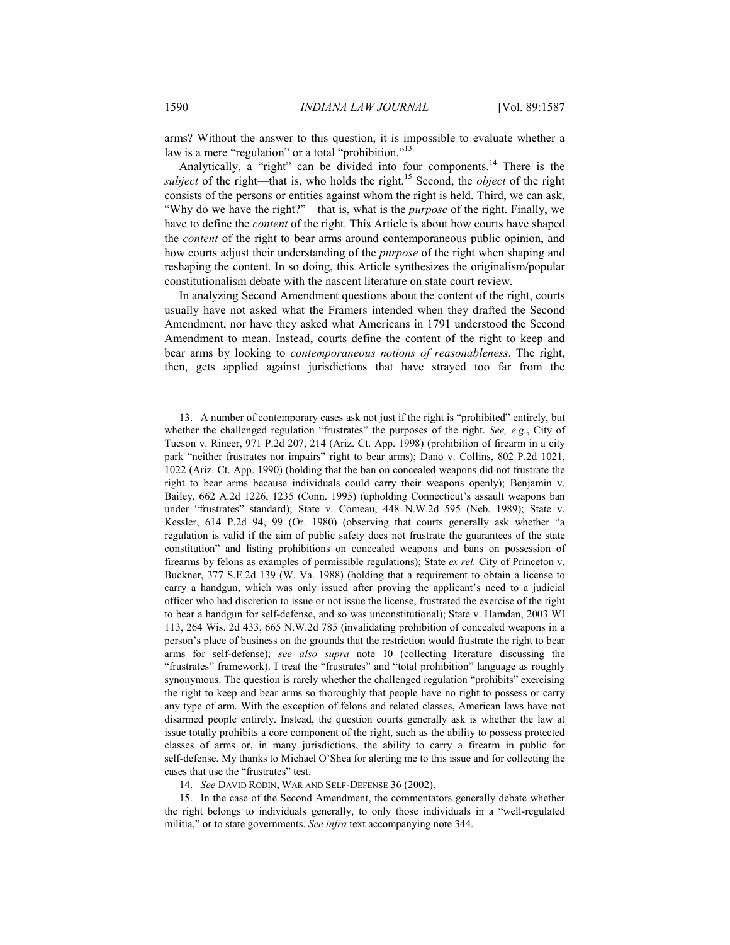arms? Without the answer to this question, it is impossible to evaluate whether a law is a mere "regulation" or a total "prohibition."<sup>13</sup>

Analytically, a "right" can be divided into four components.<sup>14</sup> There is the *subject* of the right—that is, who holds the right.<sup>15</sup> Second, the *object* of the right consists of the persons or entities against whom the right is held. Third, we can ask, "Why do we have the right?"—that is, what is the *purpose* of the right. Finally, we have to define the *content* of the right. This Article is about how courts have shaped the *content* of the right to bear arms around contemporaneous public opinion, and how courts adjust their understanding of the *purpose* of the right when shaping and reshaping the content. In so doing, this Article synthesizes the originalism/popular constitutionalism debate with the nascent literature on state court review.

In analyzing Second Amendment questions about the content of the right, courts usually have not asked what the Framers intended when they drafted the Second Amendment, nor have they asked what Americans in 1791 understood the Second Amendment to mean. Instead, courts define the content of the right to keep and bear arms by looking to *contemporaneous notions of reasonableness*. The right, then, gets applied against jurisdictions that have strayed too far from the

14. *See* DAVID RODIN, WAR AND SELF-DEFENSE 36 (2002).

 15. In the case of the Second Amendment, the commentators generally debate whether the right belongs to individuals generally, to only those individuals in a "well-regulated militia," or to state governments. *See infra* text accompanying note 344.

 <sup>13.</sup> A number of contemporary cases ask not just if the right is "prohibited" entirely, but whether the challenged regulation "frustrates" the purposes of the right. *See, e.g.*, City of Tucson v. Rineer, 971 P.2d 207, 214 (Ariz. Ct. App. 1998) (prohibition of firearm in a city park "neither frustrates nor impairs" right to bear arms); Dano v. Collins, 802 P.2d 1021, 1022 (Ariz. Ct. App. 1990) (holding that the ban on concealed weapons did not frustrate the right to bear arms because individuals could carry their weapons openly); Benjamin v. Bailey, 662 A.2d 1226, 1235 (Conn. 1995) (upholding Connecticut's assault weapons ban under "frustrates" standard); State v. Comeau, 448 N.W.2d 595 (Neb. 1989); State v. Kessler, 614 P.2d 94, 99 (Or. 1980) (observing that courts generally ask whether "a regulation is valid if the aim of public safety does not frustrate the guarantees of the state constitution" and listing prohibitions on concealed weapons and bans on possession of firearms by felons as examples of permissible regulations); State *ex rel.* City of Princeton v. Buckner, 377 S.E.2d 139 (W. Va. 1988) (holding that a requirement to obtain a license to carry a handgun, which was only issued after proving the applicant's need to a judicial officer who had discretion to issue or not issue the license, frustrated the exercise of the right to bear a handgun for self-defense, and so was unconstitutional); State v. Hamdan, 2003 WI 113, 264 Wis. 2d 433, 665 N.W.2d 785 (invalidating prohibition of concealed weapons in a person's place of business on the grounds that the restriction would frustrate the right to bear arms for self-defense); *see also supra* note 10 (collecting literature discussing the "frustrates" framework). I treat the "frustrates" and "total prohibition" language as roughly synonymous. The question is rarely whether the challenged regulation "prohibits" exercising the right to keep and bear arms so thoroughly that people have no right to possess or carry any type of arm. With the exception of felons and related classes, American laws have not disarmed people entirely. Instead, the question courts generally ask is whether the law at issue totally prohibits a core component of the right, such as the ability to possess protected classes of arms or, in many jurisdictions, the ability to carry a firearm in public for self-defense. My thanks to Michael O'Shea for alerting me to this issue and for collecting the cases that use the "frustrates" test.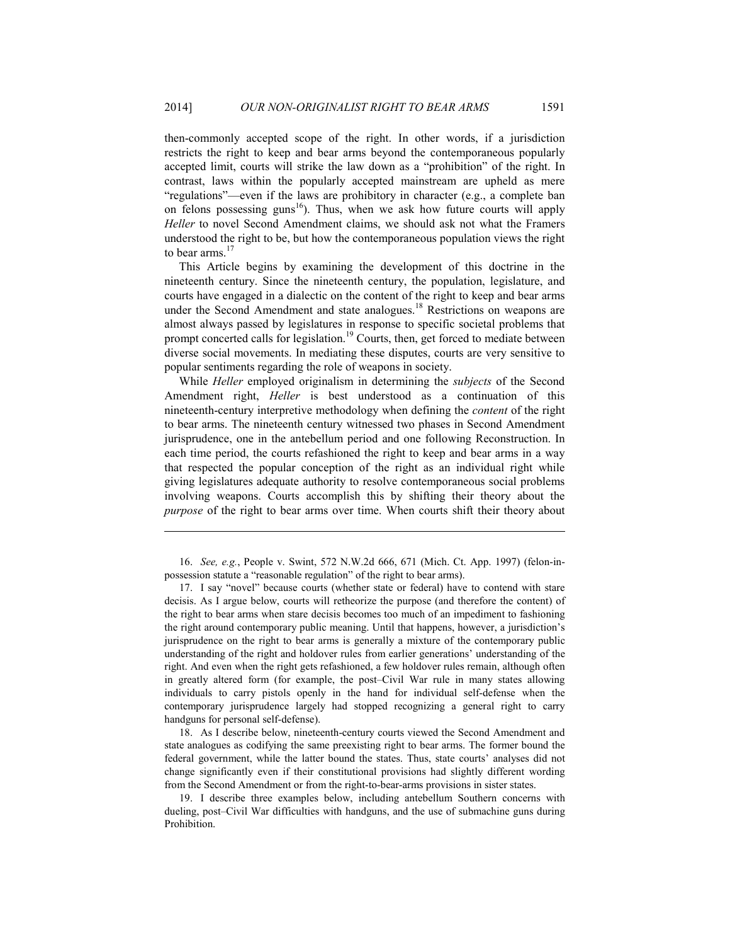then-commonly accepted scope of the right. In other words, if a jurisdiction restricts the right to keep and bear arms beyond the contemporaneous popularly accepted limit, courts will strike the law down as a "prohibition" of the right. In contrast, laws within the popularly accepted mainstream are upheld as mere "regulations"—even if the laws are prohibitory in character (e.g., a complete ban on felons possessing guns<sup>16</sup>). Thus, when we ask how future courts will apply *Heller* to novel Second Amendment claims, we should ask not what the Framers understood the right to be, but how the contemporaneous population views the right to bear arms. $17$ 

This Article begins by examining the development of this doctrine in the nineteenth century. Since the nineteenth century, the population, legislature, and courts have engaged in a dialectic on the content of the right to keep and bear arms under the Second Amendment and state analogues.<sup>18</sup> Restrictions on weapons are almost always passed by legislatures in response to specific societal problems that prompt concerted calls for legislation.<sup>19</sup> Courts, then, get forced to mediate between diverse social movements. In mediating these disputes, courts are very sensitive to popular sentiments regarding the role of weapons in society.

While *Heller* employed originalism in determining the *subjects* of the Second Amendment right, *Heller* is best understood as a continuation of this nineteenth-century interpretive methodology when defining the *content* of the right to bear arms. The nineteenth century witnessed two phases in Second Amendment jurisprudence, one in the antebellum period and one following Reconstruction. In each time period, the courts refashioned the right to keep and bear arms in a way that respected the popular conception of the right as an individual right while giving legislatures adequate authority to resolve contemporaneous social problems involving weapons. Courts accomplish this by shifting their theory about the *purpose* of the right to bear arms over time. When courts shift their theory about

 16. *See, e.g.*, People v. Swint, 572 N.W.2d 666, 671 (Mich. Ct. App. 1997) (felon-inpossession statute a "reasonable regulation" of the right to bear arms).

1

 17. I say "novel" because courts (whether state or federal) have to contend with stare decisis. As I argue below, courts will retheorize the purpose (and therefore the content) of the right to bear arms when stare decisis becomes too much of an impediment to fashioning the right around contemporary public meaning. Until that happens, however, a jurisdiction's jurisprudence on the right to bear arms is generally a mixture of the contemporary public understanding of the right and holdover rules from earlier generations' understanding of the right. And even when the right gets refashioned, a few holdover rules remain, although often in greatly altered form (for example, the post–Civil War rule in many states allowing individuals to carry pistols openly in the hand for individual self-defense when the contemporary jurisprudence largely had stopped recognizing a general right to carry handguns for personal self-defense).

 18. As I describe below, nineteenth-century courts viewed the Second Amendment and state analogues as codifying the same preexisting right to bear arms. The former bound the federal government, while the latter bound the states. Thus, state courts' analyses did not change significantly even if their constitutional provisions had slightly different wording from the Second Amendment or from the right-to-bear-arms provisions in sister states.

 19. I describe three examples below, including antebellum Southern concerns with dueling, post–Civil War difficulties with handguns, and the use of submachine guns during Prohibition.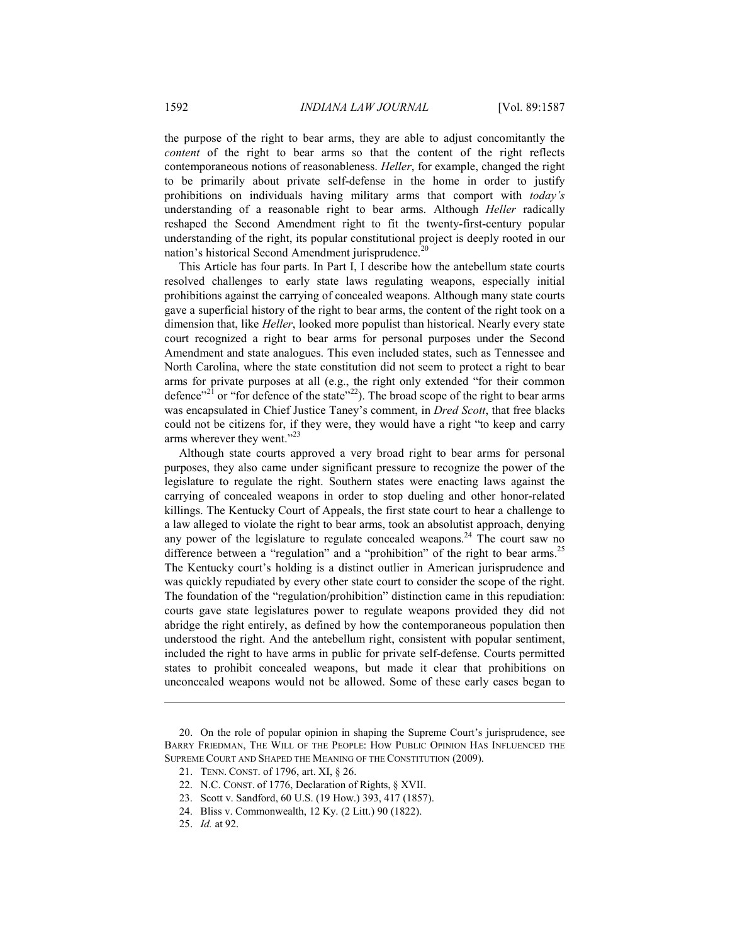the purpose of the right to bear arms, they are able to adjust concomitantly the *content* of the right to bear arms so that the content of the right reflects contemporaneous notions of reasonableness. *Heller*, for example, changed the right to be primarily about private self-defense in the home in order to justify prohibitions on individuals having military arms that comport with *today's*  understanding of a reasonable right to bear arms. Although *Heller* radically reshaped the Second Amendment right to fit the twenty-first-century popular understanding of the right, its popular constitutional project is deeply rooted in our nation's historical Second Amendment jurisprudence.<sup>20</sup>

This Article has four parts. In Part I, I describe how the antebellum state courts resolved challenges to early state laws regulating weapons, especially initial prohibitions against the carrying of concealed weapons. Although many state courts gave a superficial history of the right to bear arms, the content of the right took on a dimension that, like *Heller*, looked more populist than historical. Nearly every state court recognized a right to bear arms for personal purposes under the Second Amendment and state analogues. This even included states, such as Tennessee and North Carolina, where the state constitution did not seem to protect a right to bear arms for private purposes at all (e.g., the right only extended "for their common defence"<sup>21</sup> or "for defence of the state"<sup>22</sup>). The broad scope of the right to bear arms was encapsulated in Chief Justice Taney's comment, in *Dred Scott*, that free blacks could not be citizens for, if they were, they would have a right "to keep and carry arms wherever they went."<sup>23</sup>

Although state courts approved a very broad right to bear arms for personal purposes, they also came under significant pressure to recognize the power of the legislature to regulate the right. Southern states were enacting laws against the carrying of concealed weapons in order to stop dueling and other honor-related killings. The Kentucky Court of Appeals, the first state court to hear a challenge to a law alleged to violate the right to bear arms, took an absolutist approach, denying any power of the legislature to regulate concealed weapons.<sup>24</sup> The court saw no difference between a "regulation" and a "prohibition" of the right to bear arms.<sup>25</sup> The Kentucky court's holding is a distinct outlier in American jurisprudence and was quickly repudiated by every other state court to consider the scope of the right. The foundation of the "regulation/prohibition" distinction came in this repudiation: courts gave state legislatures power to regulate weapons provided they did not abridge the right entirely, as defined by how the contemporaneous population then understood the right. And the antebellum right, consistent with popular sentiment, included the right to have arms in public for private self-defense. Courts permitted states to prohibit concealed weapons, but made it clear that prohibitions on unconcealed weapons would not be allowed. Some of these early cases began to

 <sup>20.</sup> On the role of popular opinion in shaping the Supreme Court's jurisprudence, see BARRY FRIEDMAN, THE WILL OF THE PEOPLE: HOW PUBLIC OPINION HAS INFLUENCED THE SUPREME COURT AND SHAPED THE MEANING OF THE CONSTITUTION (2009).

 <sup>21.</sup> TENN. CONST. of 1796, art. XI, § 26.

 <sup>22.</sup> N.C. CONST. of 1776, Declaration of Rights, § XVII.

 <sup>23.</sup> Scott v. Sandford, 60 U.S. (19 How.) 393, 417 (1857).

 <sup>24.</sup> Bliss v. Commonwealth, 12 Ky. (2 Litt.) 90 (1822).

 <sup>25.</sup> *Id.* at 92.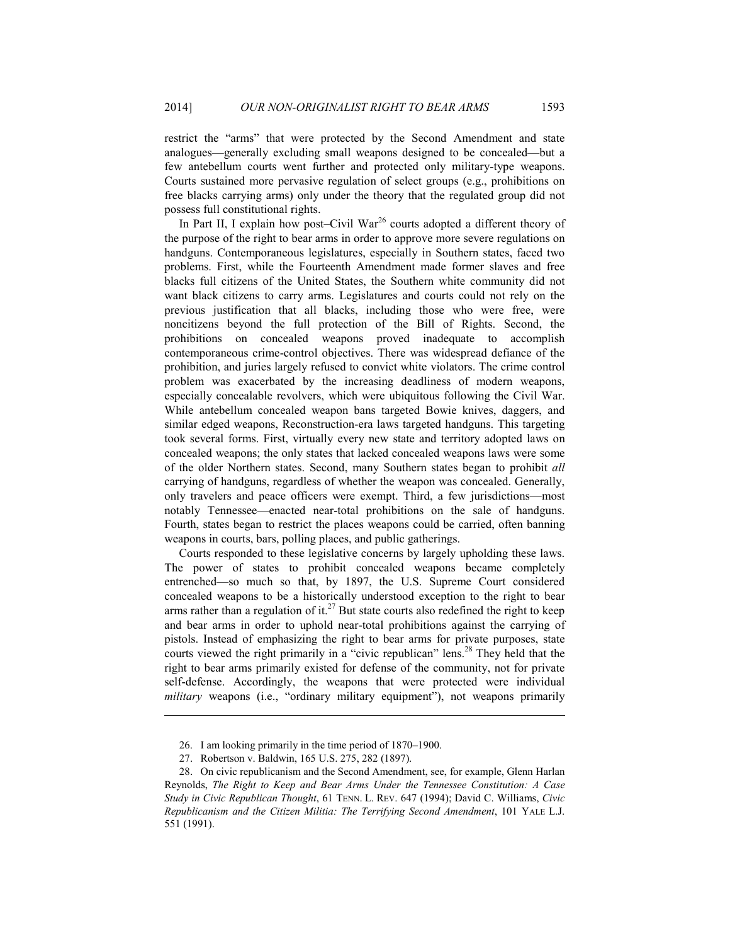restrict the "arms" that were protected by the Second Amendment and state analogues—generally excluding small weapons designed to be concealed—but a few antebellum courts went further and protected only military-type weapons. Courts sustained more pervasive regulation of select groups (e.g., prohibitions on free blacks carrying arms) only under the theory that the regulated group did not possess full constitutional rights.

In Part II, I explain how post–Civil War<sup>26</sup> courts adopted a different theory of the purpose of the right to bear arms in order to approve more severe regulations on handguns. Contemporaneous legislatures, especially in Southern states, faced two problems. First, while the Fourteenth Amendment made former slaves and free blacks full citizens of the United States, the Southern white community did not want black citizens to carry arms. Legislatures and courts could not rely on the previous justification that all blacks, including those who were free, were noncitizens beyond the full protection of the Bill of Rights. Second, the prohibitions on concealed weapons proved inadequate to accomplish contemporaneous crime-control objectives. There was widespread defiance of the prohibition, and juries largely refused to convict white violators. The crime control problem was exacerbated by the increasing deadliness of modern weapons, especially concealable revolvers, which were ubiquitous following the Civil War. While antebellum concealed weapon bans targeted Bowie knives, daggers, and similar edged weapons, Reconstruction-era laws targeted handguns. This targeting took several forms. First, virtually every new state and territory adopted laws on concealed weapons; the only states that lacked concealed weapons laws were some of the older Northern states. Second, many Southern states began to prohibit *all* carrying of handguns, regardless of whether the weapon was concealed. Generally, only travelers and peace officers were exempt. Third, a few jurisdictions—most notably Tennessee—enacted near-total prohibitions on the sale of handguns. Fourth, states began to restrict the places weapons could be carried, often banning weapons in courts, bars, polling places, and public gatherings.

Courts responded to these legislative concerns by largely upholding these laws. The power of states to prohibit concealed weapons became completely entrenched—so much so that, by 1897, the U.S. Supreme Court considered concealed weapons to be a historically understood exception to the right to bear arms rather than a regulation of it.<sup>27</sup> But state courts also redefined the right to keep and bear arms in order to uphold near-total prohibitions against the carrying of pistols. Instead of emphasizing the right to bear arms for private purposes, state courts viewed the right primarily in a "civic republican" lens.<sup>28</sup> They held that the right to bear arms primarily existed for defense of the community, not for private self-defense. Accordingly, the weapons that were protected were individual *military* weapons (i.e., "ordinary military equipment"), not weapons primarily

 <sup>26.</sup> I am looking primarily in the time period of 1870–1900.

 <sup>27.</sup> Robertson v. Baldwin, 165 U.S. 275, 282 (1897).

 <sup>28.</sup> On civic republicanism and the Second Amendment, see, for example, Glenn Harlan Reynolds, *The Right to Keep and Bear Arms Under the Tennessee Constitution: A Case Study in Civic Republican Thought*, 61 TENN. L. REV. 647 (1994); David C. Williams, *Civic Republicanism and the Citizen Militia: The Terrifying Second Amendment*, 101 YALE L.J. 551 (1991).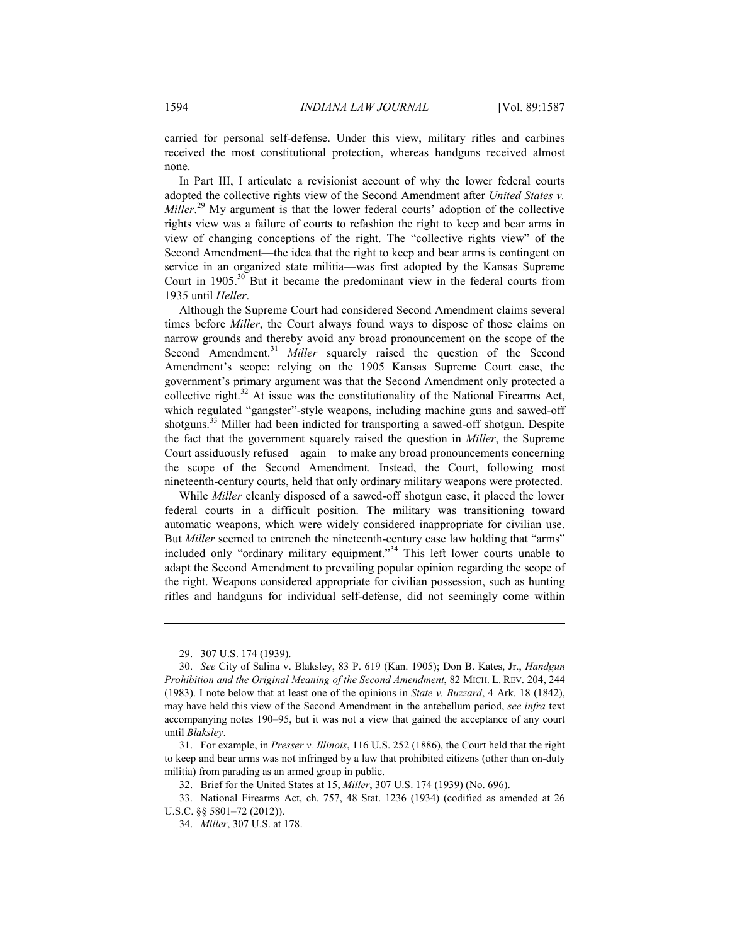carried for personal self-defense. Under this view, military rifles and carbines received the most constitutional protection, whereas handguns received almost none.

In Part III, I articulate a revisionist account of why the lower federal courts adopted the collective rights view of the Second Amendment after *United States v. Miller*. 29 My argument is that the lower federal courts' adoption of the collective rights view was a failure of courts to refashion the right to keep and bear arms in view of changing conceptions of the right. The "collective rights view" of the Second Amendment—the idea that the right to keep and bear arms is contingent on service in an organized state militia—was first adopted by the Kansas Supreme Court in  $1905$ <sup>30</sup> But it became the predominant view in the federal courts from 1935 until *Heller*.

Although the Supreme Court had considered Second Amendment claims several times before *Miller*, the Court always found ways to dispose of those claims on narrow grounds and thereby avoid any broad pronouncement on the scope of the Second Amendment.<sup>31</sup> *Miller* squarely raised the question of the Second Amendment's scope: relying on the 1905 Kansas Supreme Court case, the government's primary argument was that the Second Amendment only protected a collective right. $32$  At issue was the constitutionality of the National Firearms Act, which regulated "gangster"-style weapons, including machine guns and sawed-off shotguns.<sup>33</sup> Miller had been indicted for transporting a sawed-off shotgun. Despite the fact that the government squarely raised the question in *Miller*, the Supreme Court assiduously refused—again—to make any broad pronouncements concerning the scope of the Second Amendment. Instead, the Court, following most nineteenth-century courts, held that only ordinary military weapons were protected.

While *Miller* cleanly disposed of a sawed-off shotgun case, it placed the lower federal courts in a difficult position. The military was transitioning toward automatic weapons, which were widely considered inappropriate for civilian use. But *Miller* seemed to entrench the nineteenth-century case law holding that "arms" included only "ordinary military equipment."34 This left lower courts unable to adapt the Second Amendment to prevailing popular opinion regarding the scope of the right. Weapons considered appropriate for civilian possession, such as hunting rifles and handguns for individual self-defense, did not seemingly come within

 <sup>29. 307</sup> U.S. 174 (1939).

 <sup>30.</sup> *See* City of Salina v. Blaksley, 83 P. 619 (Kan. 1905); Don B. Kates, Jr., *Handgun Prohibition and the Original Meaning of the Second Amendment*, 82 MICH. L. REV. 204, 244 (1983). I note below that at least one of the opinions in *State v. Buzzard*, 4 Ark. 18 (1842), may have held this view of the Second Amendment in the antebellum period, *see infra* text accompanying notes 190–95, but it was not a view that gained the acceptance of any court until *Blaksley*.

 <sup>31.</sup> For example, in *Presser v. Illinois*, 116 U.S. 252 (1886), the Court held that the right to keep and bear arms was not infringed by a law that prohibited citizens (other than on-duty militia) from parading as an armed group in public.

 <sup>32.</sup> Brief for the United States at 15, *Miller*, 307 U.S. 174 (1939) (No. 696).

 <sup>33.</sup> National Firearms Act, ch. 757, 48 Stat. 1236 (1934) (codified as amended at 26 U.S.C. §§ 5801–72 (2012)).

 <sup>34.</sup> *Miller*, 307 U.S. at 178.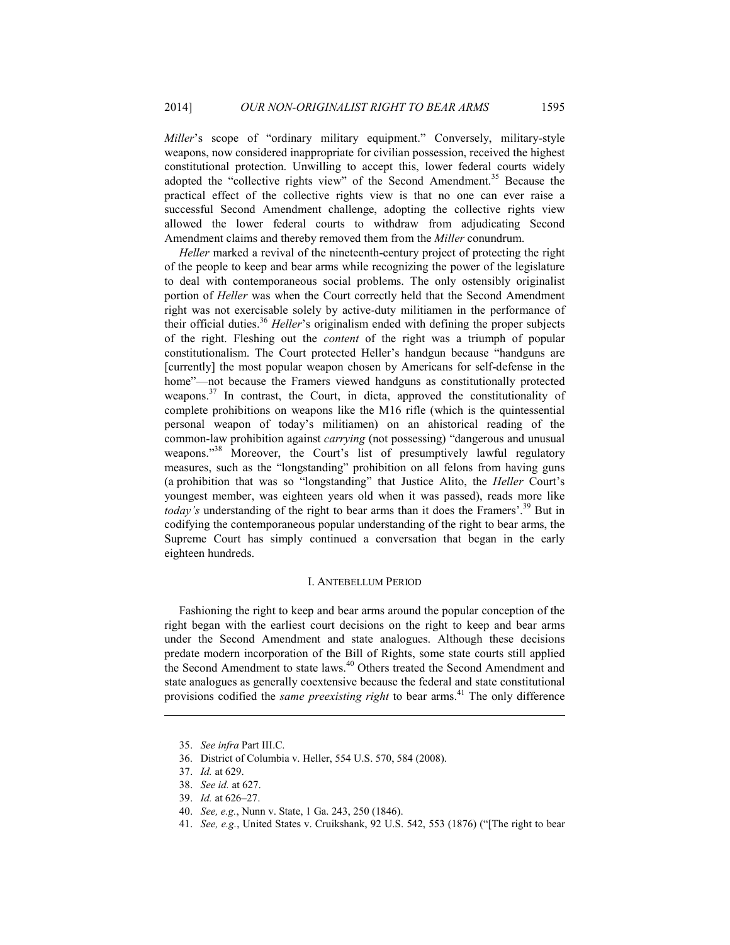*Miller*'s scope of "ordinary military equipment." Conversely, military-style weapons, now considered inappropriate for civilian possession, received the highest constitutional protection. Unwilling to accept this, lower federal courts widely adopted the "collective rights view" of the Second Amendment.<sup>35</sup> Because the practical effect of the collective rights view is that no one can ever raise a successful Second Amendment challenge, adopting the collective rights view allowed the lower federal courts to withdraw from adjudicating Second Amendment claims and thereby removed them from the *Miller* conundrum.

*Heller* marked a revival of the nineteenth-century project of protecting the right of the people to keep and bear arms while recognizing the power of the legislature to deal with contemporaneous social problems. The only ostensibly originalist portion of *Heller* was when the Court correctly held that the Second Amendment right was not exercisable solely by active-duty militiamen in the performance of their official duties.<sup>36</sup> *Heller*'s originalism ended with defining the proper subjects of the right. Fleshing out the *content* of the right was a triumph of popular constitutionalism. The Court protected Heller's handgun because "handguns are [currently] the most popular weapon chosen by Americans for self-defense in the home"—not because the Framers viewed handguns as constitutionally protected weapons.<sup>37</sup> In contrast, the Court, in dicta, approved the constitutionality of complete prohibitions on weapons like the M16 rifle (which is the quintessential personal weapon of today's militiamen) on an ahistorical reading of the common-law prohibition against *carrying* (not possessing) "dangerous and unusual weapons."<sup>38</sup> Moreover, the Court's list of presumptively lawful regulatory measures, such as the "longstanding" prohibition on all felons from having guns (a prohibition that was so "longstanding" that Justice Alito, the *Heller* Court's youngest member, was eighteen years old when it was passed), reads more like *today's* understanding of the right to bear arms than it does the Framers'.<sup>39</sup> But in codifying the contemporaneous popular understanding of the right to bear arms, the Supreme Court has simply continued a conversation that began in the early eighteen hundreds.

#### I. ANTEBELLUM PERIOD

Fashioning the right to keep and bear arms around the popular conception of the right began with the earliest court decisions on the right to keep and bear arms under the Second Amendment and state analogues. Although these decisions predate modern incorporation of the Bill of Rights, some state courts still applied the Second Amendment to state laws.<sup>40</sup> Others treated the Second Amendment and state analogues as generally coextensive because the federal and state constitutional provisions codified the *same preexisting right* to bear arms.41 The only difference

 <sup>35.</sup> *See infra* Part III.C.

 <sup>36.</sup> District of Columbia v. Heller, 554 U.S. 570, 584 (2008).

 <sup>37.</sup> *Id.* at 629.

 <sup>38.</sup> *See id.* at 627.

 <sup>39.</sup> *Id.* at 626–27.

 <sup>40.</sup> *See, e.g.*, Nunn v. State, 1 Ga. 243, 250 (1846).

 <sup>41.</sup> *See, e.g.*, United States v. Cruikshank, 92 U.S. 542, 553 (1876) ("[The right to bear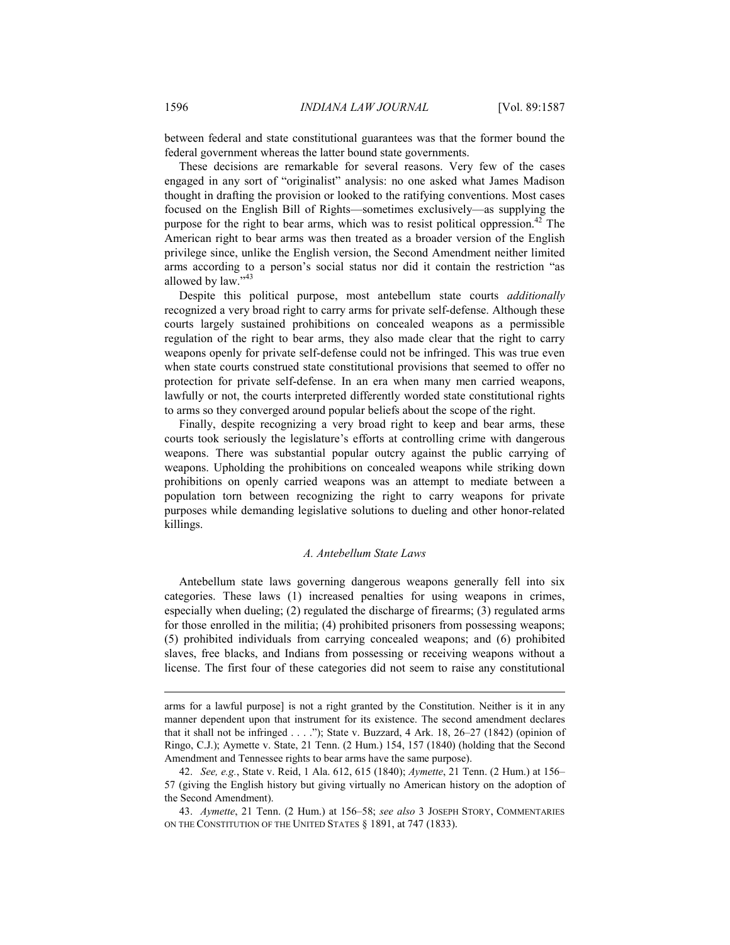between federal and state constitutional guarantees was that the former bound the federal government whereas the latter bound state governments.

These decisions are remarkable for several reasons. Very few of the cases engaged in any sort of "originalist" analysis: no one asked what James Madison thought in drafting the provision or looked to the ratifying conventions. Most cases focused on the English Bill of Rights—sometimes exclusively—as supplying the purpose for the right to bear arms, which was to resist political oppression.<sup>42</sup> The American right to bear arms was then treated as a broader version of the English privilege since, unlike the English version, the Second Amendment neither limited arms according to a person's social status nor did it contain the restriction "as allowed by law."<sup>43</sup>

Despite this political purpose, most antebellum state courts *additionally* recognized a very broad right to carry arms for private self-defense. Although these courts largely sustained prohibitions on concealed weapons as a permissible regulation of the right to bear arms, they also made clear that the right to carry weapons openly for private self-defense could not be infringed. This was true even when state courts construed state constitutional provisions that seemed to offer no protection for private self-defense. In an era when many men carried weapons, lawfully or not, the courts interpreted differently worded state constitutional rights to arms so they converged around popular beliefs about the scope of the right.

Finally, despite recognizing a very broad right to keep and bear arms, these courts took seriously the legislature's efforts at controlling crime with dangerous weapons. There was substantial popular outcry against the public carrying of weapons. Upholding the prohibitions on concealed weapons while striking down prohibitions on openly carried weapons was an attempt to mediate between a population torn between recognizing the right to carry weapons for private purposes while demanding legislative solutions to dueling and other honor-related killings.

#### *A. Antebellum State Laws*

Antebellum state laws governing dangerous weapons generally fell into six categories. These laws (1) increased penalties for using weapons in crimes, especially when dueling; (2) regulated the discharge of firearms; (3) regulated arms for those enrolled in the militia; (4) prohibited prisoners from possessing weapons; (5) prohibited individuals from carrying concealed weapons; and (6) prohibited slaves, free blacks, and Indians from possessing or receiving weapons without a license. The first four of these categories did not seem to raise any constitutional

arms for a lawful purpose] is not a right granted by the Constitution. Neither is it in any manner dependent upon that instrument for its existence. The second amendment declares that it shall not be infringed  $\dots$  ."); State v. Buzzard, 4 Ark. 18, 26–27 (1842) (opinion of Ringo, C.J.); Aymette v. State, 21 Tenn. (2 Hum.) 154, 157 (1840) (holding that the Second Amendment and Tennessee rights to bear arms have the same purpose).

 <sup>42.</sup> *See, e.g.*, State v. Reid, 1 Ala. 612, 615 (1840); *Aymette*, 21 Tenn. (2 Hum.) at 156– 57 (giving the English history but giving virtually no American history on the adoption of the Second Amendment).

 <sup>43.</sup> *Aymette*, 21 Tenn. (2 Hum.) at 156–58; *see also* 3 JOSEPH STORY, COMMENTARIES ON THE CONSTITUTION OF THE UNITED STATES § 1891, at 747 (1833).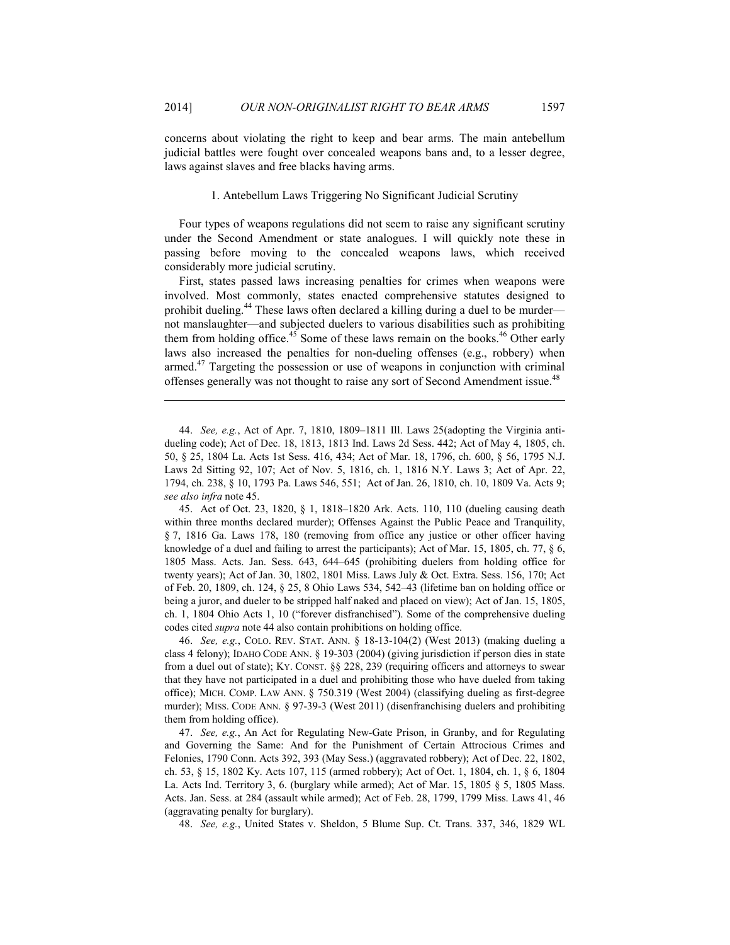concerns about violating the right to keep and bear arms. The main antebellum judicial battles were fought over concealed weapons bans and, to a lesser degree, laws against slaves and free blacks having arms.

### 1. Antebellum Laws Triggering No Significant Judicial Scrutiny

Four types of weapons regulations did not seem to raise any significant scrutiny under the Second Amendment or state analogues. I will quickly note these in passing before moving to the concealed weapons laws, which received considerably more judicial scrutiny.

First, states passed laws increasing penalties for crimes when weapons were involved. Most commonly, states enacted comprehensive statutes designed to prohibit dueling.<sup>44</sup> These laws often declared a killing during a duel to be murder not manslaughter—and subjected duelers to various disabilities such as prohibiting them from holding office.<sup>45</sup> Some of these laws remain on the books.<sup>46</sup> Other early laws also increased the penalties for non-dueling offenses (e.g., robbery) when armed. $47$  Targeting the possession or use of weapons in conjunction with criminal offenses generally was not thought to raise any sort of Second Amendment issue.<sup>48</sup>

<u>.</u>

 45. Act of Oct. 23, 1820, § 1, 1818–1820 Ark. Acts. 110, 110 (dueling causing death within three months declared murder); Offenses Against the Public Peace and Tranquility, § 7, 1816 Ga. Laws 178, 180 (removing from office any justice or other officer having knowledge of a duel and failing to arrest the participants); Act of Mar. 15, 1805, ch. 77, § 6, 1805 Mass. Acts. Jan. Sess. 643, 644–645 (prohibiting duelers from holding office for twenty years); Act of Jan. 30, 1802, 1801 Miss. Laws July & Oct. Extra. Sess. 156, 170; Act of Feb. 20, 1809, ch. 124, § 25, 8 Ohio Laws 534, 542–43 (lifetime ban on holding office or being a juror, and dueler to be stripped half naked and placed on view); Act of Jan. 15, 1805, ch. 1, 1804 Ohio Acts 1, 10 ("forever disfranchised"). Some of the comprehensive dueling codes cited *supra* note 44 also contain prohibitions on holding office.

 46. *See, e.g.*, COLO. REV. STAT. ANN. § 18-13-104(2) (West 2013) (making dueling a class 4 felony); IDAHO CODE ANN. § 19-303 (2004) (giving jurisdiction if person dies in state from a duel out of state); KY. CONST. §§ 228, 239 (requiring officers and attorneys to swear that they have not participated in a duel and prohibiting those who have dueled from taking office); MICH. COMP. LAW ANN. § 750.319 (West 2004) (classifying dueling as first-degree murder); MISS. CODE ANN. § 97-39-3 (West 2011) (disenfranchising duelers and prohibiting them from holding office).

 47. *See, e.g.*, An Act for Regulating New-Gate Prison, in Granby, and for Regulating and Governing the Same: And for the Punishment of Certain Attrocious Crimes and Felonies, 1790 Conn. Acts 392, 393 (May Sess.) (aggravated robbery); Act of Dec. 22, 1802, ch. 53, § 15, 1802 Ky. Acts 107, 115 (armed robbery); Act of Oct. 1, 1804, ch. 1, § 6, 1804 La. Acts Ind. Territory 3, 6. (burglary while armed); Act of Mar. 15, 1805 § 5, 1805 Mass. Acts. Jan. Sess. at 284 (assault while armed); Act of Feb. 28, 1799, 1799 Miss. Laws 41, 46 (aggravating penalty for burglary).

48. *See, e.g.*, United States v. Sheldon, 5 Blume Sup. Ct. Trans. 337, 346, 1829 WL

 <sup>44.</sup> *See, e.g.*, Act of Apr. 7, 1810, 1809–1811 Ill. Laws 25(adopting the Virginia antidueling code); Act of Dec. 18, 1813, 1813 Ind. Laws 2d Sess. 442; Act of May 4, 1805, ch. 50, § 25, 1804 La. Acts 1st Sess. 416, 434; Act of Mar. 18, 1796, ch. 600, § 56, 1795 N.J. Laws 2d Sitting 92, 107; Act of Nov. 5, 1816, ch. 1, 1816 N.Y. Laws 3; Act of Apr. 22, 1794, ch. 238, § 10, 1793 Pa. Laws 546, 551; Act of Jan. 26, 1810, ch. 10, 1809 Va. Acts 9; *see also infra* note 45.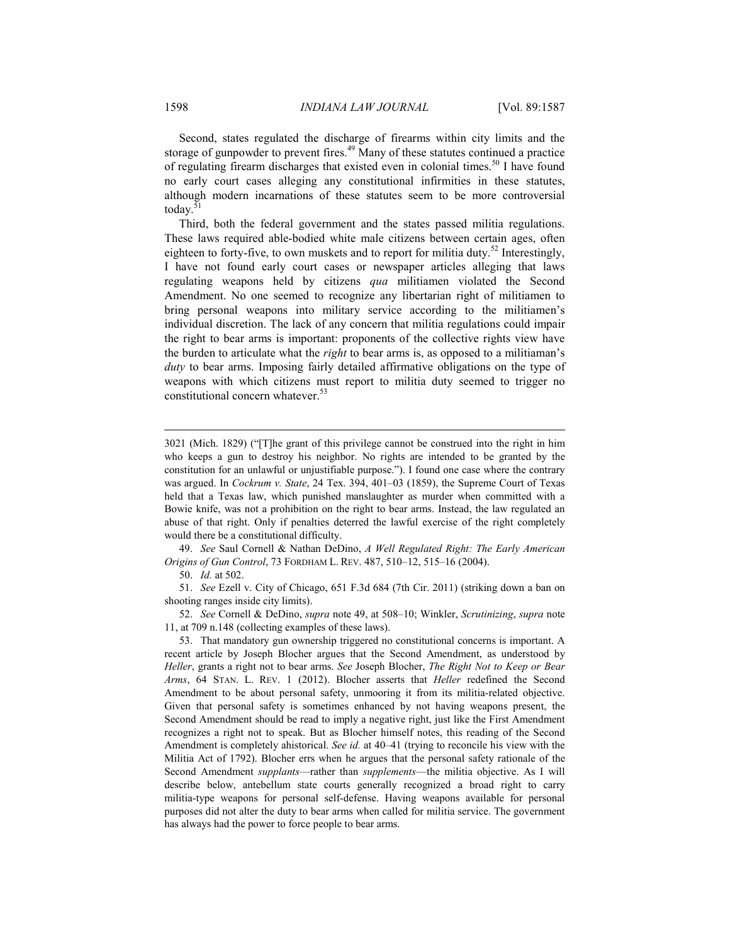Second, states regulated the discharge of firearms within city limits and the storage of gunpowder to prevent fires.<sup>49</sup> Many of these statutes continued a practice of regulating firearm discharges that existed even in colonial times.<sup>50</sup> I have found no early court cases alleging any constitutional infirmities in these statutes, although modern incarnations of these statutes seem to be more controversial today.<sup>51</sup>

Third, both the federal government and the states passed militia regulations. These laws required able-bodied white male citizens between certain ages, often eighteen to forty-five, to own muskets and to report for militia duty.<sup>52</sup> Interestingly, I have not found early court cases or newspaper articles alleging that laws regulating weapons held by citizens *qua* militiamen violated the Second Amendment. No one seemed to recognize any libertarian right of militiamen to bring personal weapons into military service according to the militiamen's individual discretion. The lack of any concern that militia regulations could impair the right to bear arms is important: proponents of the collective rights view have the burden to articulate what the *right* to bear arms is, as opposed to a militiaman's *duty* to bear arms. Imposing fairly detailed affirmative obligations on the type of weapons with which citizens must report to militia duty seemed to trigger no constitutional concern whatever.<sup>53</sup>

50. *Id.* at 502.

 51. *See* Ezell v. City of Chicago, 651 F.3d 684 (7th Cir. 2011) (striking down a ban on shooting ranges inside city limits).

 52. *See* Cornell & DeDino, *supra* note 49, at 508–10; Winkler, *Scrutinizing*, *supra* note 11, at 709 n.148 (collecting examples of these laws).

<sup>3021 (</sup>Mich. 1829) ("[T]he grant of this privilege cannot be construed into the right in him who keeps a gun to destroy his neighbor. No rights are intended to be granted by the constitution for an unlawful or unjustifiable purpose."). I found one case where the contrary was argued. In *Cockrum v. State*, 24 Tex. 394, 401–03 (1859), the Supreme Court of Texas held that a Texas law, which punished manslaughter as murder when committed with a Bowie knife, was not a prohibition on the right to bear arms. Instead, the law regulated an abuse of that right. Only if penalties deterred the lawful exercise of the right completely would there be a constitutional difficulty.

 <sup>49.</sup> *See* Saul Cornell & Nathan DeDino, *A Well Regulated Right: The Early American Origins of Gun Control*, 73 FORDHAM L. REV. 487, 510–12, 515–16 (2004).

 <sup>53.</sup> That mandatory gun ownership triggered no constitutional concerns is important. A recent article by Joseph Blocher argues that the Second Amendment, as understood by *Heller*, grants a right not to bear arms. *See* Joseph Blocher, *The Right Not to Keep or Bear Arms*, 64 STAN. L. REV. 1 (2012). Blocher asserts that *Heller* redefined the Second Amendment to be about personal safety, unmooring it from its militia-related objective. Given that personal safety is sometimes enhanced by not having weapons present, the Second Amendment should be read to imply a negative right, just like the First Amendment recognizes a right not to speak. But as Blocher himself notes, this reading of the Second Amendment is completely ahistorical. *See id.* at 40–41 (trying to reconcile his view with the Militia Act of 1792). Blocher errs when he argues that the personal safety rationale of the Second Amendment *supplants*—rather than *supplements*—the militia objective. As I will describe below, antebellum state courts generally recognized a broad right to carry militia-type weapons for personal self-defense. Having weapons available for personal purposes did not alter the duty to bear arms when called for militia service. The government has always had the power to force people to bear arms.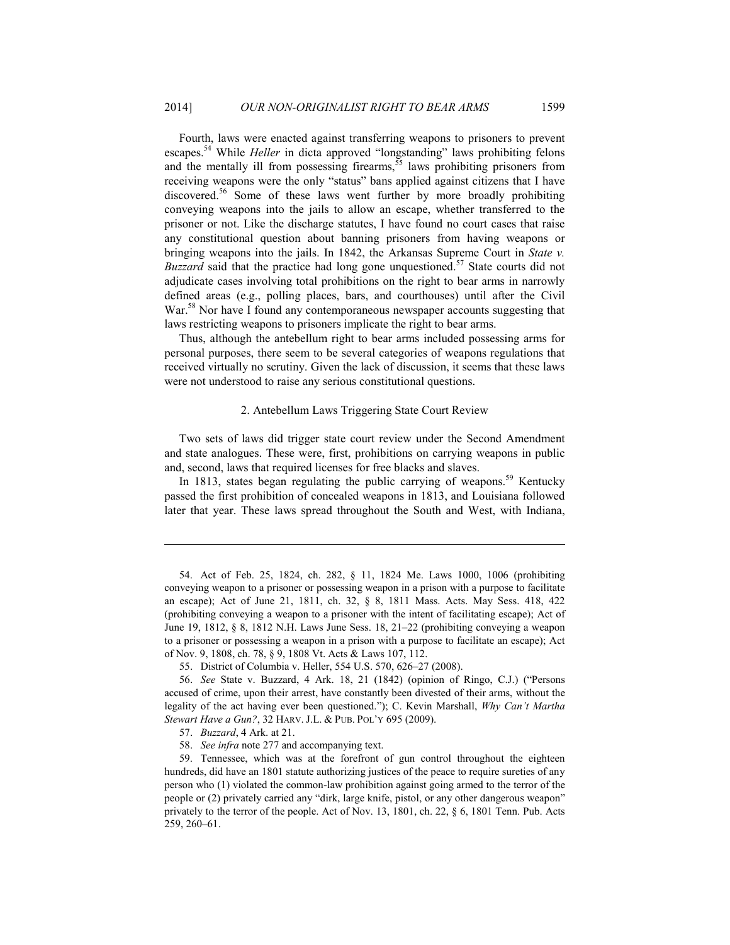Fourth, laws were enacted against transferring weapons to prisoners to prevent escapes.54 While *Heller* in dicta approved "longstanding" laws prohibiting felons and the mentally ill from possessing firearms,  $55$  laws prohibiting prisoners from receiving weapons were the only "status" bans applied against citizens that I have discovered.56 Some of these laws went further by more broadly prohibiting conveying weapons into the jails to allow an escape, whether transferred to the prisoner or not. Like the discharge statutes, I have found no court cases that raise any constitutional question about banning prisoners from having weapons or bringing weapons into the jails. In 1842, the Arkansas Supreme Court in *State v. Buzzard* said that the practice had long gone unquestioned.<sup>57</sup> State courts did not adjudicate cases involving total prohibitions on the right to bear arms in narrowly defined areas (e.g., polling places, bars, and courthouses) until after the Civil War.<sup>58</sup> Nor have I found any contemporaneous newspaper accounts suggesting that laws restricting weapons to prisoners implicate the right to bear arms.

Thus, although the antebellum right to bear arms included possessing arms for personal purposes, there seem to be several categories of weapons regulations that received virtually no scrutiny. Given the lack of discussion, it seems that these laws were not understood to raise any serious constitutional questions.

#### 2. Antebellum Laws Triggering State Court Review

Two sets of laws did trigger state court review under the Second Amendment and state analogues. These were, first, prohibitions on carrying weapons in public and, second, laws that required licenses for free blacks and slaves.

In 1813, states began regulating the public carrying of weapons.<sup>59</sup> Kentucky passed the first prohibition of concealed weapons in 1813, and Louisiana followed later that year. These laws spread throughout the South and West, with Indiana,

 <sup>54.</sup> Act of Feb. 25, 1824, ch. 282, § 11, 1824 Me. Laws 1000, 1006 (prohibiting conveying weapon to a prisoner or possessing weapon in a prison with a purpose to facilitate an escape); Act of June 21, 1811, ch. 32, § 8, 1811 Mass. Acts. May Sess. 418, 422 (prohibiting conveying a weapon to a prisoner with the intent of facilitating escape); Act of June 19, 1812, § 8, 1812 N.H. Laws June Sess. 18, 21–22 (prohibiting conveying a weapon to a prisoner or possessing a weapon in a prison with a purpose to facilitate an escape); Act of Nov. 9, 1808, ch. 78, § 9, 1808 Vt. Acts & Laws 107, 112.

 <sup>55.</sup> District of Columbia v. Heller, 554 U.S. 570, 626–27 (2008).

 <sup>56.</sup> *See* State v. Buzzard, 4 Ark. 18, 21 (1842) (opinion of Ringo, C.J.) ("Persons accused of crime, upon their arrest, have constantly been divested of their arms, without the legality of the act having ever been questioned."); C. Kevin Marshall, *Why Can't Martha Stewart Have a Gun?*, 32 HARV. J.L. & PUB. POL'Y 695 (2009).

 <sup>57.</sup> *Buzzard*, 4 Ark. at 21.

 <sup>58.</sup> *See infra* note 277 and accompanying text.

 <sup>59.</sup> Tennessee, which was at the forefront of gun control throughout the eighteen hundreds, did have an 1801 statute authorizing justices of the peace to require sureties of any person who (1) violated the common-law prohibition against going armed to the terror of the people or (2) privately carried any "dirk, large knife, pistol, or any other dangerous weapon" privately to the terror of the people. Act of Nov. 13, 1801, ch. 22, § 6, 1801 Tenn. Pub. Acts 259, 260–61.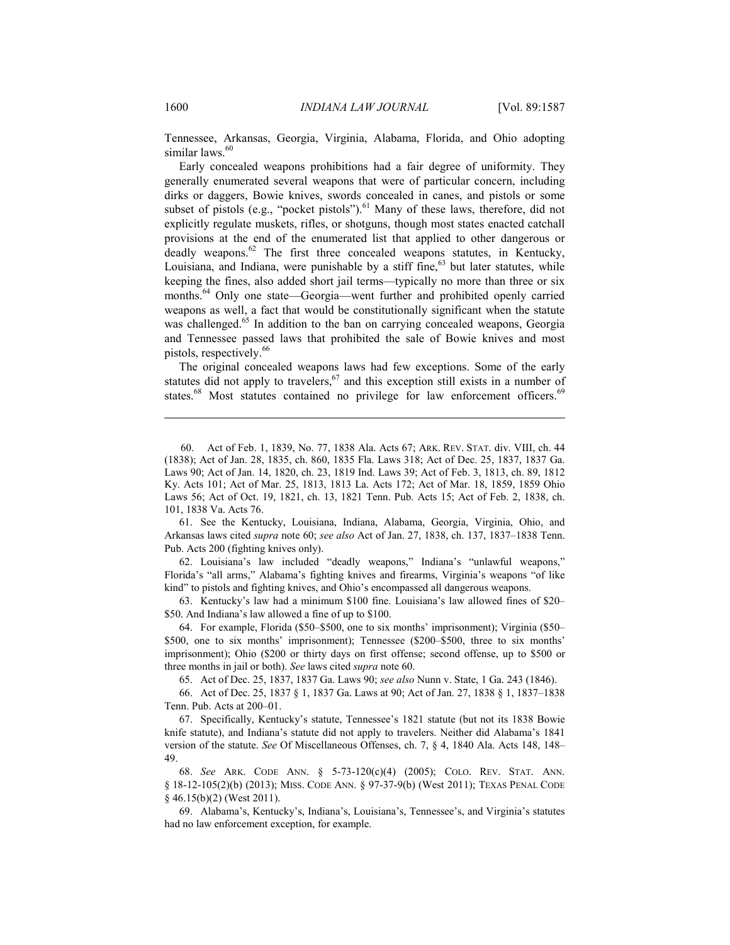Tennessee, Arkansas, Georgia, Virginia, Alabama, Florida, and Ohio adopting similar laws.<sup>60</sup>

Early concealed weapons prohibitions had a fair degree of uniformity. They generally enumerated several weapons that were of particular concern, including dirks or daggers, Bowie knives, swords concealed in canes, and pistols or some subset of pistols (e.g., "pocket pistols").<sup>61</sup> Many of these laws, therefore, did not explicitly regulate muskets, rifles, or shotguns, though most states enacted catchall provisions at the end of the enumerated list that applied to other dangerous or deadly weapons. $62$  The first three concealed weapons statutes, in Kentucky, Louisiana, and Indiana, were punishable by a stiff fine, $63$  but later statutes, while keeping the fines, also added short jail terms—typically no more than three or six months.<sup>64</sup> Only one state—Georgia—went further and prohibited openly carried weapons as well, a fact that would be constitutionally significant when the statute was challenged.<sup>65</sup> In addition to the ban on carrying concealed weapons, Georgia and Tennessee passed laws that prohibited the sale of Bowie knives and most pistols, respectively.<sup>66</sup>

The original concealed weapons laws had few exceptions. Some of the early statutes did not apply to travelers,  $67$  and this exception still exists in a number of states.<sup>68</sup> Most statutes contained no privilege for law enforcement officers.<sup>69</sup>

 61. See the Kentucky, Louisiana, Indiana, Alabama, Georgia, Virginia, Ohio, and Arkansas laws cited *supra* note 60; *see also* Act of Jan. 27, 1838, ch. 137, 1837–1838 Tenn. Pub. Acts 200 (fighting knives only).

 62. Louisiana's law included "deadly weapons," Indiana's "unlawful weapons," Florida's "all arms," Alabama's fighting knives and firearms, Virginia's weapons "of like kind" to pistols and fighting knives, and Ohio's encompassed all dangerous weapons.

 63. Kentucky's law had a minimum \$100 fine. Louisiana's law allowed fines of \$20– \$50. And Indiana's law allowed a fine of up to \$100.

 64. For example, Florida (\$50–\$500, one to six months' imprisonment); Virginia (\$50– \$500, one to six months' imprisonment); Tennessee (\$200–\$500, three to six months' imprisonment); Ohio (\$200 or thirty days on first offense; second offense, up to \$500 or three months in jail or both). *See* laws cited *supra* note 60.

65. Act of Dec. 25, 1837, 1837 Ga. Laws 90; *see also* Nunn v. State, 1 Ga. 243 (1846).

 66. Act of Dec. 25, 1837 § 1, 1837 Ga. Laws at 90; Act of Jan. 27, 1838 § 1, 1837–1838 Tenn. Pub. Acts at 200–01.

 67. Specifically, Kentucky's statute, Tennessee's 1821 statute (but not its 1838 Bowie knife statute), and Indiana's statute did not apply to travelers. Neither did Alabama's 1841 version of the statute. *See* Of Miscellaneous Offenses, ch. 7, § 4, 1840 Ala. Acts 148, 148– 49.

 68. *See* ARK. CODE ANN. § 5-73-120(c)(4) (2005); COLO. REV. STAT. ANN. § 18-12-105(2)(b) (2013); MISS. CODE ANN. § 97-37-9(b) (West 2011); TEXAS PENAL CODE § 46.15(b)(2) (West 2011).

 69. Alabama's, Kentucky's, Indiana's, Louisiana's, Tennessee's, and Virginia's statutes had no law enforcement exception, for example.

<sup>60.</sup> Act of Feb. 1, 1839, No. 77, 1838 Ala. Acts 67; ARK. REV. STAT. div. VIII, ch. 44 (1838); Act of Jan. 28, 1835, ch. 860, 1835 Fla. Laws 318; Act of Dec. 25, 1837, 1837 Ga. Laws 90; Act of Jan. 14, 1820, ch. 23, 1819 Ind. Laws 39; Act of Feb. 3, 1813, ch. 89, 1812 Ky. Acts 101; Act of Mar. 25, 1813, 1813 La. Acts 172; Act of Mar. 18, 1859, 1859 Ohio Laws 56; Act of Oct. 19, 1821, ch. 13, 1821 Tenn. Pub. Acts 15; Act of Feb. 2, 1838, ch. 101, 1838 Va. Acts 76.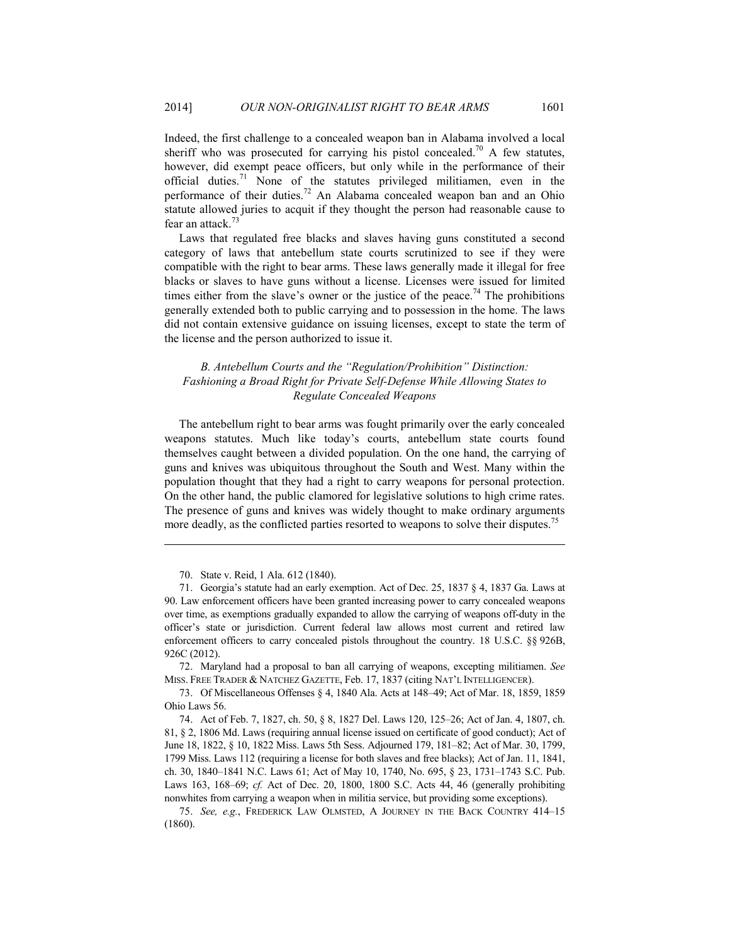Indeed, the first challenge to a concealed weapon ban in Alabama involved a local sheriff who was prosecuted for carrying his pistol concealed.<sup>70</sup> A few statutes, however, did exempt peace officers, but only while in the performance of their official duties.<sup>71</sup> None of the statutes privileged militiamen, even in the performance of their duties.<sup>72</sup> An Alabama concealed weapon ban and an Ohio statute allowed juries to acquit if they thought the person had reasonable cause to fear an attack. $73$ 

Laws that regulated free blacks and slaves having guns constituted a second category of laws that antebellum state courts scrutinized to see if they were compatible with the right to bear arms. These laws generally made it illegal for free blacks or slaves to have guns without a license. Licenses were issued for limited times either from the slave's owner or the justice of the peace.<sup>74</sup> The prohibitions generally extended both to public carrying and to possession in the home. The laws did not contain extensive guidance on issuing licenses, except to state the term of the license and the person authorized to issue it.

## *B. Antebellum Courts and the "Regulation/Prohibition" Distinction: Fashioning a Broad Right for Private Self-Defense While Allowing States to Regulate Concealed Weapons*

The antebellum right to bear arms was fought primarily over the early concealed weapons statutes. Much like today's courts, antebellum state courts found themselves caught between a divided population. On the one hand, the carrying of guns and knives was ubiquitous throughout the South and West. Many within the population thought that they had a right to carry weapons for personal protection. On the other hand, the public clamored for legislative solutions to high crime rates. The presence of guns and knives was widely thought to make ordinary arguments more deadly, as the conflicted parties resorted to weapons to solve their disputes.<sup>15</sup>

1

 72. Maryland had a proposal to ban all carrying of weapons, excepting militiamen. *See*  MISS. FREE TRADER & NATCHEZ GAZETTE, Feb. 17, 1837 (citing NAT'L INTELLIGENCER).

 73. Of Miscellaneous Offenses § 4, 1840 Ala. Acts at 148–49; Act of Mar. 18, 1859, 1859 Ohio Laws 56.

 <sup>70.</sup> State v. Reid, 1 Ala. 612 (1840).

 <sup>71.</sup> Georgia's statute had an early exemption. Act of Dec. 25, 1837 § 4, 1837 Ga. Laws at 90. Law enforcement officers have been granted increasing power to carry concealed weapons over time, as exemptions gradually expanded to allow the carrying of weapons off-duty in the officer's state or jurisdiction. Current federal law allows most current and retired law enforcement officers to carry concealed pistols throughout the country. 18 U.S.C. §§ 926B, 926C (2012).

 <sup>74.</sup> Act of Feb. 7, 1827, ch. 50, § 8, 1827 Del. Laws 120, 125–26; Act of Jan. 4, 1807, ch. 81, § 2, 1806 Md. Laws (requiring annual license issued on certificate of good conduct); Act of June 18, 1822, § 10, 1822 Miss. Laws 5th Sess. Adjourned 179, 181–82; Act of Mar. 30, 1799, 1799 Miss. Laws 112 (requiring a license for both slaves and free blacks); Act of Jan. 11, 1841, ch. 30, 1840–1841 N.C. Laws 61; Act of May 10, 1740, No. 695, § 23, 1731–1743 S.C. Pub. Laws 163, 168–69; *cf.* Act of Dec. 20, 1800, 1800 S.C. Acts 44, 46 (generally prohibiting nonwhites from carrying a weapon when in militia service, but providing some exceptions).

 <sup>75.</sup> *See, e.g.*, FREDERICK LAW OLMSTED, A JOURNEY IN THE BACK COUNTRY 414–15 (1860).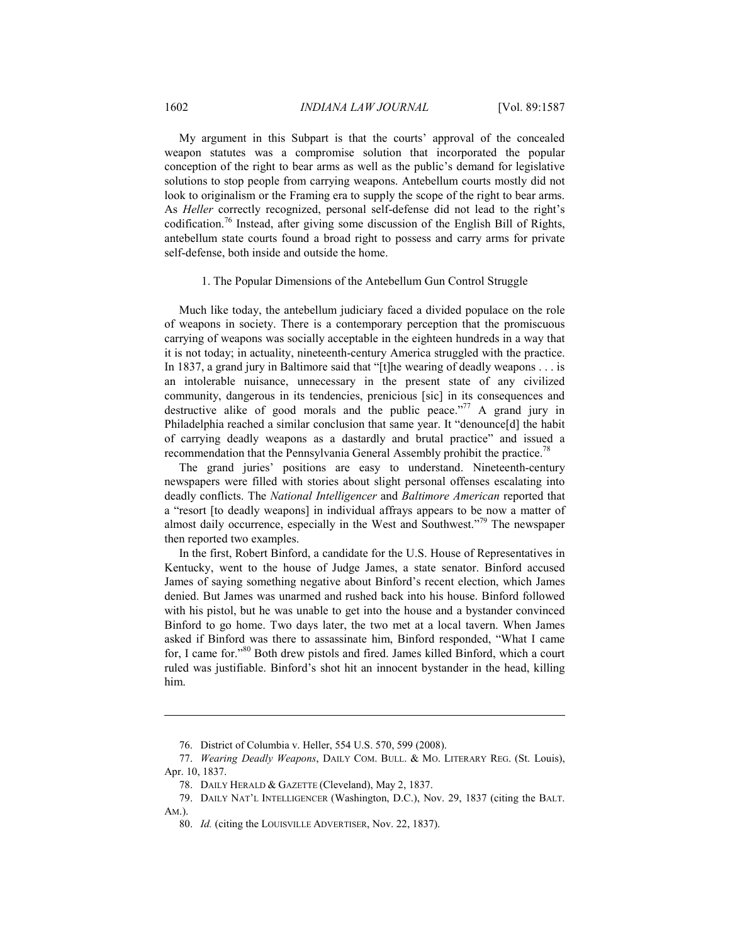My argument in this Subpart is that the courts' approval of the concealed weapon statutes was a compromise solution that incorporated the popular conception of the right to bear arms as well as the public's demand for legislative solutions to stop people from carrying weapons. Antebellum courts mostly did not look to originalism or the Framing era to supply the scope of the right to bear arms. As *Heller* correctly recognized, personal self-defense did not lead to the right's codification.76 Instead, after giving some discussion of the English Bill of Rights, antebellum state courts found a broad right to possess and carry arms for private self-defense, both inside and outside the home.

#### 1. The Popular Dimensions of the Antebellum Gun Control Struggle

Much like today, the antebellum judiciary faced a divided populace on the role of weapons in society. There is a contemporary perception that the promiscuous carrying of weapons was socially acceptable in the eighteen hundreds in a way that it is not today; in actuality, nineteenth-century America struggled with the practice. In 1837, a grand jury in Baltimore said that "[t]he wearing of deadly weapons . . . is an intolerable nuisance, unnecessary in the present state of any civilized community, dangerous in its tendencies, prenicious [sic] in its consequences and destructive alike of good morals and the public peace."<sup>77</sup> A grand jury in Philadelphia reached a similar conclusion that same year. It "denounce[d] the habit of carrying deadly weapons as a dastardly and brutal practice" and issued a recommendation that the Pennsylvania General Assembly prohibit the practice.<sup>78</sup>

The grand juries' positions are easy to understand. Nineteenth-century newspapers were filled with stories about slight personal offenses escalating into deadly conflicts. The *National Intelligencer* and *Baltimore American* reported that a "resort [to deadly weapons] in individual affrays appears to be now a matter of almost daily occurrence, especially in the West and Southwest."<sup>79</sup> The newspaper then reported two examples.

In the first, Robert Binford, a candidate for the U.S. House of Representatives in Kentucky, went to the house of Judge James, a state senator. Binford accused James of saying something negative about Binford's recent election, which James denied. But James was unarmed and rushed back into his house. Binford followed with his pistol, but he was unable to get into the house and a bystander convinced Binford to go home. Two days later, the two met at a local tavern. When James asked if Binford was there to assassinate him, Binford responded, "What I came for, I came for."80 Both drew pistols and fired. James killed Binford, which a court ruled was justifiable. Binford's shot hit an innocent bystander in the head, killing him.

80. *Id.* (citing the LOUISVILLE ADVERTISER, Nov. 22, 1837).

 <sup>76.</sup> District of Columbia v. Heller, 554 U.S. 570, 599 (2008).

 <sup>77.</sup> *Wearing Deadly Weapons*, DAILY COM. BULL. & MO. LITERARY REG. (St. Louis), Apr. 10, 1837.

 <sup>78.</sup> DAILY HERALD & GAZETTE (Cleveland), May 2, 1837.

 <sup>79.</sup> DAILY NAT'L INTELLIGENCER (Washington, D.C.), Nov. 29, 1837 (citing the BALT. AM.).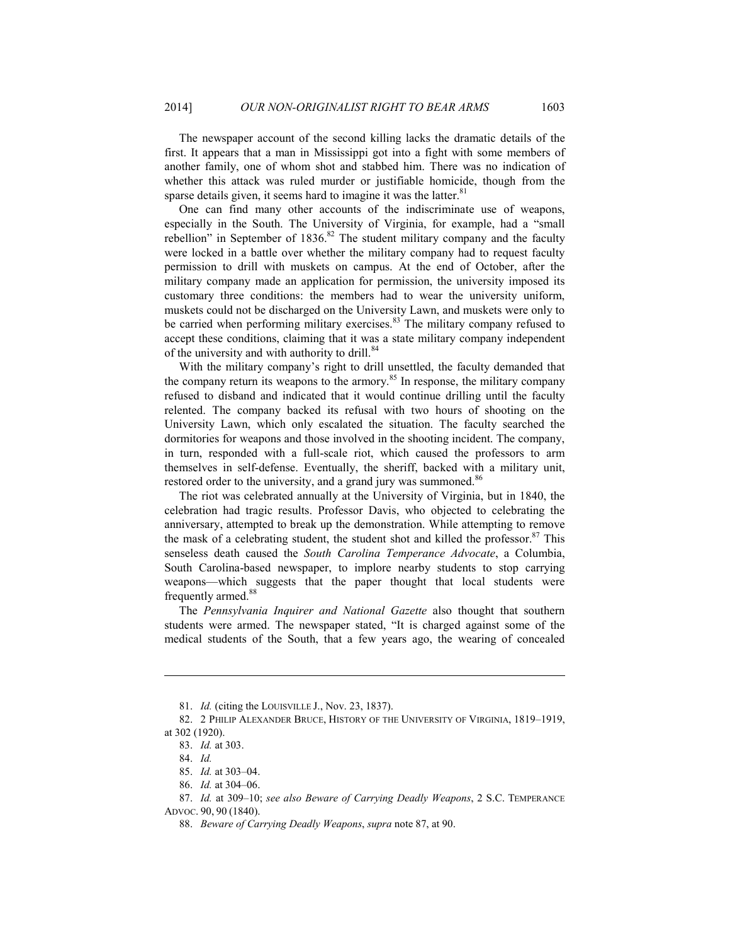The newspaper account of the second killing lacks the dramatic details of the first. It appears that a man in Mississippi got into a fight with some members of another family, one of whom shot and stabbed him. There was no indication of whether this attack was ruled murder or justifiable homicide, though from the sparse details given, it seems hard to imagine it was the latter. $81$ 

One can find many other accounts of the indiscriminate use of weapons, especially in the South. The University of Virginia, for example, had a "small rebellion" in September of  $1836$ .<sup>82</sup> The student military company and the faculty were locked in a battle over whether the military company had to request faculty permission to drill with muskets on campus. At the end of October, after the military company made an application for permission, the university imposed its customary three conditions: the members had to wear the university uniform, muskets could not be discharged on the University Lawn, and muskets were only to be carried when performing military exercises.<sup>83</sup> The military company refused to accept these conditions, claiming that it was a state military company independent of the university and with authority to drill.<sup>84</sup>

With the military company's right to drill unsettled, the faculty demanded that the company return its weapons to the armory.<sup>85</sup> In response, the military company refused to disband and indicated that it would continue drilling until the faculty relented. The company backed its refusal with two hours of shooting on the University Lawn, which only escalated the situation. The faculty searched the dormitories for weapons and those involved in the shooting incident. The company, in turn, responded with a full-scale riot, which caused the professors to arm themselves in self-defense. Eventually, the sheriff, backed with a military unit, restored order to the university, and a grand jury was summoned.<sup>86</sup>

The riot was celebrated annually at the University of Virginia, but in 1840, the celebration had tragic results. Professor Davis, who objected to celebrating the anniversary, attempted to break up the demonstration. While attempting to remove the mask of a celebrating student, the student shot and killed the professor. $87$  This senseless death caused the *South Carolina Temperance Advocate*, a Columbia, South Carolina-based newspaper, to implore nearby students to stop carrying weapons—which suggests that the paper thought that local students were frequently armed.<sup>88</sup>

The *Pennsylvania Inquirer and National Gazette* also thought that southern students were armed. The newspaper stated, "It is charged against some of the medical students of the South, that a few years ago, the wearing of concealed

 <sup>81.</sup> *Id.* (citing the LOUISVILLE J., Nov. 23, 1837).

 <sup>82. 2</sup> PHILIP ALEXANDER BRUCE, HISTORY OF THE UNIVERSITY OF VIRGINIA, 1819–1919, at 302 (1920).

 <sup>83.</sup> *Id.* at 303.

 <sup>84.</sup> *Id.*

 <sup>85.</sup> *Id.* at 303–04.

 <sup>86.</sup> *Id.* at 304–06.

 <sup>87.</sup> *Id.* at 309–10; *see also Beware of Carrying Deadly Weapons*, 2 S.C. TEMPERANCE ADVOC. 90, 90 (1840).

 <sup>88.</sup> *Beware of Carrying Deadly Weapons*, *supra* note 87, at 90.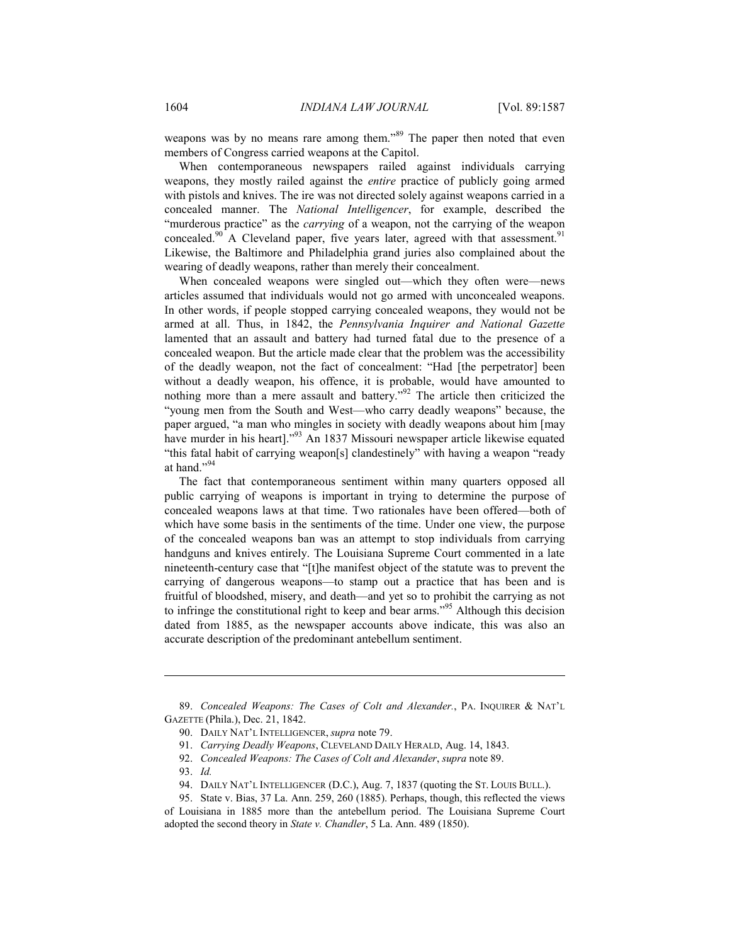weapons was by no means rare among them."<sup>89</sup> The paper then noted that even members of Congress carried weapons at the Capitol.

When contemporaneous newspapers railed against individuals carrying weapons, they mostly railed against the *entire* practice of publicly going armed with pistols and knives. The ire was not directed solely against weapons carried in a concealed manner. The *National Intelligencer*, for example, described the "murderous practice" as the *carrying* of a weapon, not the carrying of the weapon concealed.<sup>90</sup> A Cleveland paper, five years later, agreed with that assessment.<sup>91</sup> Likewise, the Baltimore and Philadelphia grand juries also complained about the wearing of deadly weapons, rather than merely their concealment.

When concealed weapons were singled out—which they often were—news articles assumed that individuals would not go armed with unconcealed weapons. In other words, if people stopped carrying concealed weapons, they would not be armed at all. Thus, in 1842, the *Pennsylvania Inquirer and National Gazette* lamented that an assault and battery had turned fatal due to the presence of a concealed weapon. But the article made clear that the problem was the accessibility of the deadly weapon, not the fact of concealment: "Had [the perpetrator] been without a deadly weapon, his offence, it is probable, would have amounted to nothing more than a mere assault and battery."<sup>92</sup> The article then criticized the "young men from the South and West—who carry deadly weapons" because, the paper argued, "a man who mingles in society with deadly weapons about him [may have murder in his heart]."<sup>93</sup> An 1837 Missouri newspaper article likewise equated "this fatal habit of carrying weapon[s] clandestinely" with having a weapon "ready at hand."94

The fact that contemporaneous sentiment within many quarters opposed all public carrying of weapons is important in trying to determine the purpose of concealed weapons laws at that time. Two rationales have been offered—both of which have some basis in the sentiments of the time. Under one view, the purpose of the concealed weapons ban was an attempt to stop individuals from carrying handguns and knives entirely. The Louisiana Supreme Court commented in a late nineteenth-century case that "[t]he manifest object of the statute was to prevent the carrying of dangerous weapons—to stamp out a practice that has been and is fruitful of bloodshed, misery, and death—and yet so to prohibit the carrying as not to infringe the constitutional right to keep and bear arms."95 Although this decision dated from 1885, as the newspaper accounts above indicate, this was also an accurate description of the predominant antebellum sentiment.

 <sup>89.</sup> *Concealed Weapons: The Cases of Colt and Alexander.*, PA. INQUIRER & NAT'L GAZETTE (Phila.), Dec. 21, 1842.

 <sup>90.</sup> DAILY NAT'L INTELLIGENCER, *supra* note 79.

 <sup>91.</sup> *Carrying Deadly Weapons*, CLEVELAND DAILY HERALD, Aug. 14, 1843.

 <sup>92.</sup> *Concealed Weapons: The Cases of Colt and Alexander*, *supra* note 89.

 <sup>93.</sup> *Id.*

 <sup>94.</sup> DAILY NAT'L INTELLIGENCER (D.C.), Aug. 7, 1837 (quoting the ST. LOUIS BULL.).

 <sup>95.</sup> State v. Bias, 37 La. Ann. 259, 260 (1885). Perhaps, though, this reflected the views of Louisiana in 1885 more than the antebellum period. The Louisiana Supreme Court adopted the second theory in *State v. Chandler*, 5 La. Ann. 489 (1850).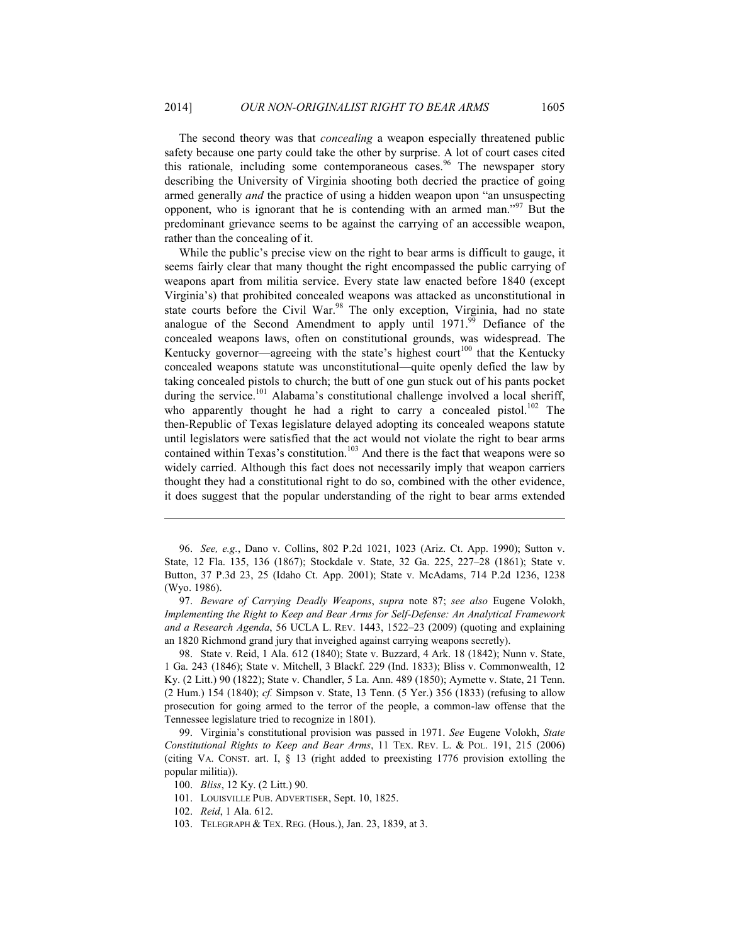The second theory was that *concealing* a weapon especially threatened public safety because one party could take the other by surprise. A lot of court cases cited this rationale, including some contemporaneous cases.<sup>96</sup> The newspaper story describing the University of Virginia shooting both decried the practice of going armed generally *and* the practice of using a hidden weapon upon "an unsuspecting opponent, who is ignorant that he is contending with an armed man."<sup>97</sup> But the predominant grievance seems to be against the carrying of an accessible weapon, rather than the concealing of it.

While the public's precise view on the right to bear arms is difficult to gauge, it seems fairly clear that many thought the right encompassed the public carrying of weapons apart from militia service. Every state law enacted before 1840 (except Virginia's) that prohibited concealed weapons was attacked as unconstitutional in state courts before the Civil War.<sup>98</sup> The only exception, Virginia, had no state analogue of the Second Amendment to apply until  $1971<sup>99</sup>$  Defiance of the concealed weapons laws, often on constitutional grounds, was widespread. The Kentucky governor—agreeing with the state's highest court<sup>100</sup> that the Kentucky concealed weapons statute was unconstitutional—quite openly defied the law by taking concealed pistols to church; the butt of one gun stuck out of his pants pocket during the service.<sup>101</sup> Alabama's constitutional challenge involved a local sheriff, who apparently thought he had a right to carry a concealed pistol.<sup>102</sup> The then-Republic of Texas legislature delayed adopting its concealed weapons statute until legislators were satisfied that the act would not violate the right to bear arms contained within Texas's constitution.<sup>103</sup> And there is the fact that weapons were so widely carried. Although this fact does not necessarily imply that weapon carriers thought they had a constitutional right to do so, combined with the other evidence, it does suggest that the popular understanding of the right to bear arms extended

 97. *Beware of Carrying Deadly Weapons*, *supra* note 87; *see also* Eugene Volokh, *Implementing the Right to Keep and Bear Arms for Self-Defense: An Analytical Framework and a Research Agenda*, 56 UCLA L. REV. 1443, 1522–23 (2009) (quoting and explaining an 1820 Richmond grand jury that inveighed against carrying weapons secretly).

 98. State v. Reid, 1 Ala. 612 (1840); State v. Buzzard, 4 Ark. 18 (1842); Nunn v. State, 1 Ga. 243 (1846); State v. Mitchell, 3 Blackf. 229 (Ind. 1833); Bliss v. Commonwealth, 12 Ky. (2 Litt.) 90 (1822); State v. Chandler, 5 La. Ann. 489 (1850); Aymette v. State, 21 Tenn. (2 Hum.) 154 (1840); *cf.* Simpson v. State, 13 Tenn. (5 Yer.) 356 (1833) (refusing to allow prosecution for going armed to the terror of the people, a common-law offense that the Tennessee legislature tried to recognize in 1801).

 99. Virginia's constitutional provision was passed in 1971. *See* Eugene Volokh, *State Constitutional Rights to Keep and Bear Arms*, 11 TEX. REV. L. & POL. 191, 215 (2006) (citing VA. CONST. art. I, § 13 (right added to preexisting 1776 provision extolling the popular militia)).

100. *Bliss*, 12 Ky. (2 Litt.) 90.

101. LOUISVILLE PUB. ADVERTISER, Sept. 10, 1825.

<u>.</u>

103. TELEGRAPH & TEX. REG. (Hous.), Jan. 23, 1839, at 3.

 <sup>96.</sup> *See, e.g.*, Dano v. Collins, 802 P.2d 1021, 1023 (Ariz. Ct. App. 1990); Sutton v. State, 12 Fla. 135, 136 (1867); Stockdale v. State, 32 Ga. 225, 227–28 (1861); State v. Button, 37 P.3d 23, 25 (Idaho Ct. App. 2001); State v. McAdams, 714 P.2d 1236, 1238 (Wyo. 1986).

 <sup>102.</sup> *Reid*, 1 Ala. 612.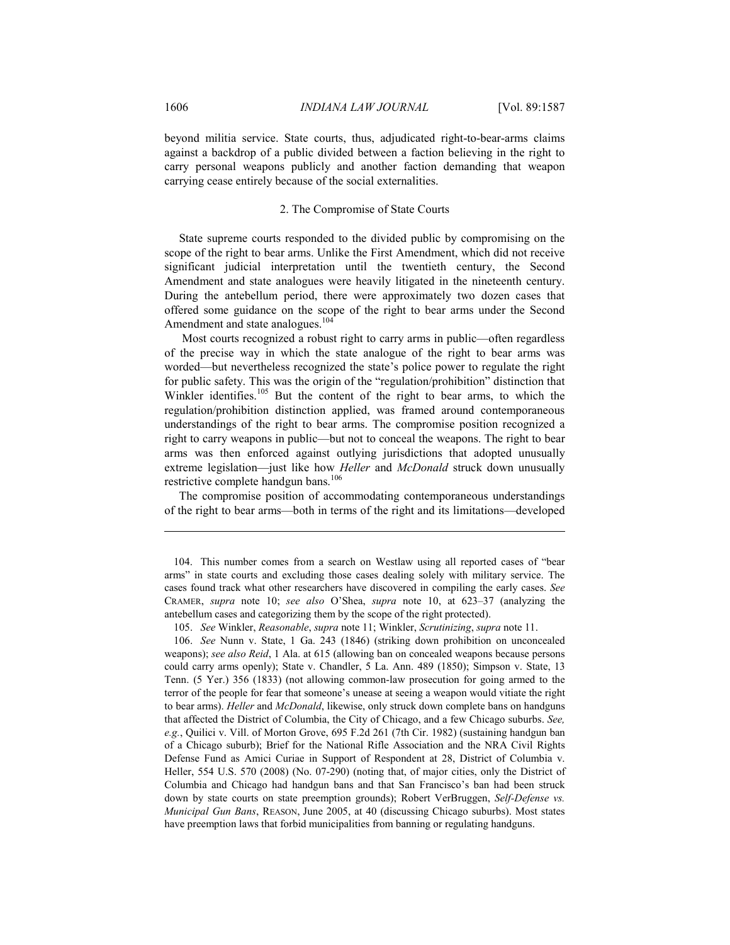beyond militia service. State courts, thus, adjudicated right-to-bear-arms claims against a backdrop of a public divided between a faction believing in the right to carry personal weapons publicly and another faction demanding that weapon carrying cease entirely because of the social externalities.

#### 2. The Compromise of State Courts

State supreme courts responded to the divided public by compromising on the scope of the right to bear arms. Unlike the First Amendment, which did not receive significant judicial interpretation until the twentieth century, the Second Amendment and state analogues were heavily litigated in the nineteenth century. During the antebellum period, there were approximately two dozen cases that offered some guidance on the scope of the right to bear arms under the Second Amendment and state analogues.<sup>104</sup>

 Most courts recognized a robust right to carry arms in public—often regardless of the precise way in which the state analogue of the right to bear arms was worded—but nevertheless recognized the state's police power to regulate the right for public safety. This was the origin of the "regulation/prohibition" distinction that Winkler identifies.<sup>105</sup> But the content of the right to bear arms, to which the regulation/prohibition distinction applied, was framed around contemporaneous understandings of the right to bear arms. The compromise position recognized a right to carry weapons in public—but not to conceal the weapons. The right to bear arms was then enforced against outlying jurisdictions that adopted unusually extreme legislation—just like how *Heller* and *McDonald* struck down unusually restrictive complete handgun bans.<sup>106</sup>

The compromise position of accommodating contemporaneous understandings of the right to bear arms—both in terms of the right and its limitations—developed

105. *See* Winkler, *Reasonable*, *supra* note 11; Winkler, *Scrutinizing*, *supra* note 11.

 106. *See* Nunn v. State, 1 Ga. 243 (1846) (striking down prohibition on unconcealed weapons); *see also Reid*, 1 Ala. at 615 (allowing ban on concealed weapons because persons could carry arms openly); State v. Chandler, 5 La. Ann. 489 (1850); Simpson v. State, 13 Tenn. (5 Yer.) 356 (1833) (not allowing common-law prosecution for going armed to the terror of the people for fear that someone's unease at seeing a weapon would vitiate the right to bear arms). *Heller* and *McDonald*, likewise, only struck down complete bans on handguns that affected the District of Columbia, the City of Chicago, and a few Chicago suburbs. *See, e.g.*, Quilici v. Vill. of Morton Grove, 695 F.2d 261 (7th Cir. 1982) (sustaining handgun ban of a Chicago suburb); Brief for the National Rifle Association and the NRA Civil Rights Defense Fund as Amici Curiae in Support of Respondent at 28, District of Columbia v. Heller, 554 U.S. 570 (2008) (No. 07-290) (noting that, of major cities, only the District of Columbia and Chicago had handgun bans and that San Francisco's ban had been struck down by state courts on state preemption grounds); Robert VerBruggen, *Self-Defense vs. Municipal Gun Bans*, REASON, June 2005, at 40 (discussing Chicago suburbs). Most states have preemption laws that forbid municipalities from banning or regulating handguns.

 <sup>104.</sup> This number comes from a search on Westlaw using all reported cases of "bear arms" in state courts and excluding those cases dealing solely with military service. The cases found track what other researchers have discovered in compiling the early cases. *See* CRAMER, *supra* note 10; *see also* O'Shea, *supra* note 10, at 623–37 (analyzing the antebellum cases and categorizing them by the scope of the right protected).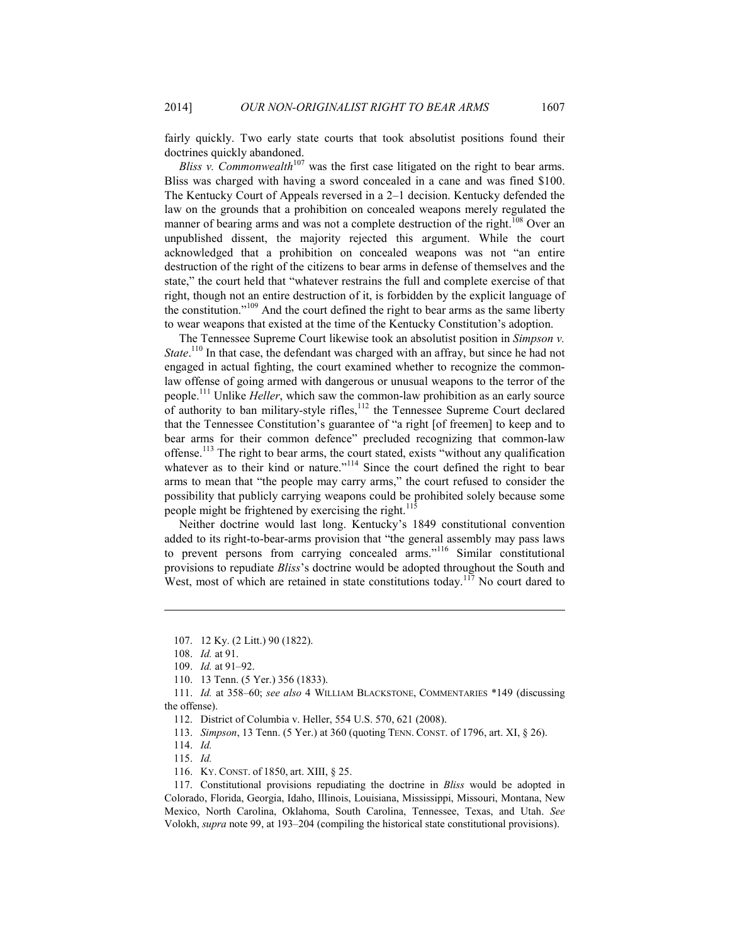fairly quickly. Two early state courts that took absolutist positions found their doctrines quickly abandoned.

*Bliss v. Commonwealth*<sup>107</sup> was the first case litigated on the right to bear arms. Bliss was charged with having a sword concealed in a cane and was fined \$100. The Kentucky Court of Appeals reversed in a 2–1 decision. Kentucky defended the law on the grounds that a prohibition on concealed weapons merely regulated the manner of bearing arms and was not a complete destruction of the right.<sup>108</sup> Over an unpublished dissent, the majority rejected this argument. While the court acknowledged that a prohibition on concealed weapons was not "an entire destruction of the right of the citizens to bear arms in defense of themselves and the state," the court held that "whatever restrains the full and complete exercise of that right, though not an entire destruction of it, is forbidden by the explicit language of the constitution."109 And the court defined the right to bear arms as the same liberty to wear weapons that existed at the time of the Kentucky Constitution's adoption.

The Tennessee Supreme Court likewise took an absolutist position in *Simpson v. State*.<sup>110</sup> In that case, the defendant was charged with an affray, but since he had not engaged in actual fighting, the court examined whether to recognize the commonlaw offense of going armed with dangerous or unusual weapons to the terror of the people.111 Unlike *Heller*, which saw the common-law prohibition as an early source of authority to ban military-style rifles,<sup>112</sup> the Tennessee Supreme Court declared that the Tennessee Constitution's guarantee of "a right [of freemen] to keep and to bear arms for their common defence" precluded recognizing that common-law offense.<sup>113</sup> The right to bear arms, the court stated, exists "without any qualification whatever as to their kind or nature."<sup>114</sup> Since the court defined the right to bear arms to mean that "the people may carry arms," the court refused to consider the possibility that publicly carrying weapons could be prohibited solely because some people might be frightened by exercising the right.<sup>115</sup>

Neither doctrine would last long. Kentucky's 1849 constitutional convention added to its right-to-bear-arms provision that "the general assembly may pass laws to prevent persons from carrying concealed arms."116 Similar constitutional provisions to repudiate *Bliss*'s doctrine would be adopted throughout the South and West, most of which are retained in state constitutions today.<sup>117</sup> No court dared to

 <sup>107. 12</sup> Ky. (2 Litt.) 90 (1822).

 <sup>108.</sup> *Id.* at 91.

 <sup>109.</sup> *Id.* at 91–92.

 <sup>110. 13</sup> Tenn. (5 Yer.) 356 (1833).

 <sup>111.</sup> *Id.* at 358–60; *see also* 4 WILLIAM BLACKSTONE, COMMENTARIES \*149 (discussing the offense).

 <sup>112.</sup> District of Columbia v. Heller, 554 U.S. 570, 621 (2008).

 <sup>113.</sup> *Simpson*, 13 Tenn. (5 Yer.) at 360 (quoting TENN. CONST. of 1796, art. XI, § 26).

 <sup>114.</sup> *Id.*

 <sup>115.</sup> *Id.*

 <sup>116.</sup> KY. CONST. of 1850, art. XIII, § 25.

 <sup>117.</sup> Constitutional provisions repudiating the doctrine in *Bliss* would be adopted in Colorado, Florida, Georgia, Idaho, Illinois, Louisiana, Mississippi, Missouri, Montana, New Mexico, North Carolina, Oklahoma, South Carolina, Tennessee, Texas, and Utah. *See*  Volokh, *supra* note 99, at 193–204 (compiling the historical state constitutional provisions).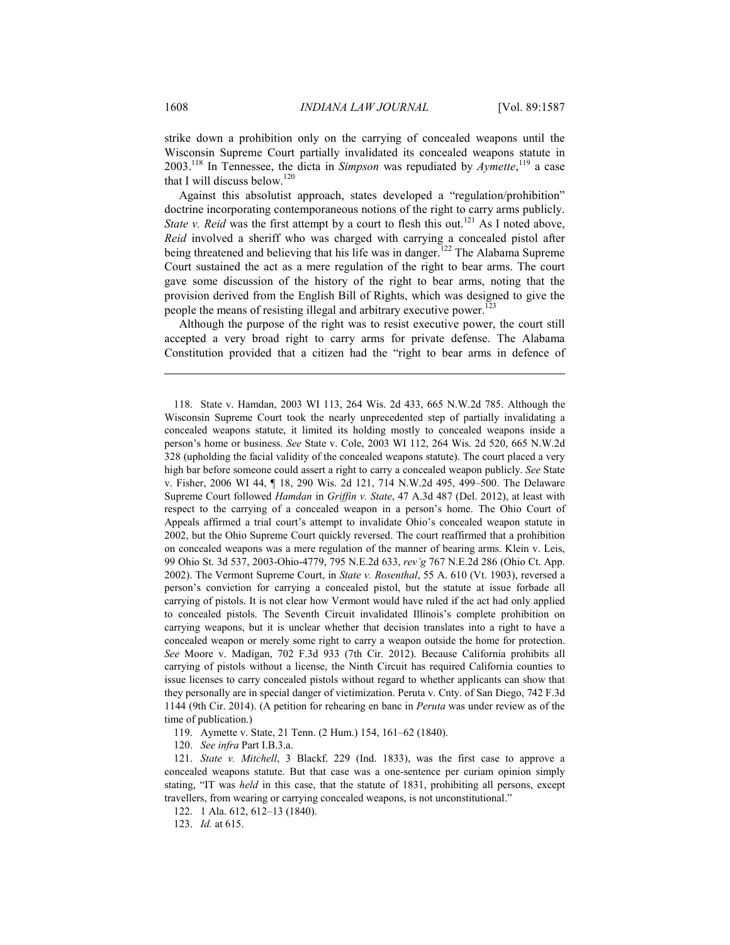strike down a prohibition only on the carrying of concealed weapons until the Wisconsin Supreme Court partially invalidated its concealed weapons statute in 2003.118 In Tennessee, the dicta in *Simpson* was repudiated by *Aymette*, 119 a case that I will discuss below.<sup>120</sup>

Against this absolutist approach, states developed a "regulation/prohibition" doctrine incorporating contemporaneous notions of the right to carry arms publicly. *State v. Reid* was the first attempt by a court to flesh this out.<sup>121</sup> As I noted above, *Reid* involved a sheriff who was charged with carrying a concealed pistol after being threatened and believing that his life was in danger.<sup>122</sup> The Alabama Supreme Court sustained the act as a mere regulation of the right to bear arms. The court gave some discussion of the history of the right to bear arms, noting that the provision derived from the English Bill of Rights, which was designed to give the people the means of resisting illegal and arbitrary executive power.<sup>123</sup>

Although the purpose of the right was to resist executive power, the court still accepted a very broad right to carry arms for private defense. The Alabama Constitution provided that a citizen had the "right to bear arms in defence of

119. Aymette v. State, 21 Tenn. (2 Hum.) 154, 161–62 (1840).

120. *See infra* Part I.B.3.a.

 121. *State v. Mitchell*, 3 Blackf. 229 (Ind. 1833), was the first case to approve a concealed weapons statute. But that case was a one-sentence per curiam opinion simply stating, "IT was *held* in this case, that the statute of 1831, prohibiting all persons, except travellers, from wearing or carrying concealed weapons, is not unconstitutional."

122. 1 Ala. 612, 612–13 (1840).

123. *Id.* at 615.

 <sup>118.</sup> State v. Hamdan, 2003 WI 113, 264 Wis. 2d 433, 665 N.W.2d 785. Although the Wisconsin Supreme Court took the nearly unprecedented step of partially invalidating a concealed weapons statute, it limited its holding mostly to concealed weapons inside a person's home or business. *See* State v. Cole, 2003 WI 112, 264 Wis. 2d 520, 665 N.W.2d 328 (upholding the facial validity of the concealed weapons statute). The court placed a very high bar before someone could assert a right to carry a concealed weapon publicly. *See* State v. Fisher, 2006 WI 44, ¶ 18, 290 Wis. 2d 121, 714 N.W.2d 495, 499–500. The Delaware Supreme Court followed *Hamdan* in *Griffin v. State*, 47 A.3d 487 (Del. 2012), at least with respect to the carrying of a concealed weapon in a person's home. The Ohio Court of Appeals affirmed a trial court's attempt to invalidate Ohio's concealed weapon statute in 2002, but the Ohio Supreme Court quickly reversed. The court reaffirmed that a prohibition on concealed weapons was a mere regulation of the manner of bearing arms. Klein v. Leis, 99 Ohio St. 3d 537, 2003-Ohio-4779, 795 N.E.2d 633, *rev'g* 767 N.E.2d 286 (Ohio Ct. App. 2002). The Vermont Supreme Court, in *State v. Rosenthal*, 55 A. 610 (Vt. 1903), reversed a person's conviction for carrying a concealed pistol, but the statute at issue forbade all carrying of pistols. It is not clear how Vermont would have ruled if the act had only applied to concealed pistols. The Seventh Circuit invalidated Illinois's complete prohibition on carrying weapons, but it is unclear whether that decision translates into a right to have a concealed weapon or merely some right to carry a weapon outside the home for protection. *See* Moore v. Madigan, 702 F.3d 933 (7th Cir. 2012). Because California prohibits all carrying of pistols without a license, the Ninth Circuit has required California counties to issue licenses to carry concealed pistols without regard to whether applicants can show that they personally are in special danger of victimization. Peruta v. Cnty. of San Diego, 742 F.3d 1144 (9th Cir. 2014). (A petition for rehearing en banc in *Peruta* was under review as of the time of publication.)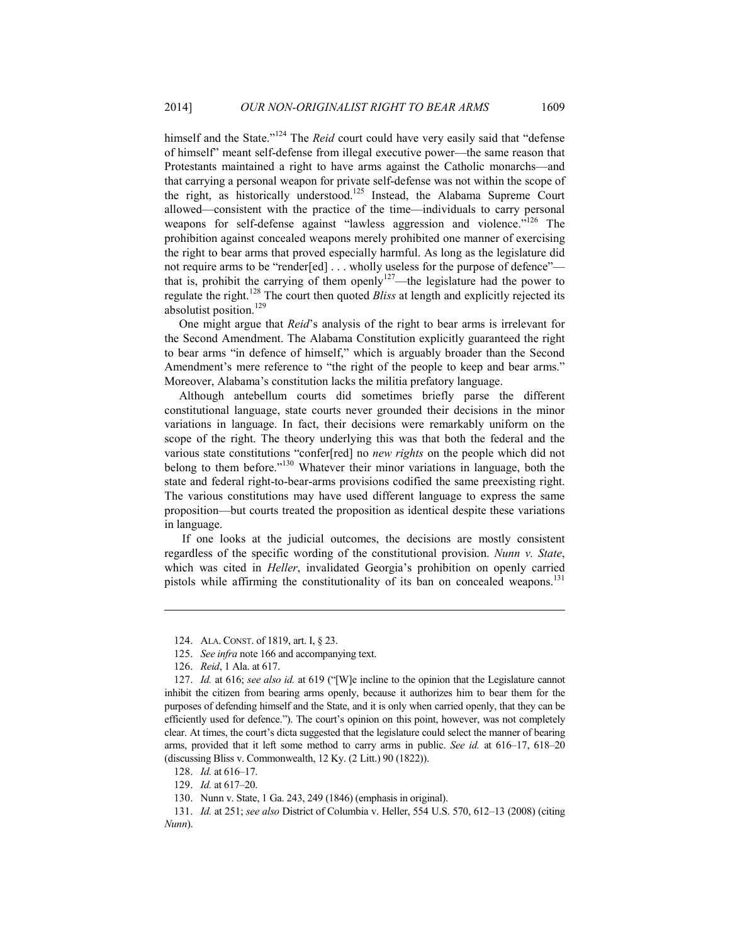himself and the State."<sup>124</sup> The *Reid* court could have very easily said that "defense of himself" meant self-defense from illegal executive power—the same reason that Protestants maintained a right to have arms against the Catholic monarchs—and that carrying a personal weapon for private self-defense was not within the scope of the right, as historically understood.125 Instead, the Alabama Supreme Court allowed—consistent with the practice of the time—individuals to carry personal weapons for self-defense against "lawless aggression and violence."<sup>126</sup> The prohibition against concealed weapons merely prohibited one manner of exercising the right to bear arms that proved especially harmful. As long as the legislature did not require arms to be "render[ed] . . . wholly useless for the purpose of defence" that is, prohibit the carrying of them openly<sup>127</sup>—the legislature had the power to regulate the right.128 The court then quoted *Bliss* at length and explicitly rejected its absolutist position.<sup>129</sup>

One might argue that *Reid*'s analysis of the right to bear arms is irrelevant for the Second Amendment. The Alabama Constitution explicitly guaranteed the right to bear arms "in defence of himself," which is arguably broader than the Second Amendment's mere reference to "the right of the people to keep and bear arms." Moreover, Alabama's constitution lacks the militia prefatory language.

Although antebellum courts did sometimes briefly parse the different constitutional language, state courts never grounded their decisions in the minor variations in language. In fact, their decisions were remarkably uniform on the scope of the right. The theory underlying this was that both the federal and the various state constitutions "confer[red] no *new rights* on the people which did not belong to them before."130 Whatever their minor variations in language, both the state and federal right-to-bear-arms provisions codified the same preexisting right. The various constitutions may have used different language to express the same proposition—but courts treated the proposition as identical despite these variations in language.

 If one looks at the judicial outcomes, the decisions are mostly consistent regardless of the specific wording of the constitutional provision. *Nunn v. State*, which was cited in *Heller*, invalidated Georgia's prohibition on openly carried pistols while affirming the constitutionality of its ban on concealed weapons.<sup>131</sup>

 <sup>124.</sup> ALA. CONST. of 1819, art. I, § 23.

 <sup>125.</sup> *See infra* note 166 and accompanying text.

 <sup>126.</sup> *Reid*, 1 Ala. at 617.

 <sup>127.</sup> *Id.* at 616; *see also id.* at 619 ("[W]e incline to the opinion that the Legislature cannot inhibit the citizen from bearing arms openly, because it authorizes him to bear them for the purposes of defending himself and the State, and it is only when carried openly, that they can be efficiently used for defence."). The court's opinion on this point, however, was not completely clear. At times, the court's dicta suggested that the legislature could select the manner of bearing arms, provided that it left some method to carry arms in public. *See id.* at 616–17, 618–20 (discussing Bliss v. Commonwealth, 12 Ky. (2 Litt.) 90 (1822)).

 <sup>128.</sup> *Id.* at 616–17.

 <sup>129.</sup> *Id.* at 617–20.

 <sup>130.</sup> Nunn v. State, 1 Ga. 243, 249 (1846) (emphasis in original).

 <sup>131.</sup> *Id.* at 251; *see also* District of Columbia v. Heller, 554 U.S. 570, 612–13 (2008) (citing *Nunn*).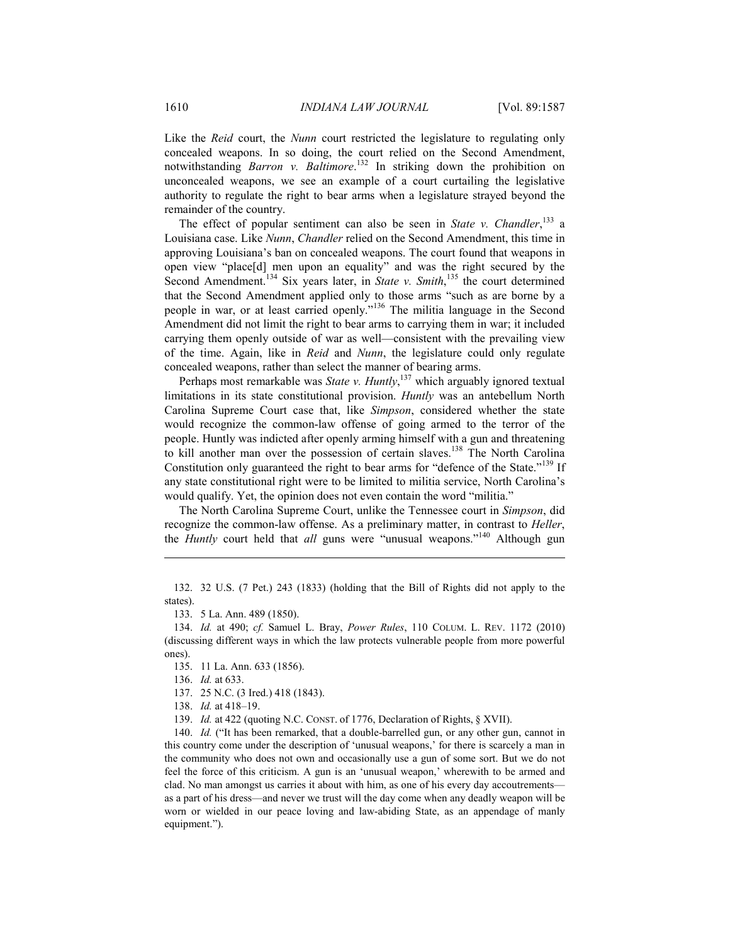Like the *Reid* court, the *Nunn* court restricted the legislature to regulating only concealed weapons. In so doing, the court relied on the Second Amendment, notwithstanding *Barron v. Baltimore*. 132 In striking down the prohibition on unconcealed weapons, we see an example of a court curtailing the legislative authority to regulate the right to bear arms when a legislature strayed beyond the remainder of the country.

The effect of popular sentiment can also be seen in *State v. Chandler*,<sup>133</sup> a Louisiana case. Like *Nunn*, *Chandler* relied on the Second Amendment, this time in approving Louisiana's ban on concealed weapons. The court found that weapons in open view "place[d] men upon an equality" and was the right secured by the Second Amendment.<sup>134</sup> Six years later, in *State v. Smith*,<sup>135</sup> the court determined that the Second Amendment applied only to those arms "such as are borne by a people in war, or at least carried openly."136 The militia language in the Second Amendment did not limit the right to bear arms to carrying them in war; it included carrying them openly outside of war as well—consistent with the prevailing view of the time. Again, like in *Reid* and *Nunn*, the legislature could only regulate concealed weapons, rather than select the manner of bearing arms.

Perhaps most remarkable was *State v. Huntly*,<sup>137</sup> which arguably ignored textual limitations in its state constitutional provision. *Huntly* was an antebellum North Carolina Supreme Court case that, like *Simpson*, considered whether the state would recognize the common-law offense of going armed to the terror of the people. Huntly was indicted after openly arming himself with a gun and threatening to kill another man over the possession of certain slaves.<sup>138</sup> The North Carolina Constitution only guaranteed the right to bear arms for "defence of the State."<sup>139</sup> If any state constitutional right were to be limited to militia service, North Carolina's would qualify. Yet, the opinion does not even contain the word "militia."

The North Carolina Supreme Court, unlike the Tennessee court in *Simpson*, did recognize the common-law offense. As a preliminary matter, in contrast to *Heller*, the *Huntly* court held that *all* guns were "unusual weapons."140 Although gun

 132. 32 U.S. (7 Pet.) 243 (1833) (holding that the Bill of Rights did not apply to the states).

133. 5 La. Ann. 489 (1850).

 134. *Id.* at 490; *cf.* Samuel L. Bray, *Power Rules*, 110 COLUM. L. REV. 1172 (2010) (discussing different ways in which the law protects vulnerable people from more powerful ones).

135. 11 La. Ann. 633 (1856).

136. *Id.* at 633.

<u>.</u>

137. 25 N.C. (3 Ired.) 418 (1843).

138. *Id.* at 418–19.

139. *Id.* at 422 (quoting N.C. CONST. of 1776, Declaration of Rights, § XVII).

140. *Id.* ("It has been remarked, that a double-barrelled gun, or any other gun, cannot in this country come under the description of 'unusual weapons,' for there is scarcely a man in the community who does not own and occasionally use a gun of some sort. But we do not feel the force of this criticism. A gun is an 'unusual weapon,' wherewith to be armed and clad. No man amongst us carries it about with him, as one of his every day accoutrements as a part of his dress—and never we trust will the day come when any deadly weapon will be worn or wielded in our peace loving and law-abiding State, as an appendage of manly equipment.").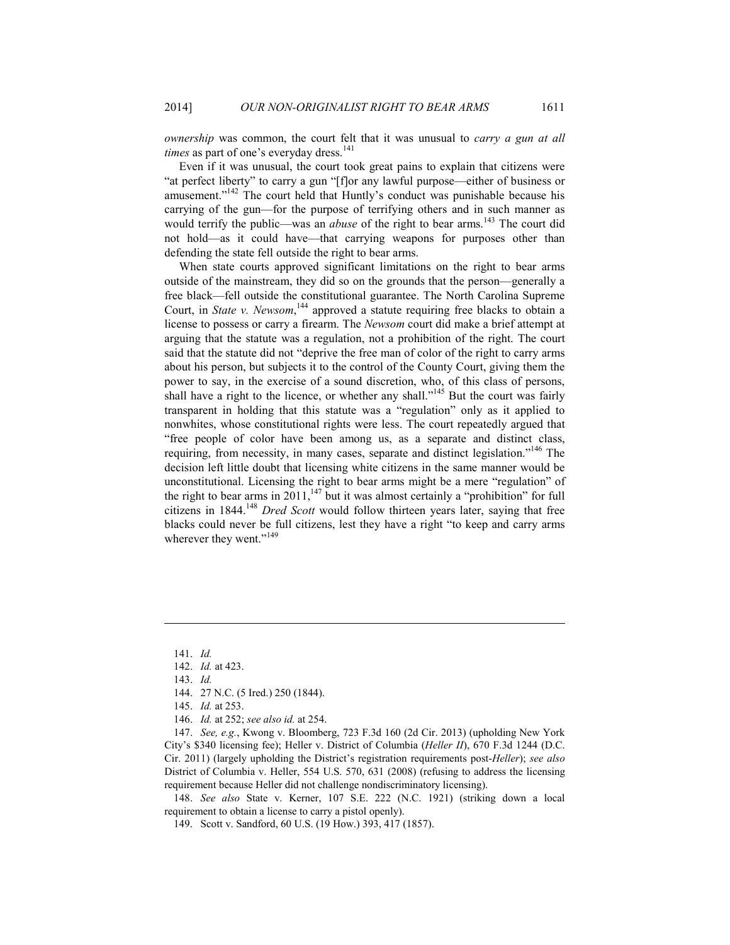*ownership* was common, the court felt that it was unusual to *carry a gun at all times* as part of one's everyday dress.<sup>141</sup>

Even if it was unusual, the court took great pains to explain that citizens were "at perfect liberty" to carry a gun "[f]or any lawful purpose—either of business or amusement."<sup>142</sup> The court held that Huntly's conduct was punishable because his carrying of the gun—for the purpose of terrifying others and in such manner as would terrify the public—was an *abuse* of the right to bear arms.<sup>143</sup> The court did not hold—as it could have—that carrying weapons for purposes other than defending the state fell outside the right to bear arms.

When state courts approved significant limitations on the right to bear arms outside of the mainstream, they did so on the grounds that the person—generally a free black—fell outside the constitutional guarantee. The North Carolina Supreme Court, in *State v. Newsom*,<sup>144</sup> approved a statute requiring free blacks to obtain a license to possess or carry a firearm. The *Newsom* court did make a brief attempt at arguing that the statute was a regulation, not a prohibition of the right. The court said that the statute did not "deprive the free man of color of the right to carry arms about his person, but subjects it to the control of the County Court, giving them the power to say, in the exercise of a sound discretion, who, of this class of persons, shall have a right to the licence, or whether any shall."<sup>145</sup> But the court was fairly transparent in holding that this statute was a "regulation" only as it applied to nonwhites, whose constitutional rights were less. The court repeatedly argued that "free people of color have been among us, as a separate and distinct class, requiring, from necessity, in many cases, separate and distinct legislation."146 The decision left little doubt that licensing white citizens in the same manner would be unconstitutional. Licensing the right to bear arms might be a mere "regulation" of the right to bear arms in 2011, $147$  but it was almost certainly a "prohibition" for full citizens in 1844.<sup>148</sup> *Dred Scott* would follow thirteen years later, saying that free blacks could never be full citizens, lest they have a right "to keep and carry arms wherever they went."<sup>149</sup>

1

 147. *See, e.g.*, Kwong v. Bloomberg, 723 F.3d 160 (2d Cir. 2013) (upholding New York City's \$340 licensing fee); Heller v. District of Columbia (*Heller II*), 670 F.3d 1244 (D.C. Cir. 2011) (largely upholding the District's registration requirements post-*Heller*); *see also* District of Columbia v. Heller, 554 U.S. 570, 631 (2008) (refusing to address the licensing requirement because Heller did not challenge nondiscriminatory licensing).

 148. *See also* State v. Kerner, 107 S.E. 222 (N.C. 1921) (striking down a local requirement to obtain a license to carry a pistol openly).

 <sup>141.</sup> *Id.* 

 <sup>142.</sup> *Id.* at 423.

 <sup>143.</sup> *Id.*

 <sup>144. 27</sup> N.C. (5 Ired.) 250 (1844).

 <sup>145.</sup> *Id.* at 253.

 <sup>146.</sup> *Id.* at 252; *see also id.* at 254.

 <sup>149.</sup> Scott v. Sandford, 60 U.S. (19 How.) 393, 417 (1857).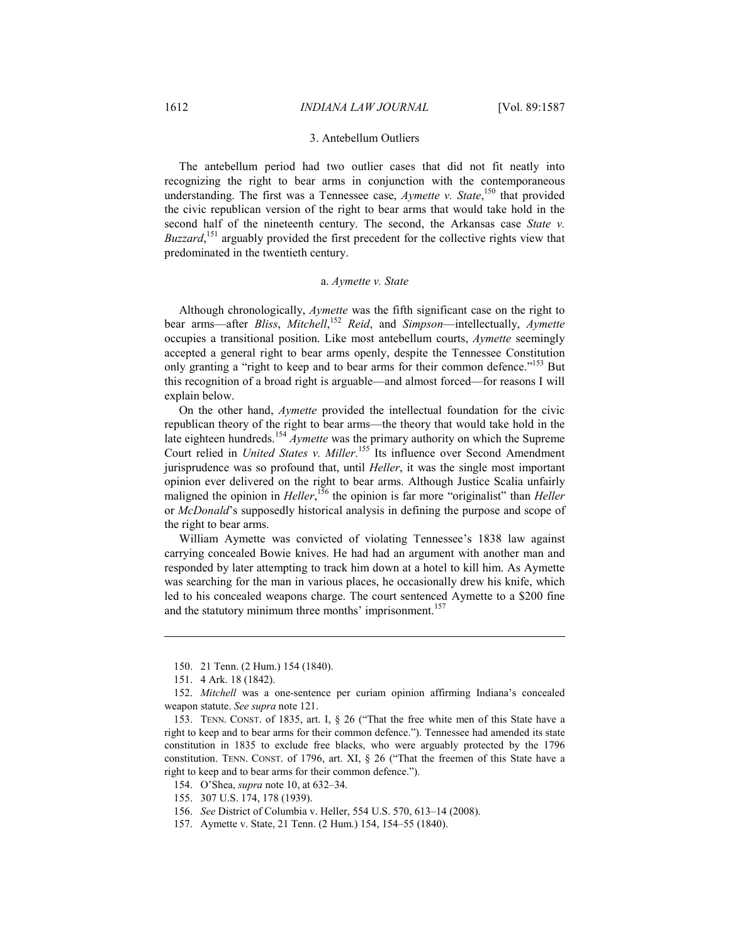#### 3. Antebellum Outliers

The antebellum period had two outlier cases that did not fit neatly into recognizing the right to bear arms in conjunction with the contemporaneous understanding. The first was a Tennessee case, *Aymette v. State*,<sup>150</sup> that provided the civic republican version of the right to bear arms that would take hold in the second half of the nineteenth century. The second, the Arkansas case *State v.*  Buzzard,<sup>151</sup> arguably provided the first precedent for the collective rights view that predominated in the twentieth century.

#### a. *Aymette v. State*

Although chronologically, *Aymette* was the fifth significant case on the right to bear arms—after *Bliss*, *Mitchell*, <sup>152</sup> *Reid*, and *Simpson*—intellectually, *Aymette* occupies a transitional position. Like most antebellum courts, *Aymette* seemingly accepted a general right to bear arms openly, despite the Tennessee Constitution only granting a "right to keep and to bear arms for their common defence."<sup>153</sup> But this recognition of a broad right is arguable—and almost forced—for reasons I will explain below.

On the other hand, *Aymette* provided the intellectual foundation for the civic republican theory of the right to bear arms—the theory that would take hold in the late eighteen hundreds.<sup>154</sup> *Aymette* was the primary authority on which the Supreme Court relied in *United States v. Miller*. 155 Its influence over Second Amendment jurisprudence was so profound that, until *Heller*, it was the single most important opinion ever delivered on the right to bear arms. Although Justice Scalia unfairly maligned the opinion in *Heller*,<sup>156</sup> the opinion is far more "originalist" than *Heller* or *McDonald*'s supposedly historical analysis in defining the purpose and scope of the right to bear arms.

William Aymette was convicted of violating Tennessee's 1838 law against carrying concealed Bowie knives. He had had an argument with another man and responded by later attempting to track him down at a hotel to kill him. As Aymette was searching for the man in various places, he occasionally drew his knife, which led to his concealed weapons charge. The court sentenced Aymette to a \$200 fine and the statutory minimum three months' imprisonment.<sup>157</sup>

 <sup>150. 21</sup> Tenn. (2 Hum.) 154 (1840).

 <sup>151. 4</sup> Ark. 18 (1842).

 <sup>152.</sup> *Mitchell* was a one-sentence per curiam opinion affirming Indiana's concealed weapon statute. *See supra* note 121.

 <sup>153.</sup> TENN. CONST. of 1835, art. I, § 26 ("That the free white men of this State have a right to keep and to bear arms for their common defence."). Tennessee had amended its state constitution in 1835 to exclude free blacks, who were arguably protected by the 1796 constitution. TENN. CONST. of 1796, art. XI, § 26 ("That the freemen of this State have a right to keep and to bear arms for their common defence.").

 <sup>154.</sup> O'Shea, *supra* note 10, at 632–34.

 <sup>155. 307</sup> U.S. 174, 178 (1939).

 <sup>156.</sup> *See* District of Columbia v. Heller, 554 U.S. 570, 613–14 (2008).

 <sup>157.</sup> Aymette v. State, 21 Tenn. (2 Hum.) 154, 154–55 (1840).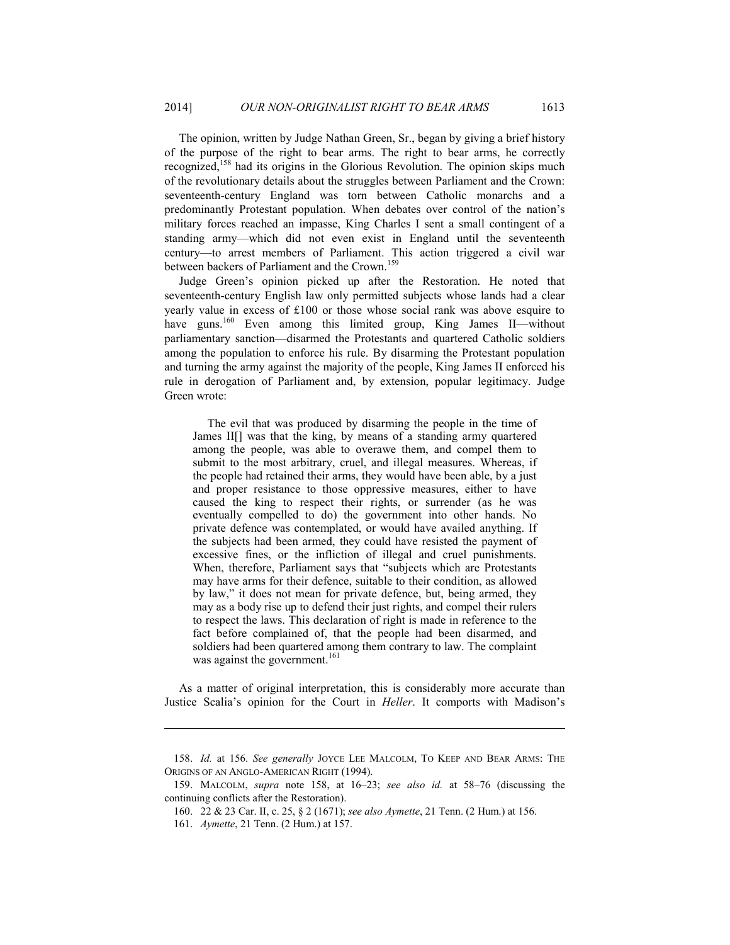The opinion, written by Judge Nathan Green, Sr., began by giving a brief history of the purpose of the right to bear arms. The right to bear arms, he correctly recognized,<sup>158</sup> had its origins in the Glorious Revolution. The opinion skips much of the revolutionary details about the struggles between Parliament and the Crown: seventeenth-century England was torn between Catholic monarchs and a predominantly Protestant population. When debates over control of the nation's military forces reached an impasse, King Charles I sent a small contingent of a standing army—which did not even exist in England until the seventeenth century—to arrest members of Parliament. This action triggered a civil war between backers of Parliament and the Crown.<sup>159</sup>

Judge Green's opinion picked up after the Restoration. He noted that seventeenth-century English law only permitted subjects whose lands had a clear yearly value in excess of £100 or those whose social rank was above esquire to have guns.<sup>160</sup> Even among this limited group, King James II—without parliamentary sanction—disarmed the Protestants and quartered Catholic soldiers among the population to enforce his rule. By disarming the Protestant population and turning the army against the majority of the people, King James II enforced his rule in derogation of Parliament and, by extension, popular legitimacy. Judge Green wrote:

 The evil that was produced by disarming the people in the time of James II[] was that the king, by means of a standing army quartered among the people, was able to overawe them, and compel them to submit to the most arbitrary, cruel, and illegal measures. Whereas, if the people had retained their arms, they would have been able, by a just and proper resistance to those oppressive measures, either to have caused the king to respect their rights, or surrender (as he was eventually compelled to do) the government into other hands. No private defence was contemplated, or would have availed anything. If the subjects had been armed, they could have resisted the payment of excessive fines, or the infliction of illegal and cruel punishments. When, therefore, Parliament says that "subjects which are Protestants may have arms for their defence, suitable to their condition, as allowed by law," it does not mean for private defence, but, being armed, they may as a body rise up to defend their just rights, and compel their rulers to respect the laws. This declaration of right is made in reference to the fact before complained of, that the people had been disarmed, and soldiers had been quartered among them contrary to law. The complaint was against the government.<sup>161</sup>

As a matter of original interpretation, this is considerably more accurate than Justice Scalia's opinion for the Court in *Heller*. It comports with Madison's

 <sup>158.</sup> *Id.* at 156. *See generally* JOYCE LEE MALCOLM, TO KEEP AND BEAR ARMS: THE ORIGINS OF AN ANGLO-AMERICAN RIGHT (1994).

 <sup>159.</sup> MALCOLM, *supra* note 158, at 16–23; *see also id.* at 58–76 (discussing the continuing conflicts after the Restoration).

 <sup>160. 22 &</sup>amp; 23 Car. II, c. 25, § 2 (1671); *see also Aymette*, 21 Tenn. (2 Hum.) at 156.

 <sup>161.</sup> *Aymette*, 21 Tenn. (2 Hum.) at 157.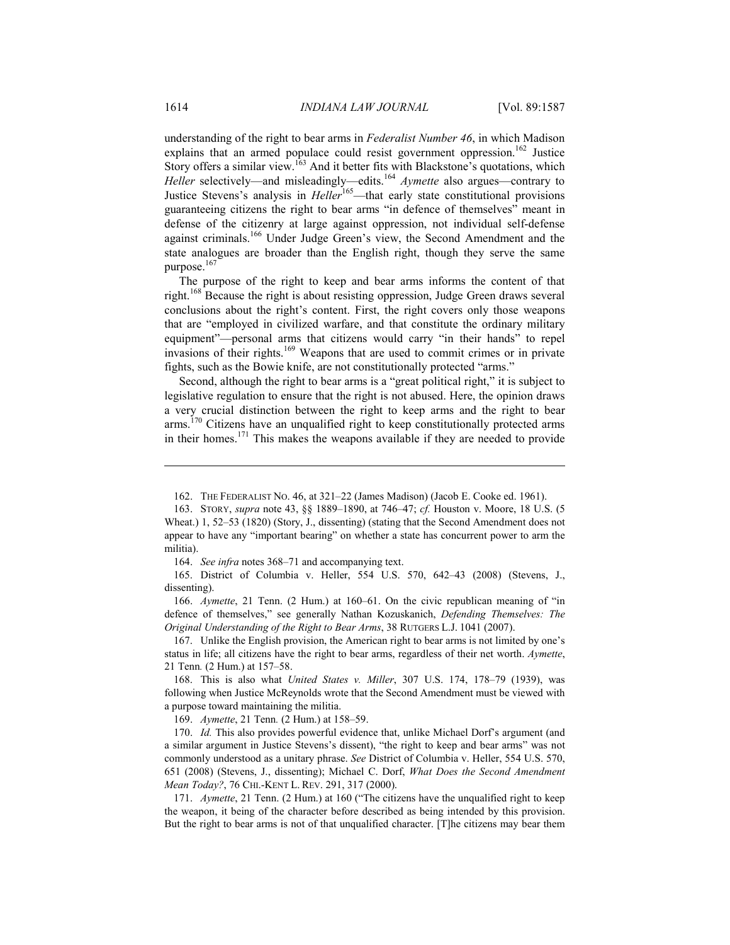understanding of the right to bear arms in *Federalist Number 46*, in which Madison explains that an armed populace could resist government oppression.<sup>162</sup> Justice Story offers a similar view.<sup>163</sup> And it better fits with Blackstone's quotations, which *Heller* selectively—and misleadingly—edits.<sup>164</sup> *Aymette* also argues—contrary to Justice Stevens's analysis in *Heller*<sup>165</sup>—that early state constitutional provisions guaranteeing citizens the right to bear arms "in defence of themselves" meant in defense of the citizenry at large against oppression, not individual self-defense against criminals.166 Under Judge Green's view, the Second Amendment and the state analogues are broader than the English right, though they serve the same purpose.<sup>167</sup>

The purpose of the right to keep and bear arms informs the content of that right.168 Because the right is about resisting oppression, Judge Green draws several conclusions about the right's content. First, the right covers only those weapons that are "employed in civilized warfare, and that constitute the ordinary military equipment"—personal arms that citizens would carry "in their hands" to repel invasions of their rights.<sup>169</sup> Weapons that are used to commit crimes or in private fights, such as the Bowie knife, are not constitutionally protected "arms."

Second, although the right to bear arms is a "great political right," it is subject to legislative regulation to ensure that the right is not abused. Here, the opinion draws a very crucial distinction between the right to keep arms and the right to bear arms.<sup>170</sup> Citizens have an unqualified right to keep constitutionally protected arms in their homes.<sup>171</sup> This makes the weapons available if they are needed to provide

164. *See infra* notes 368–71 and accompanying text.

 165. District of Columbia v. Heller, 554 U.S. 570, 642–43 (2008) (Stevens, J., dissenting).

 166. *Aymette*, 21 Tenn. (2 Hum.) at 160–61. On the civic republican meaning of "in defence of themselves," see generally Nathan Kozuskanich, *Defending Themselves: The Original Understanding of the Right to Bear Arms*, 38 RUTGERS L.J. 1041 (2007).

 167. Unlike the English provision, the American right to bear arms is not limited by one's status in life; all citizens have the right to bear arms, regardless of their net worth. *Aymette*, 21 Tenn*.* (2 Hum.) at 157–58.

 168. This is also what *United States v. Miller*, 307 U.S. 174, 178–79 (1939), was following when Justice McReynolds wrote that the Second Amendment must be viewed with a purpose toward maintaining the militia.

169. *Aymette*, 21 Tenn*.* (2 Hum.) at 158–59.

 170. *Id.* This also provides powerful evidence that, unlike Michael Dorf's argument (and a similar argument in Justice Stevens's dissent), "the right to keep and bear arms" was not commonly understood as a unitary phrase. *See* District of Columbia v. Heller, 554 U.S. 570, 651 (2008) (Stevens, J., dissenting); Michael C. Dorf, *What Does the Second Amendment Mean Today?*, 76 CHI.-KENT L. REV. 291, 317 (2000).

 171. *Aymette*, 21 Tenn. (2 Hum.) at 160 ("The citizens have the unqualified right to keep the weapon, it being of the character before described as being intended by this provision. But the right to bear arms is not of that unqualified character. [T]he citizens may bear them

 <sup>162.</sup> THE FEDERALIST NO. 46, at 321–22 (James Madison) (Jacob E. Cooke ed. 1961).

 <sup>163.</sup> STORY, *supra* note 43, §§ 1889–1890, at 746–47; *cf.* Houston v. Moore, 18 U.S. (5 Wheat.) 1, 52–53 (1820) (Story, J., dissenting) (stating that the Second Amendment does not appear to have any "important bearing" on whether a state has concurrent power to arm the militia).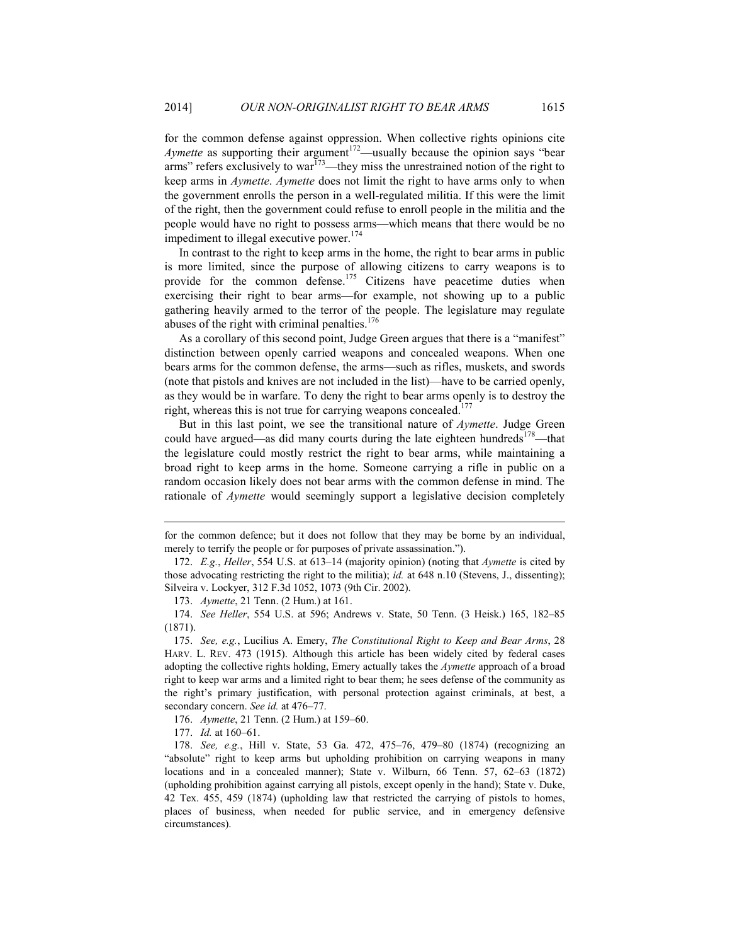for the common defense against oppression. When collective rights opinions cite *Aymette* as supporting their argument<sup>172</sup>—usually because the opinion says "bear arms" refers exclusively to war<sup>173</sup>—they miss the unrestrained notion of the right to keep arms in *Aymette*. *Aymette* does not limit the right to have arms only to when the government enrolls the person in a well-regulated militia. If this were the limit of the right, then the government could refuse to enroll people in the militia and the people would have no right to possess arms—which means that there would be no impediment to illegal executive power.<sup>174</sup>

In contrast to the right to keep arms in the home, the right to bear arms in public is more limited, since the purpose of allowing citizens to carry weapons is to provide for the common defense.<sup>175</sup> Citizens have peacetime duties when exercising their right to bear arms—for example, not showing up to a public gathering heavily armed to the terror of the people. The legislature may regulate abuses of the right with criminal penalties. $176$ 

As a corollary of this second point, Judge Green argues that there is a "manifest" distinction between openly carried weapons and concealed weapons. When one bears arms for the common defense, the arms—such as rifles, muskets, and swords (note that pistols and knives are not included in the list)—have to be carried openly, as they would be in warfare. To deny the right to bear arms openly is to destroy the right, whereas this is not true for carrying weapons concealed.<sup>177</sup>

But in this last point, we see the transitional nature of *Aymette*. Judge Green could have argued—as did many courts during the late eighteen hundreds<sup>178</sup>—that the legislature could mostly restrict the right to bear arms, while maintaining a broad right to keep arms in the home. Someone carrying a rifle in public on a random occasion likely does not bear arms with the common defense in mind. The rationale of *Aymette* would seemingly support a legislative decision completely

173. *Aymette*, 21 Tenn. (2 Hum.) at 161.

for the common defence; but it does not follow that they may be borne by an individual, merely to terrify the people or for purposes of private assassination.").

 <sup>172.</sup> *E.g.*, *Heller*, 554 U.S. at 613–14 (majority opinion) (noting that *Aymette* is cited by those advocating restricting the right to the militia); *id.* at 648 n.10 (Stevens, J., dissenting); Silveira v. Lockyer, 312 F.3d 1052, 1073 (9th Cir. 2002).

 <sup>174.</sup> *See Heller*, 554 U.S. at 596; Andrews v. State, 50 Tenn. (3 Heisk.) 165, 182–85 (1871).

 <sup>175.</sup> *See, e.g.*, Lucilius A. Emery, *The Constitutional Right to Keep and Bear Arms*, 28 HARV. L. REV. 473 (1915). Although this article has been widely cited by federal cases adopting the collective rights holding, Emery actually takes the *Aymette* approach of a broad right to keep war arms and a limited right to bear them; he sees defense of the community as the right's primary justification, with personal protection against criminals, at best, a secondary concern. *See id.* at 476–77.

 <sup>176.</sup> *Aymette*, 21 Tenn. (2 Hum.) at 159–60.

 <sup>177.</sup> *Id.* at 160–61.

 <sup>178.</sup> *See, e.g.*, Hill v. State, 53 Ga. 472, 475–76, 479–80 (1874) (recognizing an "absolute" right to keep arms but upholding prohibition on carrying weapons in many locations and in a concealed manner); State v. Wilburn, 66 Tenn. 57, 62–63 (1872) (upholding prohibition against carrying all pistols, except openly in the hand); State v. Duke, 42 Tex. 455, 459 (1874) (upholding law that restricted the carrying of pistols to homes, places of business, when needed for public service, and in emergency defensive circumstances).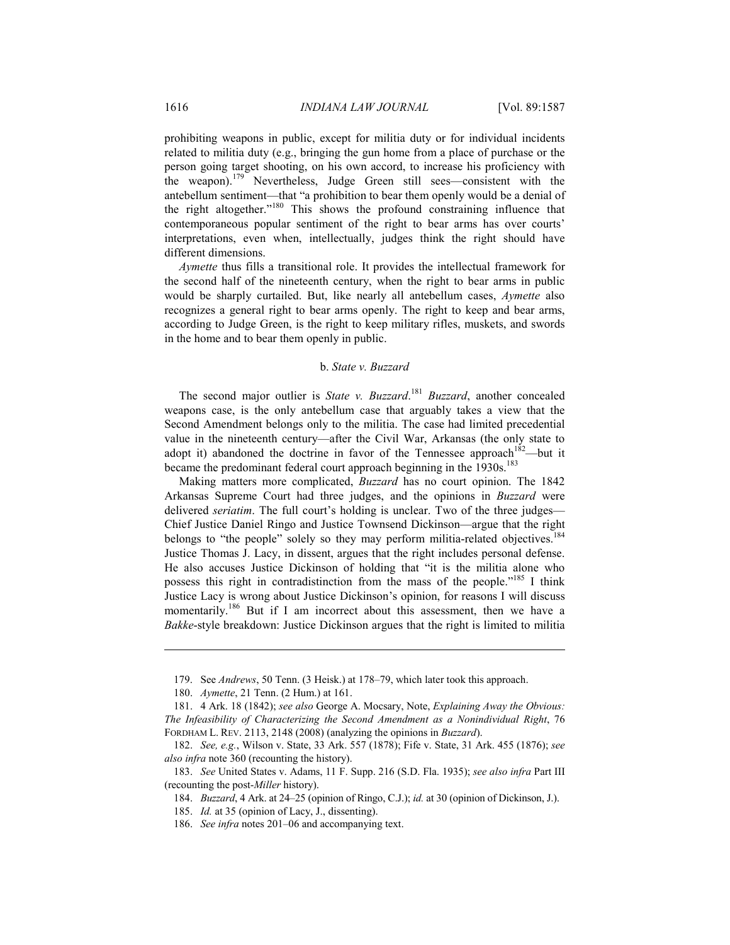prohibiting weapons in public, except for militia duty or for individual incidents related to militia duty (e.g., bringing the gun home from a place of purchase or the person going target shooting, on his own accord, to increase his proficiency with the weapon).179 Nevertheless, Judge Green still sees—consistent with the antebellum sentiment—that "a prohibition to bear them openly would be a denial of the right altogether."180 This shows the profound constraining influence that contemporaneous popular sentiment of the right to bear arms has over courts' interpretations, even when, intellectually, judges think the right should have different dimensions.

*Aymette* thus fills a transitional role. It provides the intellectual framework for the second half of the nineteenth century, when the right to bear arms in public would be sharply curtailed. But, like nearly all antebellum cases, *Aymette* also recognizes a general right to bear arms openly. The right to keep and bear arms, according to Judge Green, is the right to keep military rifles, muskets, and swords in the home and to bear them openly in public.

### b. *State v. Buzzard*

The second major outlier is *State v. Buzzard*. <sup>181</sup> *Buzzard*, another concealed weapons case, is the only antebellum case that arguably takes a view that the Second Amendment belongs only to the militia. The case had limited precedential value in the nineteenth century—after the Civil War, Arkansas (the only state to adopt it) abandoned the doctrine in favor of the Tennessee approach<sup>182</sup>—but it became the predominant federal court approach beginning in the 1930s.<sup>183</sup>

Making matters more complicated, *Buzzard* has no court opinion. The 1842 Arkansas Supreme Court had three judges, and the opinions in *Buzzard* were delivered *seriatim*. The full court's holding is unclear. Two of the three judges— Chief Justice Daniel Ringo and Justice Townsend Dickinson—argue that the right belongs to "the people" solely so they may perform militia-related objectives.<sup>184</sup> Justice Thomas J. Lacy, in dissent, argues that the right includes personal defense. He also accuses Justice Dickinson of holding that "it is the militia alone who possess this right in contradistinction from the mass of the people."<sup>185</sup> I think Justice Lacy is wrong about Justice Dickinson's opinion, for reasons I will discuss momentarily.<sup>186</sup> But if I am incorrect about this assessment, then we have a *Bakke*-style breakdown: Justice Dickinson argues that the right is limited to militia

 <sup>179.</sup> See *Andrews*, 50 Tenn. (3 Heisk.) at 178–79, which later took this approach.

 <sup>180.</sup> *Aymette*, 21 Tenn. (2 Hum.) at 161.

 <sup>181. 4</sup> Ark. 18 (1842); *see also* George A. Mocsary, Note, *Explaining Away the Obvious: The Infeasibility of Characterizing the Second Amendment as a Nonindividual Right*, 76 FORDHAM L. REV. 2113, 2148 (2008) (analyzing the opinions in *Buzzard*).

 <sup>182.</sup> *See, e.g.*, Wilson v. State, 33 Ark. 557 (1878); Fife v. State, 31 Ark. 455 (1876); *see also infra* note 360 (recounting the history).

 <sup>183.</sup> *See* United States v. Adams, 11 F. Supp. 216 (S.D. Fla. 1935); *see also infra* Part III (recounting the post-*Miller* history).

 <sup>184.</sup> *Buzzard*, 4 Ark. at 24–25 (opinion of Ringo, C.J.); *id.* at 30 (opinion of Dickinson, J.).

 <sup>185.</sup> *Id.* at 35 (opinion of Lacy, J., dissenting).

 <sup>186.</sup> *See infra* notes 201–06 and accompanying text.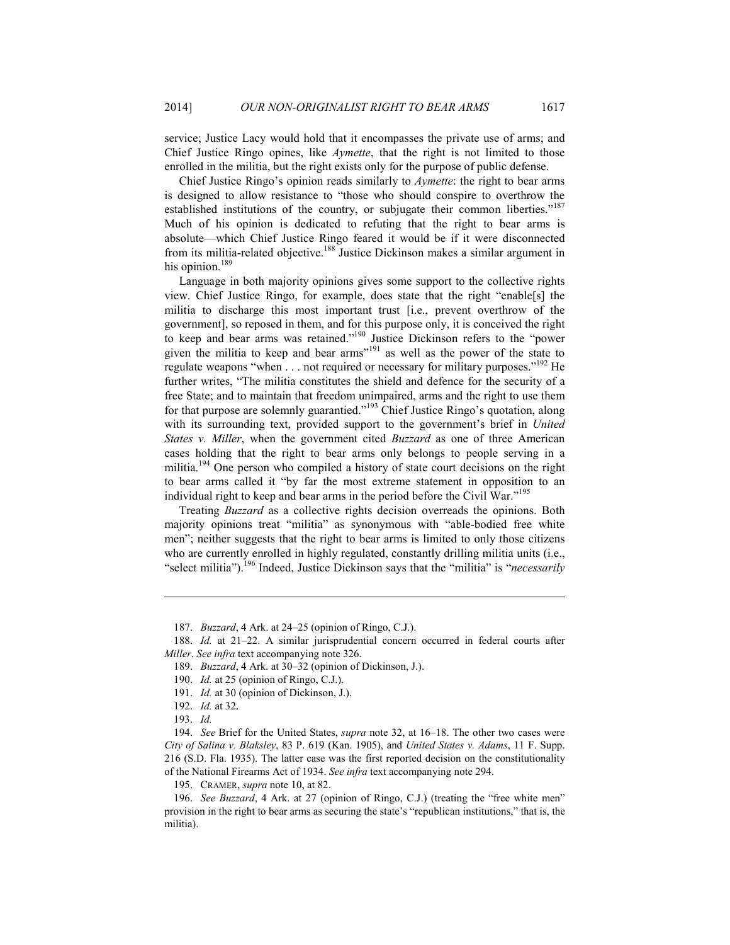service; Justice Lacy would hold that it encompasses the private use of arms; and Chief Justice Ringo opines, like *Aymette*, that the right is not limited to those enrolled in the militia, but the right exists only for the purpose of public defense.

Chief Justice Ringo's opinion reads similarly to *Aymette*: the right to bear arms is designed to allow resistance to "those who should conspire to overthrow the established institutions of the country, or subjugate their common liberties."<sup>187</sup> Much of his opinion is dedicated to refuting that the right to bear arms is absolute—which Chief Justice Ringo feared it would be if it were disconnected from its militia-related objective.<sup>188</sup> Justice Dickinson makes a similar argument in his opinion.<sup>189</sup>

Language in both majority opinions gives some support to the collective rights view. Chief Justice Ringo, for example, does state that the right "enable[s] the militia to discharge this most important trust [i.e., prevent overthrow of the government], so reposed in them, and for this purpose only, it is conceived the right to keep and bear arms was retained."<sup>190</sup> Justice Dickinson refers to the "power given the militia to keep and bear arms<sup> $191$ </sup> as well as the power of the state to regulate weapons "when . . . not required or necessary for military purposes."<sup>192</sup> He further writes, "The militia constitutes the shield and defence for the security of a free State; and to maintain that freedom unimpaired, arms and the right to use them for that purpose are solemnly guarantied."193 Chief Justice Ringo's quotation, along with its surrounding text, provided support to the government's brief in *United States v. Miller*, when the government cited *Buzzard* as one of three American cases holding that the right to bear arms only belongs to people serving in a militia.<sup>194</sup> One person who compiled a history of state court decisions on the right to bear arms called it "by far the most extreme statement in opposition to an individual right to keep and bear arms in the period before the Civil War."<sup>195</sup>

Treating *Buzzard* as a collective rights decision overreads the opinions. Both majority opinions treat "militia" as synonymous with "able-bodied free white men"; neither suggests that the right to bear arms is limited to only those citizens who are currently enrolled in highly regulated, constantly drilling militia units (i.e., "select militia").<sup>196</sup> Indeed, Justice Dickinson says that the "militia" is "*necessarily* 

<u>.</u>

195. CRAMER, *supra* note 10, at 82.

 <sup>187.</sup> *Buzzard*, 4 Ark. at 24–25 (opinion of Ringo, C.J.).

 <sup>188.</sup> *Id.* at 21–22. A similar jurisprudential concern occurred in federal courts after *Miller*. *See infra* text accompanying note 326.

 <sup>189.</sup> *Buzzard*, 4 Ark. at 30–32 (opinion of Dickinson, J.).

 <sup>190.</sup> *Id.* at 25 (opinion of Ringo, C.J.).

 <sup>191.</sup> *Id.* at 30 (opinion of Dickinson, J.).

 <sup>192.</sup> *Id.* at 32.

 <sup>193.</sup> *Id.*

 <sup>194.</sup> *See* Brief for the United States, *supra* note 32, at 16–18. The other two cases were *City of Salina v. Blaksley*, 83 P. 619 (Kan. 1905), and *United States v. Adams*, 11 F. Supp. 216 (S.D. Fla. 1935). The latter case was the first reported decision on the constitutionality of the National Firearms Act of 1934. *See infra* text accompanying note 294.

 <sup>196.</sup> *See Buzzard*, 4 Ark. at 27 (opinion of Ringo, C.J.) (treating the "free white men" provision in the right to bear arms as securing the state's "republican institutions," that is, the militia).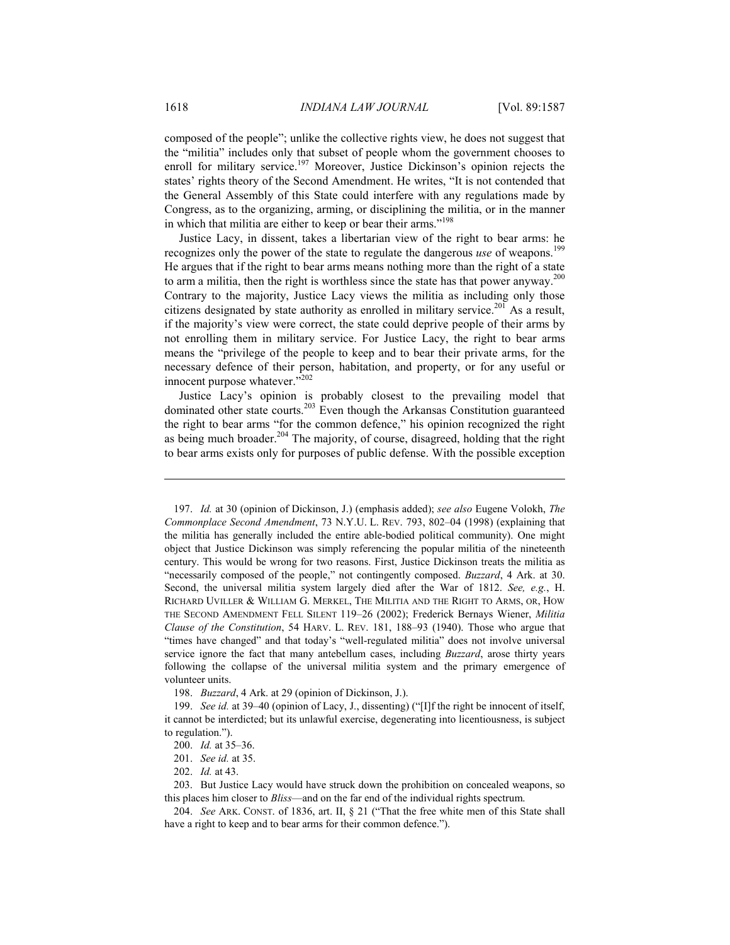composed of the people"; unlike the collective rights view, he does not suggest that the "militia" includes only that subset of people whom the government chooses to enroll for military service.<sup>197</sup> Moreover, Justice Dickinson's opinion rejects the states' rights theory of the Second Amendment. He writes, "It is not contended that the General Assembly of this State could interfere with any regulations made by Congress, as to the organizing, arming, or disciplining the militia, or in the manner in which that militia are either to keep or bear their arms."<sup>198</sup>

Justice Lacy, in dissent, takes a libertarian view of the right to bear arms: he recognizes only the power of the state to regulate the dangerous *use* of weapons.<sup>199</sup> He argues that if the right to bear arms means nothing more than the right of a state to arm a militia, then the right is worthless since the state has that power anyway.<sup>200</sup> Contrary to the majority, Justice Lacy views the militia as including only those citizens designated by state authority as enrolled in military service.<sup>201</sup> As a result, if the majority's view were correct, the state could deprive people of their arms by not enrolling them in military service. For Justice Lacy, the right to bear arms means the "privilege of the people to keep and to bear their private arms, for the necessary defence of their person, habitation, and property, or for any useful or innocent purpose whatever."<sup>202</sup>

Justice Lacy's opinion is probably closest to the prevailing model that dominated other state courts.203 Even though the Arkansas Constitution guaranteed the right to bear arms "for the common defence," his opinion recognized the right as being much broader.<sup>204</sup> The majority, of course, disagreed, holding that the right to bear arms exists only for purposes of public defense. With the possible exception

 <sup>197.</sup> *Id.* at 30 (opinion of Dickinson, J.) (emphasis added); *see also* Eugene Volokh, *The Commonplace Second Amendment*, 73 N.Y.U. L. REV. 793, 802–04 (1998) (explaining that the militia has generally included the entire able-bodied political community). One might object that Justice Dickinson was simply referencing the popular militia of the nineteenth century. This would be wrong for two reasons. First, Justice Dickinson treats the militia as "necessarily composed of the people," not contingently composed. *Buzzard*, 4 Ark. at 30. Second, the universal militia system largely died after the War of 1812. *See, e.g.*, H. RICHARD UVILLER & WILLIAM G. MERKEL, THE MILITIA AND THE RIGHT TO ARMS, OR, HOW THE SECOND AMENDMENT FELL SILENT 119–26 (2002); Frederick Bernays Wiener, *Militia Clause of the Constitution*, 54 HARV. L. REV. 181, 188–93 (1940). Those who argue that "times have changed" and that today's "well-regulated militia" does not involve universal service ignore the fact that many antebellum cases, including *Buzzard*, arose thirty years following the collapse of the universal militia system and the primary emergence of volunteer units.

 <sup>198.</sup> *Buzzard*, 4 Ark. at 29 (opinion of Dickinson, J.).

 <sup>199.</sup> *See id.* at 39–40 (opinion of Lacy, J., dissenting) ("[I]f the right be innocent of itself, it cannot be interdicted; but its unlawful exercise, degenerating into licentiousness, is subject to regulation.").

 <sup>200.</sup> *Id.* at 35–36.

 <sup>201.</sup> *See id.* at 35.

 <sup>202.</sup> *Id.* at 43.

 <sup>203.</sup> But Justice Lacy would have struck down the prohibition on concealed weapons, so this places him closer to *Bliss*—and on the far end of the individual rights spectrum.

 <sup>204.</sup> *See* ARK. CONST. of 1836, art. II, § 21 ("That the free white men of this State shall have a right to keep and to bear arms for their common defence.").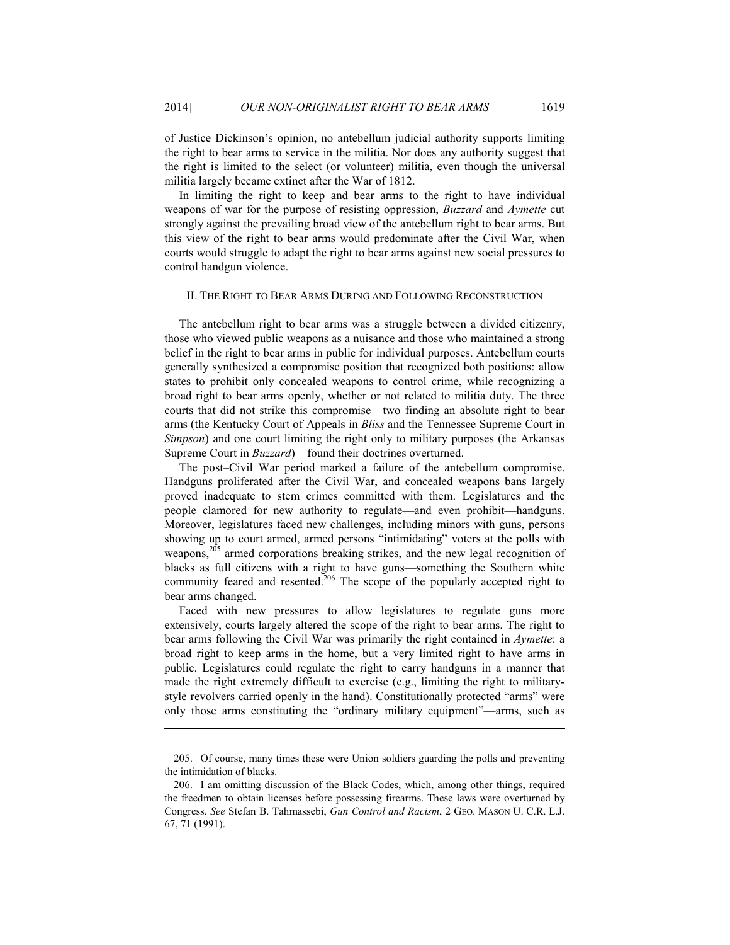of Justice Dickinson's opinion, no antebellum judicial authority supports limiting the right to bear arms to service in the militia. Nor does any authority suggest that the right is limited to the select (or volunteer) militia, even though the universal militia largely became extinct after the War of 1812.

In limiting the right to keep and bear arms to the right to have individual weapons of war for the purpose of resisting oppression, *Buzzard* and *Aymette* cut strongly against the prevailing broad view of the antebellum right to bear arms. But this view of the right to bear arms would predominate after the Civil War, when courts would struggle to adapt the right to bear arms against new social pressures to control handgun violence.

#### II. THE RIGHT TO BEAR ARMS DURING AND FOLLOWING RECONSTRUCTION

The antebellum right to bear arms was a struggle between a divided citizenry, those who viewed public weapons as a nuisance and those who maintained a strong belief in the right to bear arms in public for individual purposes. Antebellum courts generally synthesized a compromise position that recognized both positions: allow states to prohibit only concealed weapons to control crime, while recognizing a broad right to bear arms openly, whether or not related to militia duty. The three courts that did not strike this compromise—two finding an absolute right to bear arms (the Kentucky Court of Appeals in *Bliss* and the Tennessee Supreme Court in *Simpson*) and one court limiting the right only to military purposes (the Arkansas Supreme Court in *Buzzard*)—found their doctrines overturned.

The post–Civil War period marked a failure of the antebellum compromise. Handguns proliferated after the Civil War, and concealed weapons bans largely proved inadequate to stem crimes committed with them. Legislatures and the people clamored for new authority to regulate—and even prohibit—handguns. Moreover, legislatures faced new challenges, including minors with guns, persons showing up to court armed, armed persons "intimidating" voters at the polls with weapons,<sup>205</sup> armed corporations breaking strikes, and the new legal recognition of blacks as full citizens with a right to have guns—something the Southern white community feared and resented.<sup>206</sup> The scope of the popularly accepted right to bear arms changed.

Faced with new pressures to allow legislatures to regulate guns more extensively, courts largely altered the scope of the right to bear arms. The right to bear arms following the Civil War was primarily the right contained in *Aymette*: a broad right to keep arms in the home, but a very limited right to have arms in public. Legislatures could regulate the right to carry handguns in a manner that made the right extremely difficult to exercise (e.g., limiting the right to militarystyle revolvers carried openly in the hand). Constitutionally protected "arms" were only those arms constituting the "ordinary military equipment"—arms, such as

 <sup>205.</sup> Of course, many times these were Union soldiers guarding the polls and preventing the intimidation of blacks.

 <sup>206.</sup> I am omitting discussion of the Black Codes, which, among other things, required the freedmen to obtain licenses before possessing firearms. These laws were overturned by Congress. *See* Stefan B. Tahmassebi, *Gun Control and Racism*, 2 GEO. MASON U. C.R. L.J. 67, 71 (1991).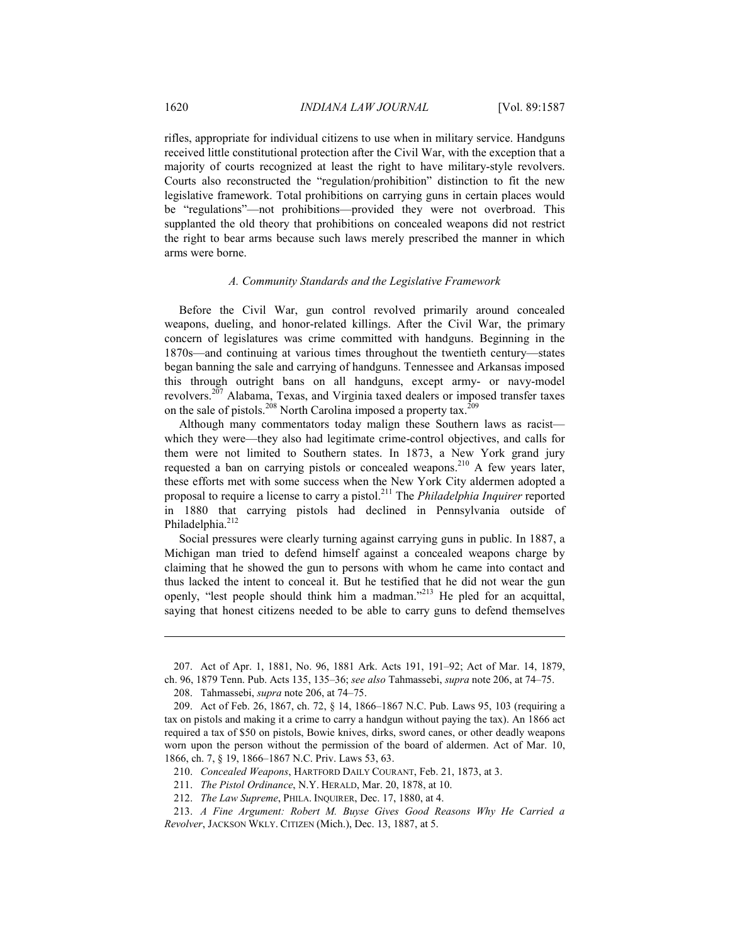rifles, appropriate for individual citizens to use when in military service. Handguns received little constitutional protection after the Civil War, with the exception that a majority of courts recognized at least the right to have military-style revolvers. Courts also reconstructed the "regulation/prohibition" distinction to fit the new legislative framework. Total prohibitions on carrying guns in certain places would be "regulations"—not prohibitions—provided they were not overbroad. This supplanted the old theory that prohibitions on concealed weapons did not restrict the right to bear arms because such laws merely prescribed the manner in which arms were borne.

#### *A. Community Standards and the Legislative Framework*

Before the Civil War, gun control revolved primarily around concealed weapons, dueling, and honor-related killings. After the Civil War, the primary concern of legislatures was crime committed with handguns. Beginning in the 1870s—and continuing at various times throughout the twentieth century—states began banning the sale and carrying of handguns. Tennessee and Arkansas imposed this through outright bans on all handguns, except army- or navy-model revolvers.207 Alabama, Texas, and Virginia taxed dealers or imposed transfer taxes on the sale of pistols.<sup>208</sup> North Carolina imposed a property tax.<sup>209</sup>

Although many commentators today malign these Southern laws as racist which they were—they also had legitimate crime-control objectives, and calls for them were not limited to Southern states. In 1873, a New York grand jury requested a ban on carrying pistols or concealed weapons.<sup>210</sup> A few years later, these efforts met with some success when the New York City aldermen adopted a proposal to require a license to carry a pistol.211 The *Philadelphia Inquirer* reported in 1880 that carrying pistols had declined in Pennsylvania outside of Philadelphia.<sup>212</sup>

Social pressures were clearly turning against carrying guns in public. In 1887, a Michigan man tried to defend himself against a concealed weapons charge by claiming that he showed the gun to persons with whom he came into contact and thus lacked the intent to conceal it. But he testified that he did not wear the gun openly, "lest people should think him a madman."<sup>213</sup> He pled for an acquittal, saying that honest citizens needed to be able to carry guns to defend themselves

 <sup>207.</sup> Act of Apr. 1, 1881, No. 96, 1881 Ark. Acts 191, 191–92; Act of Mar. 14, 1879, ch. 96, 1879 Tenn. Pub. Acts 135, 135–36; *see also* Tahmassebi, *supra* note 206, at 74–75.

 <sup>208.</sup> Tahmassebi, *supra* note 206, at 74–75.

 <sup>209.</sup> Act of Feb. 26, 1867, ch. 72, § 14, 1866–1867 N.C. Pub. Laws 95, 103 (requiring a tax on pistols and making it a crime to carry a handgun without paying the tax). An 1866 act required a tax of \$50 on pistols, Bowie knives, dirks, sword canes, or other deadly weapons worn upon the person without the permission of the board of aldermen. Act of Mar. 10, 1866, ch. 7, § 19, 1866–1867 N.C. Priv. Laws 53, 63.

 <sup>210.</sup> *Concealed Weapons*, HARTFORD DAILY COURANT, Feb. 21, 1873, at 3.

 <sup>211.</sup> *The Pistol Ordinance*, N.Y. HERALD, Mar. 20, 1878, at 10.

 <sup>212.</sup> *The Law Supreme*, PHILA. INQUIRER, Dec. 17, 1880, at 4.

 <sup>213.</sup> *A Fine Argument: Robert M. Buyse Gives Good Reasons Why He Carried a Revolver*, JACKSON WKLY. CITIZEN (Mich.), Dec. 13, 1887, at 5.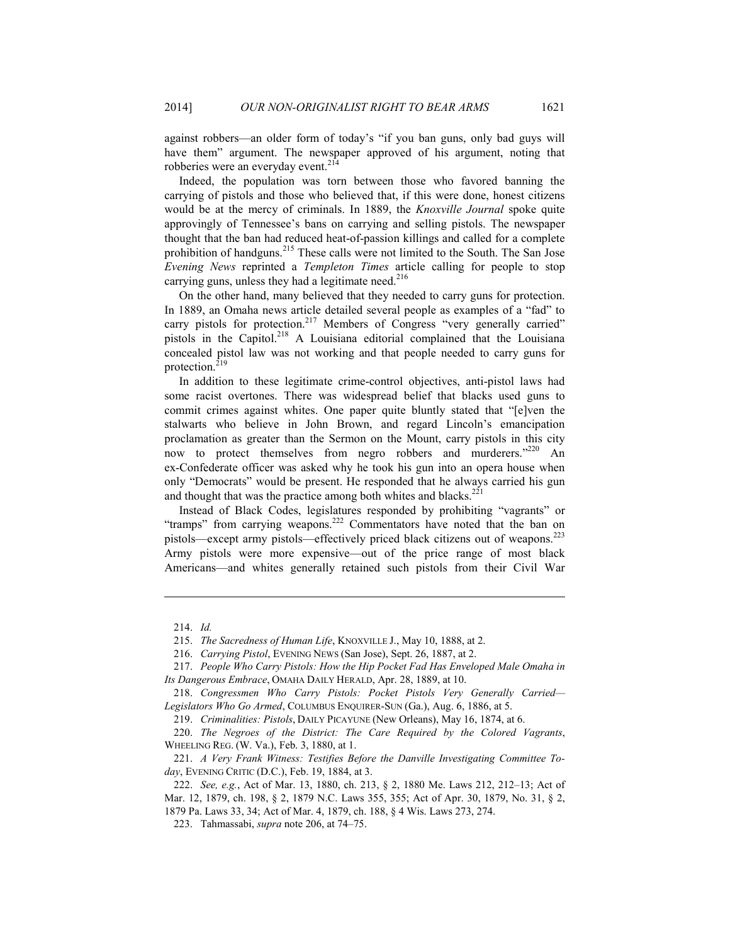against robbers—an older form of today's "if you ban guns, only bad guys will have them" argument. The newspaper approved of his argument, noting that robberies were an everyday event.<sup>214</sup>

Indeed, the population was torn between those who favored banning the carrying of pistols and those who believed that, if this were done, honest citizens would be at the mercy of criminals. In 1889, the *Knoxville Journal* spoke quite approvingly of Tennessee's bans on carrying and selling pistols. The newspaper thought that the ban had reduced heat-of-passion killings and called for a complete prohibition of handguns.<sup>215</sup> These calls were not limited to the South. The San Jose *Evening News* reprinted a *Templeton Times* article calling for people to stop carrying guns, unless they had a legitimate need.<sup>216</sup>

On the other hand, many believed that they needed to carry guns for protection. In 1889, an Omaha news article detailed several people as examples of a "fad" to carry pistols for protection.<sup>217</sup> Members of Congress "very generally carried" pistols in the Capitol.<sup>218</sup> A Louisiana editorial complained that the Louisiana concealed pistol law was not working and that people needed to carry guns for protection.<sup>219</sup>

In addition to these legitimate crime-control objectives, anti-pistol laws had some racist overtones. There was widespread belief that blacks used guns to commit crimes against whites. One paper quite bluntly stated that "[e]ven the stalwarts who believe in John Brown, and regard Lincoln's emancipation proclamation as greater than the Sermon on the Mount, carry pistols in this city now to protect themselves from negro robbers and murderers."<sup>220</sup> An ex-Confederate officer was asked why he took his gun into an opera house when only "Democrats" would be present. He responded that he always carried his gun and thought that was the practice among both whites and blacks.<sup>221</sup>

Instead of Black Codes, legislatures responded by prohibiting "vagrants" or "tramps" from carrying weapons.<sup>222</sup> Commentators have noted that the ban on pistols—except army pistols—effectively priced black citizens out of weapons.<sup>223</sup> Army pistols were more expensive—out of the price range of most black Americans—and whites generally retained such pistols from their Civil War

 <sup>214.</sup> *Id.*

 <sup>215.</sup> *The Sacredness of Human Life*, KNOXVILLE J., May 10, 1888, at 2.

 <sup>216.</sup> *Carrying Pistol*, EVENING NEWS (San Jose), Sept. 26, 1887, at 2.

 <sup>217.</sup> *People Who Carry Pistols: How the Hip Pocket Fad Has Enveloped Male Omaha in Its Dangerous Embrace*, OMAHA DAILY HERALD, Apr. 28, 1889, at 10.

 <sup>218.</sup> *Congressmen Who Carry Pistols: Pocket Pistols Very Generally Carried— Legislators Who Go Armed*, COLUMBUS ENQUIRER-SUN (Ga.), Aug. 6, 1886, at 5.

 <sup>219.</sup> *Criminalities: Pistols*, DAILY PICAYUNE (New Orleans), May 16, 1874, at 6.

 <sup>220.</sup> *The Negroes of the District: The Care Required by the Colored Vagrants*, WHEELING REG. (W. Va.), Feb. 3, 1880, at 1.

 <sup>221.</sup> *A Very Frank Witness: Testifies Before the Danville Investigating Committee Today*, EVENING CRITIC (D.C.), Feb. 19, 1884, at 3.

 <sup>222.</sup> *See, e.g.*, Act of Mar. 13, 1880, ch. 213, § 2, 1880 Me. Laws 212, 212–13; Act of Mar. 12, 1879, ch. 198, § 2, 1879 N.C. Laws 355, 355; Act of Apr. 30, 1879, No. 31, § 2, 1879 Pa. Laws 33, 34; Act of Mar. 4, 1879, ch. 188, § 4 Wis. Laws 273, 274.

 <sup>223.</sup> Tahmassabi, *supra* note 206, at 74–75.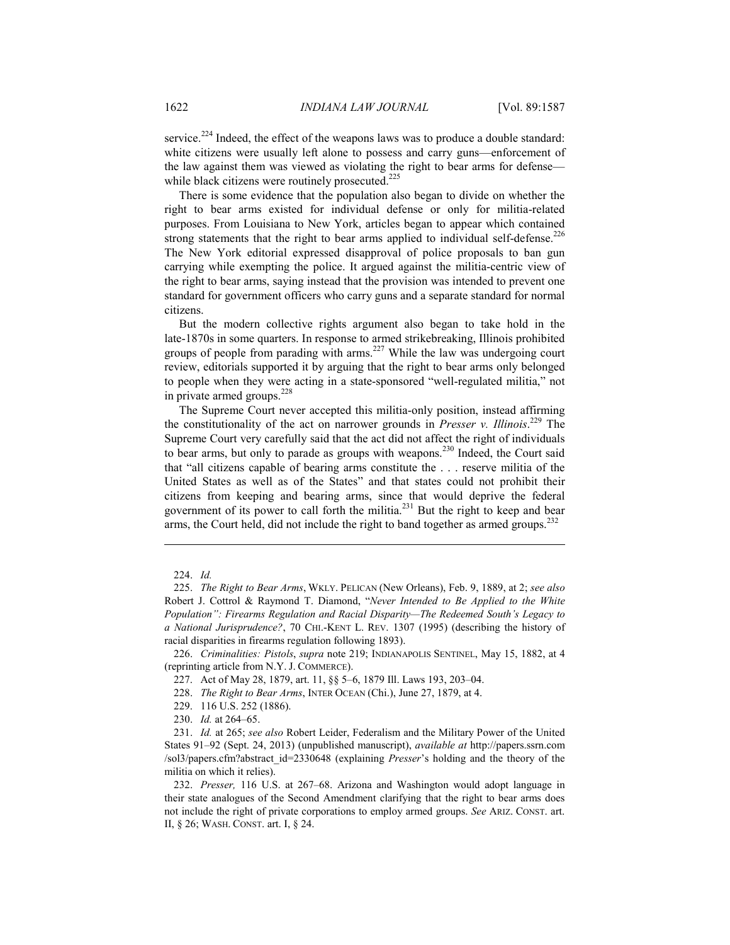service.<sup>224</sup> Indeed, the effect of the weapons laws was to produce a double standard: white citizens were usually left alone to possess and carry guns—enforcement of the law against them was viewed as violating the right to bear arms for defense while black citizens were routinely prosecuted.<sup>225</sup>

There is some evidence that the population also began to divide on whether the right to bear arms existed for individual defense or only for militia-related purposes. From Louisiana to New York, articles began to appear which contained strong statements that the right to bear arms applied to individual self-defense.<sup>226</sup> The New York editorial expressed disapproval of police proposals to ban gun carrying while exempting the police. It argued against the militia-centric view of the right to bear arms, saying instead that the provision was intended to prevent one standard for government officers who carry guns and a separate standard for normal citizens.

But the modern collective rights argument also began to take hold in the late-1870s in some quarters. In response to armed strikebreaking, Illinois prohibited groups of people from parading with arms.<sup>227</sup> While the law was undergoing court review, editorials supported it by arguing that the right to bear arms only belonged to people when they were acting in a state-sponsored "well-regulated militia," not in private armed groups.<sup>228</sup>

The Supreme Court never accepted this militia-only position, instead affirming the constitutionality of the act on narrower grounds in *Presser v. Illinois*. 229 The Supreme Court very carefully said that the act did not affect the right of individuals to bear arms, but only to parade as groups with weapons.<sup>230</sup> Indeed, the Court said that "all citizens capable of bearing arms constitute the . . . reserve militia of the United States as well as of the States" and that states could not prohibit their citizens from keeping and bearing arms, since that would deprive the federal government of its power to call forth the militia.<sup>231</sup> But the right to keep and bear arms, the Court held, did not include the right to band together as armed groups.<sup>232</sup>

1

 232. *Presser,* 116 U.S. at 267–68. Arizona and Washington would adopt language in their state analogues of the Second Amendment clarifying that the right to bear arms does not include the right of private corporations to employ armed groups. *See* ARIZ. CONST. art. II, § 26; WASH. CONST. art. I, § 24.

 <sup>224.</sup> *Id.*

 <sup>225.</sup> *The Right to Bear Arms*, WKLY. PELICAN (New Orleans), Feb. 9, 1889, at 2; *see also* Robert J. Cottrol & Raymond T. Diamond, "*Never Intended to Be Applied to the White Population": Firearms Regulation and Racial Disparity—The Redeemed South's Legacy to a National Jurisprudence?*, 70 CHI.-KENT L. REV. 1307 (1995) (describing the history of racial disparities in firearms regulation following 1893).

 <sup>226.</sup> *Criminalities: Pistols*, *supra* note 219; INDIANAPOLIS SENTINEL, May 15, 1882, at 4 (reprinting article from N.Y. J. COMMERCE).

 <sup>227.</sup> Act of May 28, 1879, art. 11, §§ 5–6, 1879 Ill. Laws 193, 203–04.

 <sup>228.</sup> *The Right to Bear Arms*, INTER OCEAN (Chi.), June 27, 1879, at 4.

 <sup>229. 116</sup> U.S. 252 (1886).

 <sup>230.</sup> *Id.* at 264–65.

 <sup>231.</sup> *Id.* at 265; *see also* Robert Leider, Federalism and the Military Power of the United States 91–92 (Sept. 24, 2013) (unpublished manuscript), *available at* http://papers.ssrn.com /sol3/papers.cfm?abstract\_id=2330648 (explaining *Presser*'s holding and the theory of the militia on which it relies).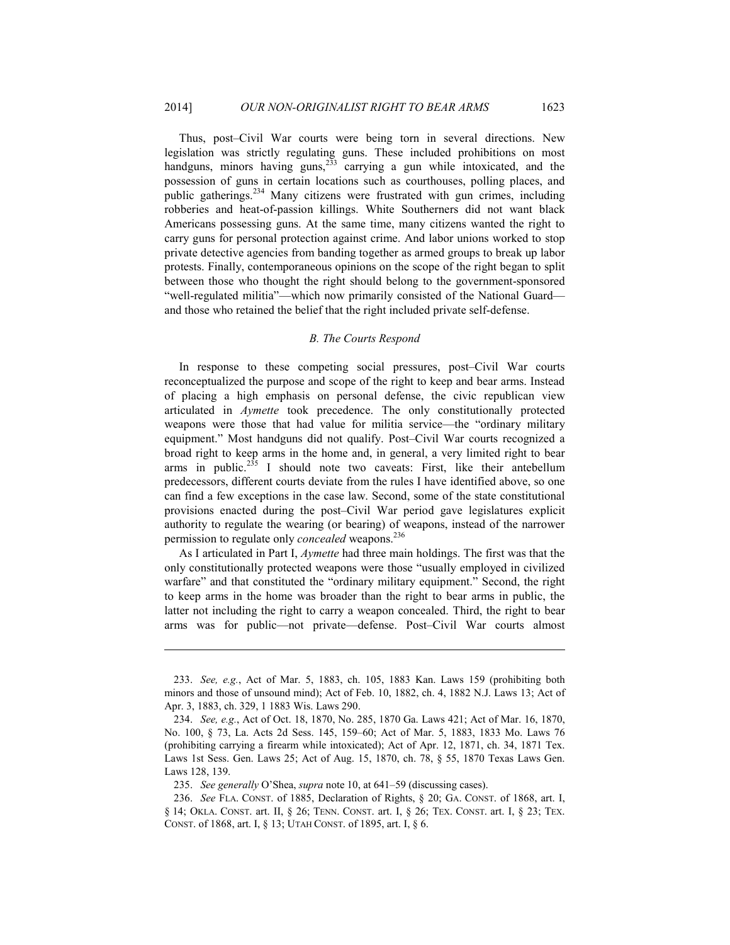Thus, post–Civil War courts were being torn in several directions. New legislation was strictly regulating guns. These included prohibitions on most handguns, minors having guns,<sup>233</sup> carrying a gun while intoxicated, and the possession of guns in certain locations such as courthouses, polling places, and public gatherings.<sup>234</sup> Many citizens were frustrated with gun crimes, including robberies and heat-of-passion killings. White Southerners did not want black Americans possessing guns. At the same time, many citizens wanted the right to carry guns for personal protection against crime. And labor unions worked to stop private detective agencies from banding together as armed groups to break up labor protests. Finally, contemporaneous opinions on the scope of the right began to split between those who thought the right should belong to the government-sponsored "well-regulated militia"—which now primarily consisted of the National Guard and those who retained the belief that the right included private self-defense.

#### *B. The Courts Respond*

In response to these competing social pressures, post–Civil War courts reconceptualized the purpose and scope of the right to keep and bear arms. Instead of placing a high emphasis on personal defense, the civic republican view articulated in *Aymette* took precedence. The only constitutionally protected weapons were those that had value for militia service—the "ordinary military equipment." Most handguns did not qualify. Post–Civil War courts recognized a broad right to keep arms in the home and, in general, a very limited right to bear arms in public.<sup>235</sup> I should note two caveats: First, like their antebellum predecessors, different courts deviate from the rules I have identified above, so one can find a few exceptions in the case law. Second, some of the state constitutional provisions enacted during the post–Civil War period gave legislatures explicit authority to regulate the wearing (or bearing) of weapons, instead of the narrower permission to regulate only *concealed* weapons.<sup>236</sup>

As I articulated in Part I, *Aymette* had three main holdings. The first was that the only constitutionally protected weapons were those "usually employed in civilized warfare" and that constituted the "ordinary military equipment." Second, the right to keep arms in the home was broader than the right to bear arms in public, the latter not including the right to carry a weapon concealed. Third, the right to bear arms was for public—not private—defense. Post–Civil War courts almost

 <sup>233.</sup> *See, e.g.*, Act of Mar. 5, 1883, ch. 105, 1883 Kan. Laws 159 (prohibiting both minors and those of unsound mind); Act of Feb. 10, 1882, ch. 4, 1882 N.J. Laws 13; Act of Apr. 3, 1883, ch. 329, 1 1883 Wis. Laws 290.

 <sup>234.</sup> *See, e.g.*, Act of Oct. 18, 1870, No. 285, 1870 Ga. Laws 421; Act of Mar. 16, 1870, No. 100, § 73, La. Acts 2d Sess. 145, 159–60; Act of Mar. 5, 1883, 1833 Mo. Laws 76 (prohibiting carrying a firearm while intoxicated); Act of Apr. 12, 1871, ch. 34, 1871 Tex. Laws 1st Sess. Gen. Laws 25; Act of Aug. 15, 1870, ch. 78, § 55, 1870 Texas Laws Gen. Laws 128, 139.

 <sup>235.</sup> *See generally* O'Shea, *supra* note 10, at 641–59 (discussing cases).

 <sup>236.</sup> *See* FLA. CONST. of 1885, Declaration of Rights, § 20; GA. CONST. of 1868, art. I, § 14; OKLA. CONST. art. II, § 26; TENN. CONST. art. I, § 26; TEX. CONST. art. I, § 23; TEX. CONST. of 1868, art. I, § 13; UTAH CONST. of 1895, art. I, § 6.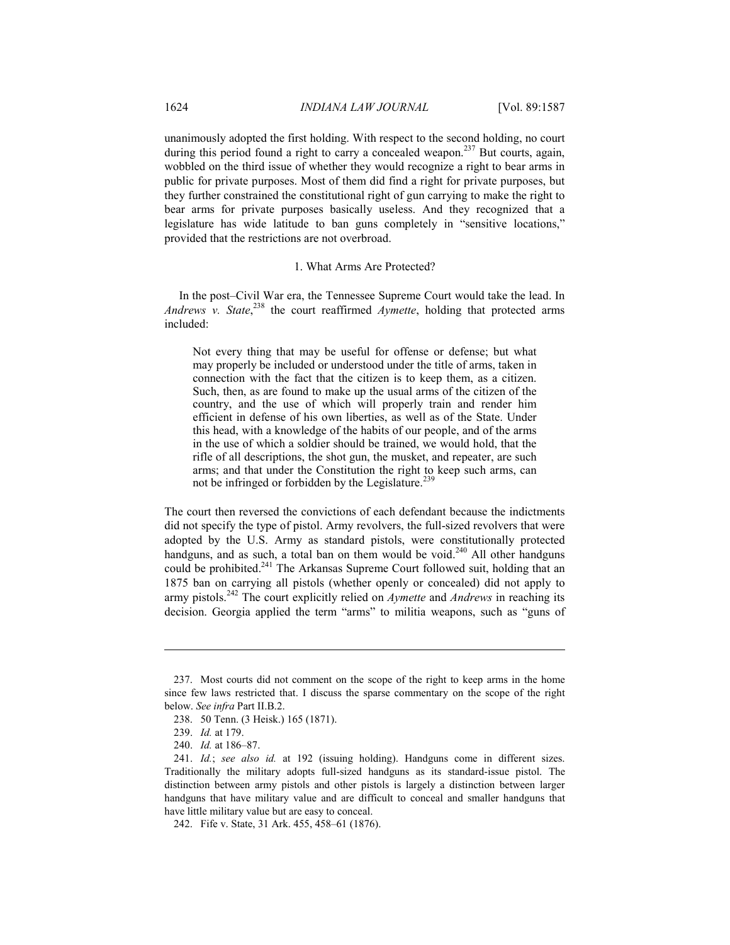unanimously adopted the first holding. With respect to the second holding, no court during this period found a right to carry a concealed weapon.<sup>237</sup> But courts, again, wobbled on the third issue of whether they would recognize a right to bear arms in public for private purposes. Most of them did find a right for private purposes, but they further constrained the constitutional right of gun carrying to make the right to bear arms for private purposes basically useless. And they recognized that a legislature has wide latitude to ban guns completely in "sensitive locations," provided that the restrictions are not overbroad.

#### 1. What Arms Are Protected?

In the post–Civil War era, the Tennessee Supreme Court would take the lead. In Andrews v. State,<sup>238</sup> the court reaffirmed *Aymette*, holding that protected arms included:

Not every thing that may be useful for offense or defense; but what may properly be included or understood under the title of arms, taken in connection with the fact that the citizen is to keep them, as a citizen. Such, then, as are found to make up the usual arms of the citizen of the country, and the use of which will properly train and render him efficient in defense of his own liberties, as well as of the State. Under this head, with a knowledge of the habits of our people, and of the arms in the use of which a soldier should be trained, we would hold, that the rifle of all descriptions, the shot gun, the musket, and repeater, are such arms; and that under the Constitution the right to keep such arms, can not be infringed or forbidden by the Legislature.<sup>239</sup>

The court then reversed the convictions of each defendant because the indictments did not specify the type of pistol. Army revolvers, the full-sized revolvers that were adopted by the U.S. Army as standard pistols, were constitutionally protected handguns, and as such, a total ban on them would be void.<sup>240</sup> All other handguns could be prohibited.<sup>241</sup> The Arkansas Supreme Court followed suit, holding that an 1875 ban on carrying all pistols (whether openly or concealed) did not apply to army pistols.242 The court explicitly relied on *Aymette* and *Andrews* in reaching its decision. Georgia applied the term "arms" to militia weapons, such as "guns of

 <sup>237.</sup> Most courts did not comment on the scope of the right to keep arms in the home since few laws restricted that. I discuss the sparse commentary on the scope of the right below. *See infra* Part II.B.2.

 <sup>238. 50</sup> Tenn. (3 Heisk.) 165 (1871).

 <sup>239.</sup> *Id.* at 179.

 <sup>240.</sup> *Id.* at 186–87.

 <sup>241.</sup> *Id.*; *see also id.* at 192 (issuing holding). Handguns come in different sizes. Traditionally the military adopts full-sized handguns as its standard-issue pistol. The distinction between army pistols and other pistols is largely a distinction between larger handguns that have military value and are difficult to conceal and smaller handguns that have little military value but are easy to conceal.

 <sup>242.</sup> Fife v. State, 31 Ark. 455, 458–61 (1876).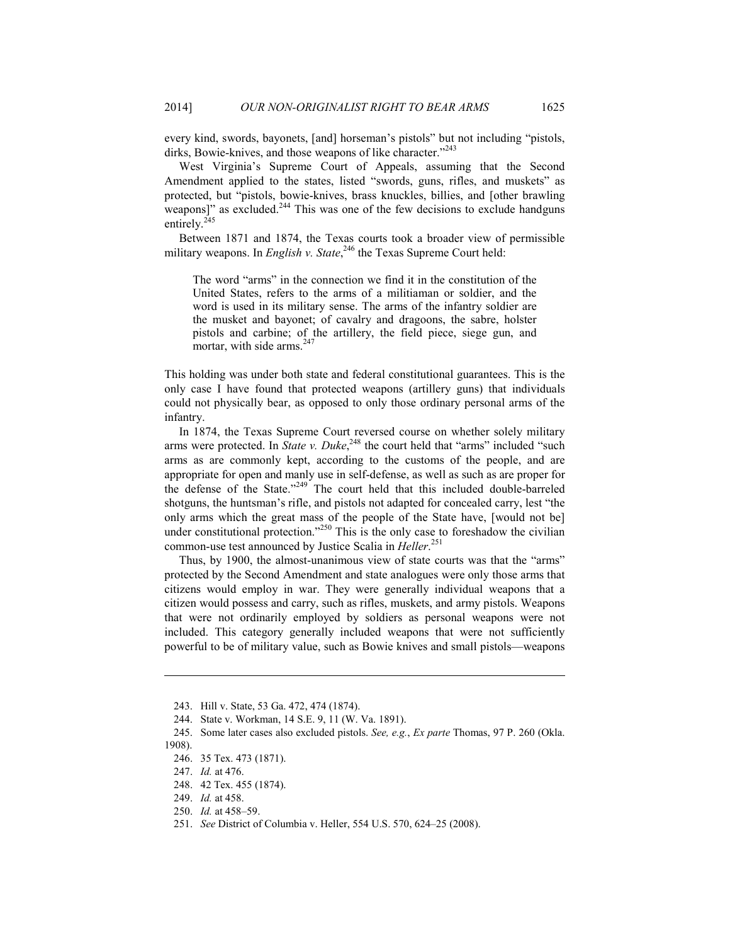every kind, swords, bayonets, [and] horseman's pistols" but not including "pistols, dirks, Bowie-knives, and those weapons of like character."<sup>243</sup>

West Virginia's Supreme Court of Appeals, assuming that the Second Amendment applied to the states, listed "swords, guns, rifles, and muskets" as protected, but "pistols, bowie-knives, brass knuckles, billies, and [other brawling weapons]" as excluded.<sup>244</sup> This was one of the few decisions to exclude handguns entirely.<sup>245</sup>

Between 1871 and 1874, the Texas courts took a broader view of permissible military weapons. In *English v. State*,<sup>246</sup> the Texas Supreme Court held:

The word "arms" in the connection we find it in the constitution of the United States, refers to the arms of a militiaman or soldier, and the word is used in its military sense. The arms of the infantry soldier are the musket and bayonet; of cavalry and dragoons, the sabre, holster pistols and carbine; of the artillery, the field piece, siege gun, and mortar, with side arms.<sup>247</sup>

This holding was under both state and federal constitutional guarantees. This is the only case I have found that protected weapons (artillery guns) that individuals could not physically bear, as opposed to only those ordinary personal arms of the infantry.

In 1874, the Texas Supreme Court reversed course on whether solely military arms were protected. In *State v. Duke*,<sup>248</sup> the court held that "arms" included "such arms as are commonly kept, according to the customs of the people, and are appropriate for open and manly use in self-defense, as well as such as are proper for the defense of the State."249 The court held that this included double-barreled shotguns, the huntsman's rifle, and pistols not adapted for concealed carry, lest "the only arms which the great mass of the people of the State have, [would not be] under constitutional protection."<sup>250</sup> This is the only case to foreshadow the civilian common-use test announced by Justice Scalia in *Heller*. 251

Thus, by 1900, the almost-unanimous view of state courts was that the "arms" protected by the Second Amendment and state analogues were only those arms that citizens would employ in war. They were generally individual weapons that a citizen would possess and carry, such as rifles, muskets, and army pistols. Weapons that were not ordinarily employed by soldiers as personal weapons were not included. This category generally included weapons that were not sufficiently powerful to be of military value, such as Bowie knives and small pistols—weapons

 <sup>243.</sup> Hill v. State, 53 Ga. 472, 474 (1874).

 <sup>244.</sup> State v. Workman, 14 S.E. 9, 11 (W. Va. 1891).

 <sup>245.</sup> Some later cases also excluded pistols. *See, e.g.*, *Ex parte* Thomas, 97 P. 260 (Okla. 1908).

 <sup>246. 35</sup> Tex. 473 (1871).

 <sup>247.</sup> *Id.* at 476.

 <sup>248. 42</sup> Tex. 455 (1874).

 <sup>249.</sup> *Id.* at 458.

 <sup>250.</sup> *Id.* at 458–59.

 <sup>251.</sup> *See* District of Columbia v. Heller, 554 U.S. 570, 624–25 (2008).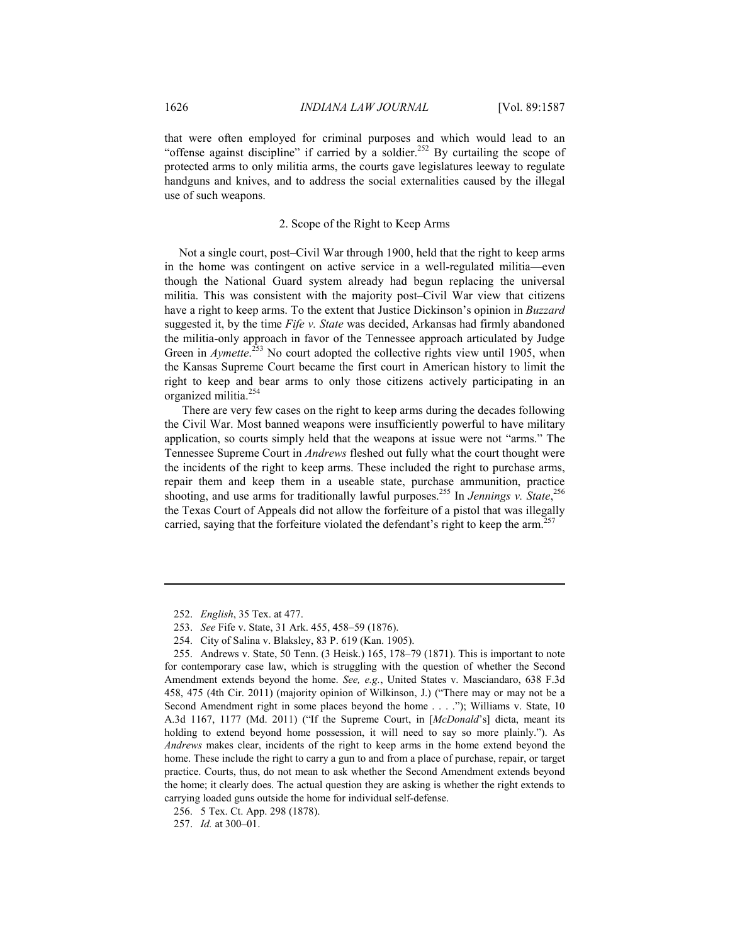that were often employed for criminal purposes and which would lead to an "offense against discipline" if carried by a soldier.<sup>252</sup> By curtailing the scope of protected arms to only militia arms, the courts gave legislatures leeway to regulate handguns and knives, and to address the social externalities caused by the illegal use of such weapons.

#### 2. Scope of the Right to Keep Arms

Not a single court, post–Civil War through 1900, held that the right to keep arms in the home was contingent on active service in a well-regulated militia—even though the National Guard system already had begun replacing the universal militia. This was consistent with the majority post–Civil War view that citizens have a right to keep arms. To the extent that Justice Dickinson's opinion in *Buzzard* suggested it, by the time *Fife v. State* was decided, Arkansas had firmly abandoned the militia-only approach in favor of the Tennessee approach articulated by Judge Green in *Aymette*.<sup>253</sup> No court adopted the collective rights view until 1905, when the Kansas Supreme Court became the first court in American history to limit the right to keep and bear arms to only those citizens actively participating in an organized militia.<sup>254</sup>

 There are very few cases on the right to keep arms during the decades following the Civil War. Most banned weapons were insufficiently powerful to have military application, so courts simply held that the weapons at issue were not "arms." The Tennessee Supreme Court in *Andrews* fleshed out fully what the court thought were the incidents of the right to keep arms. These included the right to purchase arms, repair them and keep them in a useable state, purchase ammunition, practice shooting, and use arms for traditionally lawful purposes.<sup>255</sup> In *Jennings v. State*,<sup>256</sup> the Texas Court of Appeals did not allow the forfeiture of a pistol that was illegally carried, saying that the forfeiture violated the defendant's right to keep the arm.<sup>257</sup>

 <sup>252.</sup> *English*, 35 Tex. at 477.

 <sup>253.</sup> *See* Fife v. State, 31 Ark. 455, 458–59 (1876).

 <sup>254.</sup> City of Salina v. Blaksley, 83 P. 619 (Kan. 1905).

 <sup>255.</sup> Andrews v. State, 50 Tenn. (3 Heisk.) 165, 178–79 (1871). This is important to note for contemporary case law, which is struggling with the question of whether the Second Amendment extends beyond the home. *See, e.g.*, United States v. Masciandaro, 638 F.3d 458, 475 (4th Cir. 2011) (majority opinion of Wilkinson, J.) ("There may or may not be a Second Amendment right in some places beyond the home . . . ."); Williams v. State, 10 A.3d 1167, 1177 (Md. 2011) ("If the Supreme Court, in [*McDonald*'s] dicta, meant its holding to extend beyond home possession, it will need to say so more plainly."). As *Andrews* makes clear, incidents of the right to keep arms in the home extend beyond the home. These include the right to carry a gun to and from a place of purchase, repair, or target practice. Courts, thus, do not mean to ask whether the Second Amendment extends beyond the home; it clearly does. The actual question they are asking is whether the right extends to carrying loaded guns outside the home for individual self-defense.

 <sup>256. 5</sup> Tex. Ct. App. 298 (1878).

 <sup>257.</sup> *Id.* at 300–01.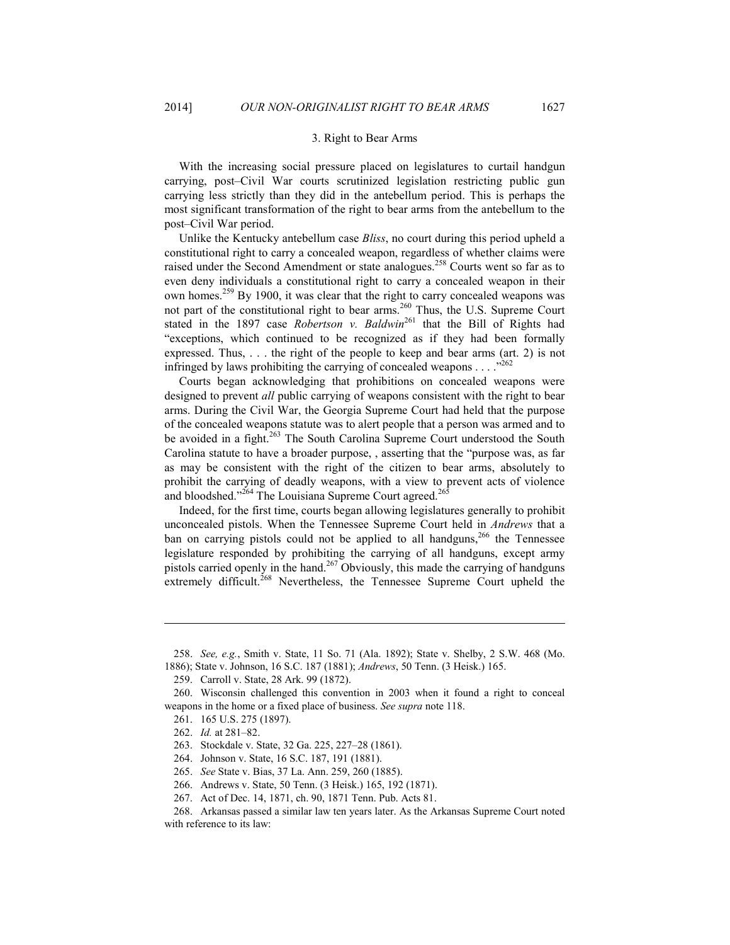#### 3. Right to Bear Arms

With the increasing social pressure placed on legislatures to curtail handgun carrying, post–Civil War courts scrutinized legislation restricting public gun carrying less strictly than they did in the antebellum period. This is perhaps the most significant transformation of the right to bear arms from the antebellum to the post–Civil War period.

Unlike the Kentucky antebellum case *Bliss*, no court during this period upheld a constitutional right to carry a concealed weapon, regardless of whether claims were raised under the Second Amendment or state analogues.<sup>258</sup> Courts went so far as to even deny individuals a constitutional right to carry a concealed weapon in their own homes.<sup>259</sup> By 1900, it was clear that the right to carry concealed weapons was not part of the constitutional right to bear arms.<sup>260</sup> Thus, the U.S. Supreme Court stated in the 1897 case *Robertson v. Baldwin*<sup>261</sup> that the Bill of Rights had "exceptions, which continued to be recognized as if they had been formally expressed. Thus, . . . the right of the people to keep and bear arms (art. 2) is not infringed by laws prohibiting the carrying of concealed weapons  $\dots$ ."<sup>262</sup>

Courts began acknowledging that prohibitions on concealed weapons were designed to prevent *all* public carrying of weapons consistent with the right to bear arms. During the Civil War, the Georgia Supreme Court had held that the purpose of the concealed weapons statute was to alert people that a person was armed and to be avoided in a fight.<sup>263</sup> The South Carolina Supreme Court understood the South Carolina statute to have a broader purpose, , asserting that the "purpose was, as far as may be consistent with the right of the citizen to bear arms, absolutely to prohibit the carrying of deadly weapons, with a view to prevent acts of violence and bloodshed."<sup>264</sup> The Louisiana Supreme Court agreed.<sup>265</sup>

Indeed, for the first time, courts began allowing legislatures generally to prohibit unconcealed pistols. When the Tennessee Supreme Court held in *Andrews* that a ban on carrying pistols could not be applied to all handguns,<sup>266</sup> the Tennessee legislature responded by prohibiting the carrying of all handguns, except army pistols carried openly in the hand.<sup>267</sup> Obviously, this made the carrying of handguns extremely difficult.<sup>268</sup> Nevertheless, the Tennessee Supreme Court upheld the

 <sup>258.</sup> *See, e.g.*, Smith v. State, 11 So. 71 (Ala. 1892); State v. Shelby, 2 S.W. 468 (Mo.

<sup>1886);</sup> State v. Johnson, 16 S.C. 187 (1881); *Andrews*, 50 Tenn. (3 Heisk.) 165.

 <sup>259.</sup> Carroll v. State, 28 Ark. 99 (1872).

 <sup>260.</sup> Wisconsin challenged this convention in 2003 when it found a right to conceal weapons in the home or a fixed place of business. *See supra* note 118.

 <sup>261. 165</sup> U.S. 275 (1897).

 <sup>262.</sup> *Id.* at 281–82.

 <sup>263.</sup> Stockdale v. State, 32 Ga. 225, 227–28 (1861).

 <sup>264.</sup> Johnson v. State, 16 S.C. 187, 191 (1881).

 <sup>265.</sup> *See* State v. Bias, 37 La. Ann. 259, 260 (1885).

 <sup>266.</sup> Andrews v. State, 50 Tenn. (3 Heisk.) 165, 192 (1871).

 <sup>267.</sup> Act of Dec. 14, 1871, ch. 90, 1871 Tenn. Pub. Acts 81.

 <sup>268.</sup> Arkansas passed a similar law ten years later. As the Arkansas Supreme Court noted with reference to its law: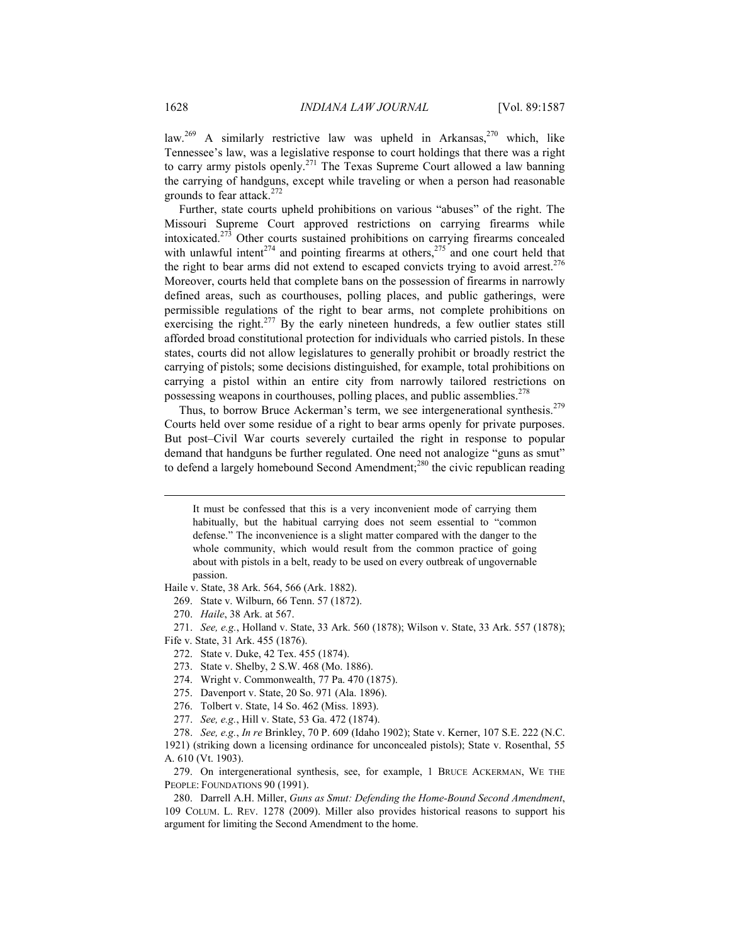law.<sup>269</sup> A similarly restrictive law was upheld in Arkansas,<sup>270</sup> which, like Tennessee's law, was a legislative response to court holdings that there was a right to carry army pistols openly.271 The Texas Supreme Court allowed a law banning the carrying of handguns, except while traveling or when a person had reasonable grounds to fear attack.<sup>272</sup>

Further, state courts upheld prohibitions on various "abuses" of the right. The Missouri Supreme Court approved restrictions on carrying firearms while intoxicated.273 Other courts sustained prohibitions on carrying firearms concealed with unlawful intent<sup>274</sup> and pointing firearms at others,<sup>275</sup> and one court held that the right to bear arms did not extend to escaped convicts trying to avoid arrest.<sup>276</sup> Moreover, courts held that complete bans on the possession of firearms in narrowly defined areas, such as courthouses, polling places, and public gatherings, were permissible regulations of the right to bear arms, not complete prohibitions on exercising the right.<sup>277</sup> By the early nineteen hundreds, a few outlier states still afforded broad constitutional protection for individuals who carried pistols. In these states, courts did not allow legislatures to generally prohibit or broadly restrict the carrying of pistols; some decisions distinguished, for example, total prohibitions on carrying a pistol within an entire city from narrowly tailored restrictions on possessing weapons in courthouses, polling places, and public assemblies.<sup>278</sup>

Thus, to borrow Bruce Ackerman's term, we see intergenerational synthesis.<sup>279</sup> Courts held over some residue of a right to bear arms openly for private purposes. But post–Civil War courts severely curtailed the right in response to popular demand that handguns be further regulated. One need not analogize "guns as smut" to defend a largely homebound Second Amendment;<sup>280</sup> the civic republican reading

 It must be confessed that this is a very inconvenient mode of carrying them habitually, but the habitual carrying does not seem essential to "common defense." The inconvenience is a slight matter compared with the danger to the whole community, which would result from the common practice of going about with pistols in a belt, ready to be used on every outbreak of ungovernable passion.

Haile v. State, 38 Ark. 564, 566 (Ark. 1882).

- 269. State v. Wilburn, 66 Tenn. 57 (1872).
- 270. *Haile*, 38 Ark. at 567.

 271. *See, e.g.*, Holland v. State, 33 Ark. 560 (1878); Wilson v. State, 33 Ark. 557 (1878); Fife v. State, 31 Ark. 455 (1876).

- 272. State v. Duke, 42 Tex. 455 (1874).
- 273. State v. Shelby, 2 S.W. 468 (Mo. 1886).
- 274. Wright v. Commonwealth, 77 Pa. 470 (1875).
- 275. Davenport v. State, 20 So. 971 (Ala. 1896).
- 276. Tolbert v. State, 14 So. 462 (Miss. 1893).
- 277. *See, e.g.*, Hill v. State, 53 Ga. 472 (1874).

 278. *See, e.g.*, *In re* Brinkley, 70 P. 609 (Idaho 1902); State v. Kerner, 107 S.E. 222 (N.C. 1921) (striking down a licensing ordinance for unconcealed pistols); State v. Rosenthal, 55 A. 610 (Vt. 1903).

 279. On intergenerational synthesis, see, for example, 1 BRUCE ACKERMAN, WE THE PEOPLE: FOUNDATIONS 90 (1991).

 280. Darrell A.H. Miller, *Guns as Smut: Defending the Home-Bound Second Amendment*, 109 COLUM. L. REV. 1278 (2009). Miller also provides historical reasons to support his argument for limiting the Second Amendment to the home.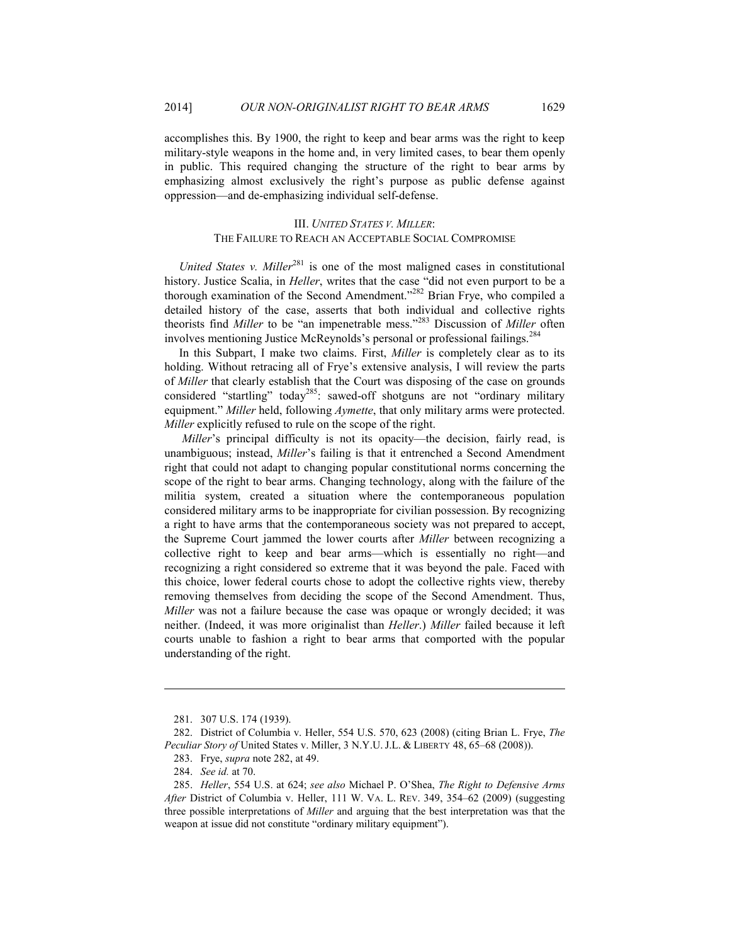accomplishes this. By 1900, the right to keep and bear arms was the right to keep military-style weapons in the home and, in very limited cases, to bear them openly in public. This required changing the structure of the right to bear arms by emphasizing almost exclusively the right's purpose as public defense against oppression—and de-emphasizing individual self-defense.

### III. *UNITED STATES V. MILLER*: THE FAILURE TO REACH AN ACCEPTABLE SOCIAL COMPROMISE

*United States v. Miller*<sup>281</sup> is one of the most maligned cases in constitutional history. Justice Scalia, in *Heller*, writes that the case "did not even purport to be a thorough examination of the Second Amendment."<sup>282</sup> Brian Frye, who compiled a detailed history of the case, asserts that both individual and collective rights theorists find *Miller* to be "an impenetrable mess."283 Discussion of *Miller* often involves mentioning Justice McReynolds's personal or professional failings.<sup>284</sup>

In this Subpart, I make two claims. First, *Miller* is completely clear as to its holding. Without retracing all of Frye's extensive analysis, I will review the parts of *Miller* that clearly establish that the Court was disposing of the case on grounds considered "startling" today<sup>285</sup>: sawed-off shotguns are not "ordinary military equipment." *Miller* held, following *Aymette*, that only military arms were protected. *Miller* explicitly refused to rule on the scope of the right.

*Miller's* principal difficulty is not its opacity—the decision, fairly read, is unambiguous; instead, *Miller*'s failing is that it entrenched a Second Amendment right that could not adapt to changing popular constitutional norms concerning the scope of the right to bear arms. Changing technology, along with the failure of the militia system, created a situation where the contemporaneous population considered military arms to be inappropriate for civilian possession. By recognizing a right to have arms that the contemporaneous society was not prepared to accept, the Supreme Court jammed the lower courts after *Miller* between recognizing a collective right to keep and bear arms—which is essentially no right—and recognizing a right considered so extreme that it was beyond the pale. Faced with this choice, lower federal courts chose to adopt the collective rights view, thereby removing themselves from deciding the scope of the Second Amendment. Thus, *Miller* was not a failure because the case was opaque or wrongly decided; it was neither. (Indeed, it was more originalist than *Heller*.) *Miller* failed because it left courts unable to fashion a right to bear arms that comported with the popular understanding of the right.

 <sup>281. 307</sup> U.S. 174 (1939).

 <sup>282.</sup> District of Columbia v. Heller, 554 U.S. 570, 623 (2008) (citing Brian L. Frye, *The Peculiar Story of* United States v. Miller, 3 N.Y.U.J.L. & LIBERTY 48, 65–68 (2008)). 283. Frye, *supra* note 282, at 49.

 <sup>284.</sup> *See id.* at 70.

 <sup>285.</sup> *Heller*, 554 U.S. at 624; *see also* Michael P. O'Shea, *The Right to Defensive Arms After* District of Columbia v. Heller, 111 W. VA. L. REV. 349, 354–62 (2009) (suggesting three possible interpretations of *Miller* and arguing that the best interpretation was that the weapon at issue did not constitute "ordinary military equipment").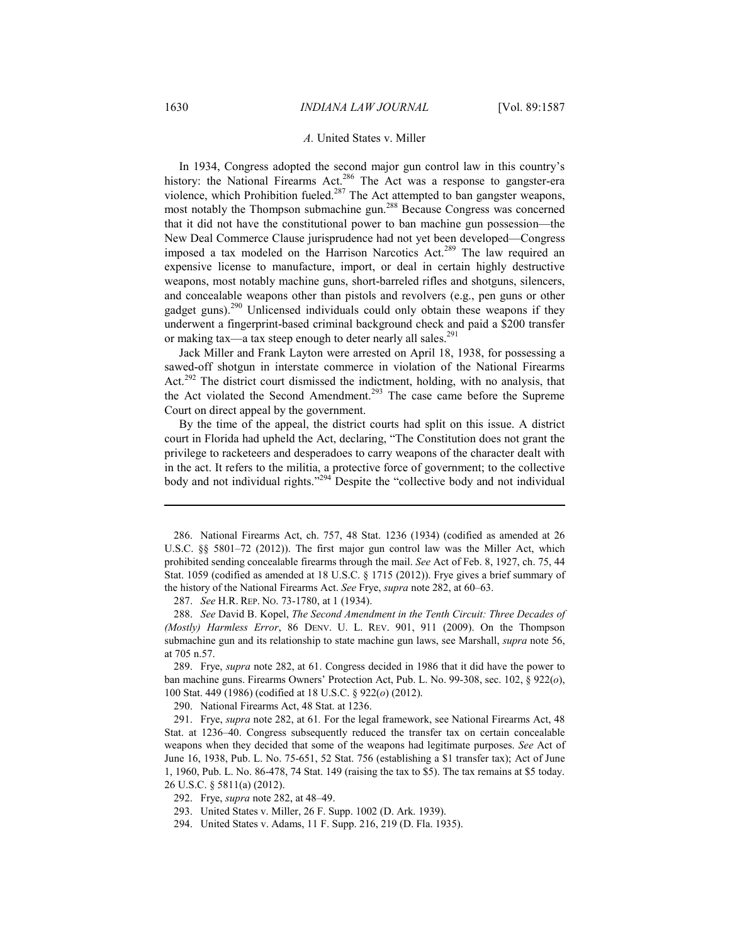#### *A.* United States v. Miller

In 1934, Congress adopted the second major gun control law in this country's history: the National Firearms Act.<sup>286</sup> The Act was a response to gangster-era violence, which Prohibition fueled.<sup>287</sup> The Act attempted to ban gangster weapons, most notably the Thompson submachine gun.<sup>288</sup> Because Congress was concerned that it did not have the constitutional power to ban machine gun possession—the New Deal Commerce Clause jurisprudence had not yet been developed—Congress imposed a tax modeled on the Harrison Narcotics Act.<sup>289</sup> The law required an expensive license to manufacture, import, or deal in certain highly destructive weapons, most notably machine guns, short-barreled rifles and shotguns, silencers, and concealable weapons other than pistols and revolvers (e.g., pen guns or other gadget guns). $^{290}$  Unlicensed individuals could only obtain these weapons if they underwent a fingerprint-based criminal background check and paid a \$200 transfer or making tax—a tax steep enough to deter nearly all sales.<sup>291</sup>

Jack Miller and Frank Layton were arrested on April 18, 1938, for possessing a sawed-off shotgun in interstate commerce in violation of the National Firearms Act.<sup>292</sup> The district court dismissed the indictment, holding, with no analysis, that the Act violated the Second Amendment.<sup>293</sup> The case came before the Supreme Court on direct appeal by the government.

By the time of the appeal, the district courts had split on this issue. A district court in Florida had upheld the Act, declaring, "The Constitution does not grant the privilege to racketeers and desperadoes to carry weapons of the character dealt with in the act. It refers to the militia, a protective force of government; to the collective body and not individual rights."<sup>294</sup> Despite the "collective body and not individual

287. *See* H.R. REP. NO. 73-1780, at 1 (1934).

 288. *See* David B. Kopel, *The Second Amendment in the Tenth Circuit: Three Decades of (Mostly) Harmless Error*, 86 DENV. U. L. REV. 901, 911 (2009). On the Thompson submachine gun and its relationship to state machine gun laws, see Marshall, *supra* note 56, at 705 n.57.

 289. Frye, *supra* note 282, at 61. Congress decided in 1986 that it did have the power to ban machine guns. Firearms Owners' Protection Act, Pub. L. No. 99-308, sec. 102, § 922(*o*), 100 Stat. 449 (1986) (codified at 18 U.S.C. § 922(*o*) (2012).

290. National Firearms Act, 48 Stat. at 1236.

 291. Frye, *supra* note 282, at 61*.* For the legal framework, see National Firearms Act, 48 Stat. at 1236–40. Congress subsequently reduced the transfer tax on certain concealable weapons when they decided that some of the weapons had legitimate purposes. *See* Act of June 16, 1938, Pub. L. No. 75-651, 52 Stat. 756 (establishing a \$1 transfer tax); Act of June 1, 1960, Pub. L. No. 86-478, 74 Stat. 149 (raising the tax to \$5). The tax remains at \$5 today. 26 U.S.C. § 5811(a) (2012).

- 292. Frye, *supra* note 282, at 48–49.
- 293. United States v. Miller, 26 F. Supp. 1002 (D. Ark. 1939).
- 294. United States v. Adams, 11 F. Supp. 216, 219 (D. Fla. 1935).

 <sup>286.</sup> National Firearms Act, ch. 757, 48 Stat. 1236 (1934) (codified as amended at 26 U.S.C. §§ 5801–72 (2012)). The first major gun control law was the Miller Act, which prohibited sending concealable firearms through the mail. *See* Act of Feb. 8, 1927, ch. 75, 44 Stat. 1059 (codified as amended at 18 U.S.C. § 1715 (2012)). Frye gives a brief summary of the history of the National Firearms Act. *See* Frye, *supra* note 282, at 60–63.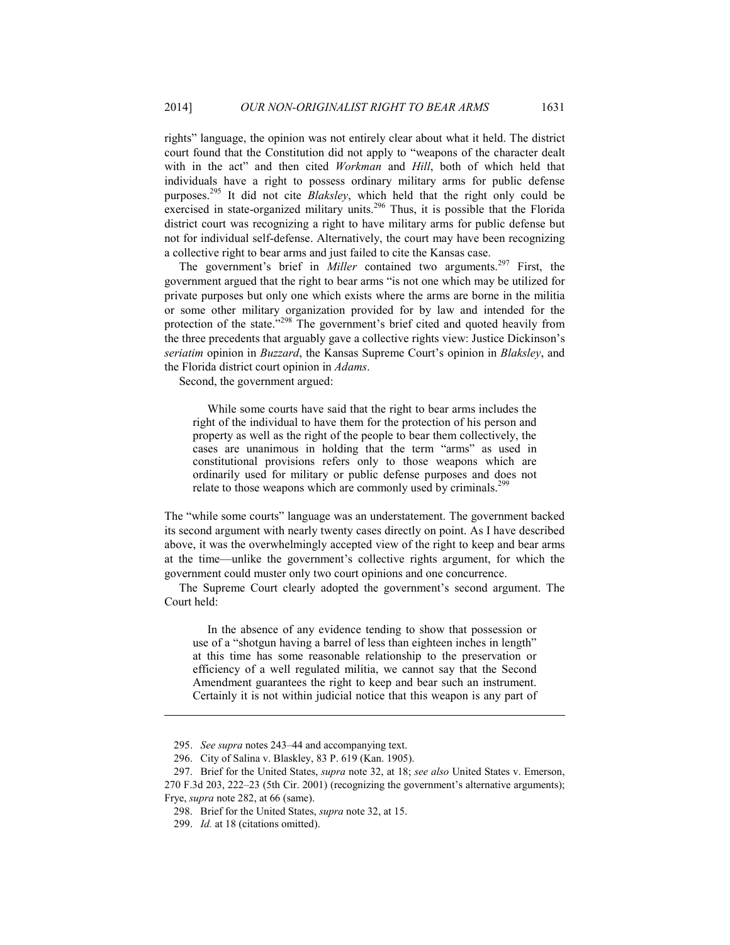rights" language, the opinion was not entirely clear about what it held. The district court found that the Constitution did not apply to "weapons of the character dealt with in the act" and then cited *Workman* and *Hill*, both of which held that individuals have a right to possess ordinary military arms for public defense purposes.295 It did not cite *Blaksley*, which held that the right only could be exercised in state-organized military units.<sup>296</sup> Thus, it is possible that the Florida district court was recognizing a right to have military arms for public defense but not for individual self-defense. Alternatively, the court may have been recognizing a collective right to bear arms and just failed to cite the Kansas case.

The government's brief in *Miller* contained two arguments.<sup>297</sup> First, the government argued that the right to bear arms "is not one which may be utilized for private purposes but only one which exists where the arms are borne in the militia or some other military organization provided for by law and intended for the protection of the state."<sup>298</sup> The government's brief cited and quoted heavily from the three precedents that arguably gave a collective rights view: Justice Dickinson's *seriatim* opinion in *Buzzard*, the Kansas Supreme Court's opinion in *Blaksley*, and the Florida district court opinion in *Adams*.

Second, the government argued:

 While some courts have said that the right to bear arms includes the right of the individual to have them for the protection of his person and property as well as the right of the people to bear them collectively, the cases are unanimous in holding that the term "arms" as used in constitutional provisions refers only to those weapons which are ordinarily used for military or public defense purposes and does not relate to those weapons which are commonly used by criminals.<sup>2</sup>

The "while some courts" language was an understatement. The government backed its second argument with nearly twenty cases directly on point. As I have described above, it was the overwhelmingly accepted view of the right to keep and bear arms at the time—unlike the government's collective rights argument, for which the government could muster only two court opinions and one concurrence.

The Supreme Court clearly adopted the government's second argument. The Court held:

 In the absence of any evidence tending to show that possession or use of a "shotgun having a barrel of less than eighteen inches in length" at this time has some reasonable relationship to the preservation or efficiency of a well regulated militia, we cannot say that the Second Amendment guarantees the right to keep and bear such an instrument. Certainly it is not within judicial notice that this weapon is any part of

 <sup>295.</sup> *See supra* notes 243–44 and accompanying text.

 <sup>296.</sup> City of Salina v. Blaskley, 83 P. 619 (Kan. 1905).

 <sup>297.</sup> Brief for the United States, *supra* note 32, at 18; *see also* United States v. Emerson, 270 F.3d 203, 222–23 (5th Cir. 2001) (recognizing the government's alternative arguments); Frye, *supra* note 282, at 66 (same).

 <sup>298.</sup> Brief for the United States, *supra* note 32, at 15.

 <sup>299.</sup> *Id.* at 18 (citations omitted).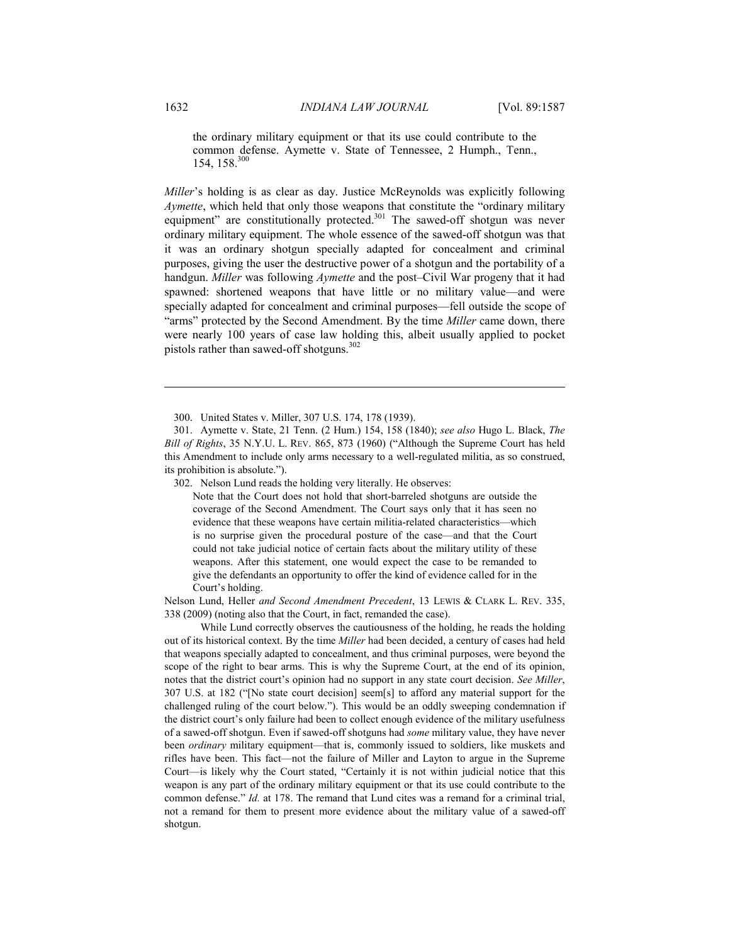the ordinary military equipment or that its use could contribute to the common defense. Aymette v. State of Tennessee, 2 Humph., Tenn., 154, 158.300

*Miller*'s holding is as clear as day. Justice McReynolds was explicitly following *Aymette*, which held that only those weapons that constitute the "ordinary military equipment" are constitutionally protected.<sup>301</sup> The sawed-off shotgun was never ordinary military equipment. The whole essence of the sawed-off shotgun was that it was an ordinary shotgun specially adapted for concealment and criminal purposes, giving the user the destructive power of a shotgun and the portability of a handgun. *Miller* was following *Aymette* and the post–Civil War progeny that it had spawned: shortened weapons that have little or no military value—and were specially adapted for concealment and criminal purposes—fell outside the scope of "arms" protected by the Second Amendment. By the time *Miller* came down, there were nearly 100 years of case law holding this, albeit usually applied to pocket pistols rather than sawed-off shotguns. $302$ 

300. United States v. Miller, 307 U.S. 174, 178 (1939).

302. Nelson Lund reads the holding very literally. He observes:

Note that the Court does not hold that short-barreled shotguns are outside the coverage of the Second Amendment. The Court says only that it has seen no evidence that these weapons have certain militia-related characteristics—which is no surprise given the procedural posture of the case—and that the Court could not take judicial notice of certain facts about the military utility of these weapons. After this statement, one would expect the case to be remanded to give the defendants an opportunity to offer the kind of evidence called for in the Court's holding.

Nelson Lund, Heller *and Second Amendment Precedent*, 13 LEWIS & CLARK L. REV. 335, 338 (2009) (noting also that the Court, in fact, remanded the case).

 While Lund correctly observes the cautiousness of the holding, he reads the holding out of its historical context. By the time *Miller* had been decided, a century of cases had held that weapons specially adapted to concealment, and thus criminal purposes, were beyond the scope of the right to bear arms. This is why the Supreme Court, at the end of its opinion, notes that the district court's opinion had no support in any state court decision. *See Miller*, 307 U.S. at 182 ("[No state court decision] seem[s] to afford any material support for the challenged ruling of the court below."). This would be an oddly sweeping condemnation if the district court's only failure had been to collect enough evidence of the military usefulness of a sawed-off shotgun. Even if sawed-off shotguns had *some* military value, they have never been *ordinary* military equipment—that is, commonly issued to soldiers, like muskets and rifles have been. This fact—not the failure of Miller and Layton to argue in the Supreme Court—is likely why the Court stated, "Certainly it is not within judicial notice that this weapon is any part of the ordinary military equipment or that its use could contribute to the common defense." *Id.* at 178. The remand that Lund cites was a remand for a criminal trial, not a remand for them to present more evidence about the military value of a sawed-off shotgun.

 <sup>301.</sup> Aymette v. State, 21 Tenn. (2 Hum.) 154, 158 (1840); *see also* Hugo L. Black, *The Bill of Rights*, 35 N.Y.U. L. REV. 865, 873 (1960) ("Although the Supreme Court has held this Amendment to include only arms necessary to a well-regulated militia, as so construed, its prohibition is absolute.").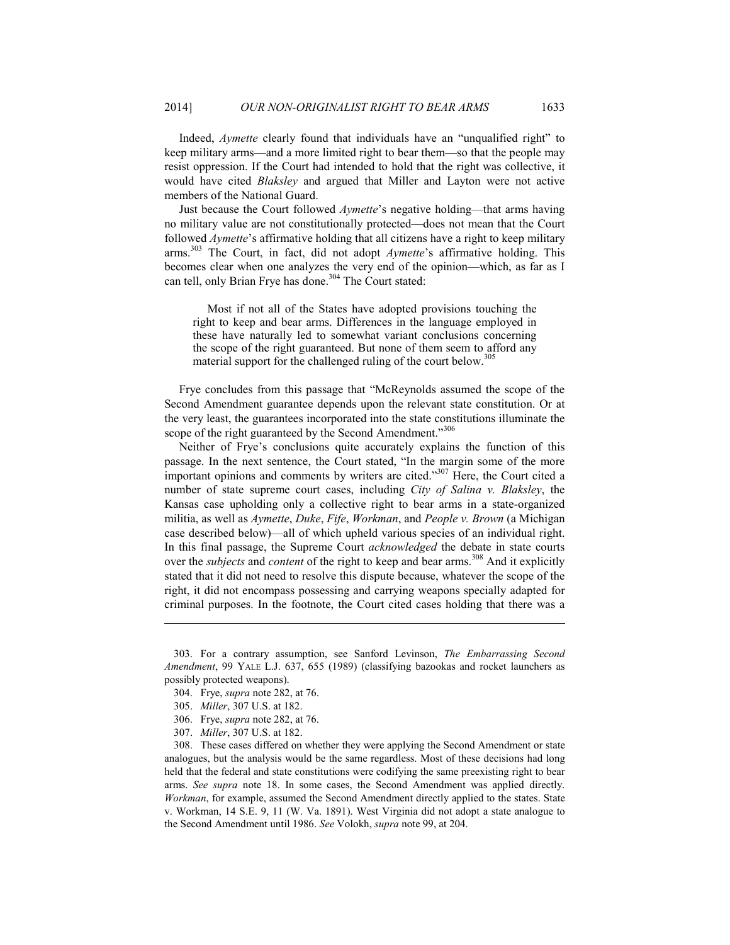Indeed, *Aymette* clearly found that individuals have an "unqualified right" to keep military arms—and a more limited right to bear them—so that the people may resist oppression. If the Court had intended to hold that the right was collective, it would have cited *Blaksley* and argued that Miller and Layton were not active members of the National Guard.

Just because the Court followed *Aymette*'s negative holding—that arms having no military value are not constitutionally protected—does not mean that the Court followed *Aymette*'s affirmative holding that all citizens have a right to keep military arms.303 The Court, in fact, did not adopt *Aymette*'s affirmative holding. This becomes clear when one analyzes the very end of the opinion—which, as far as I can tell, only Brian Frye has done.<sup>304</sup> The Court stated:

 Most if not all of the States have adopted provisions touching the right to keep and bear arms. Differences in the language employed in these have naturally led to somewhat variant conclusions concerning the scope of the right guaranteed. But none of them seem to afford any material support for the challenged ruling of the court below.<sup>305</sup>

Frye concludes from this passage that "McReynolds assumed the scope of the Second Amendment guarantee depends upon the relevant state constitution. Or at the very least, the guarantees incorporated into the state constitutions illuminate the scope of the right guaranteed by the Second Amendment."306

Neither of Frye's conclusions quite accurately explains the function of this passage. In the next sentence, the Court stated, "In the margin some of the more important opinions and comments by writers are cited."307 Here, the Court cited a number of state supreme court cases, including *City of Salina v. Blaksley*, the Kansas case upholding only a collective right to bear arms in a state-organized militia, as well as *Aymette*, *Duke*, *Fife*, *Workman*, and *People v. Brown* (a Michigan case described below)—all of which upheld various species of an individual right. In this final passage, the Supreme Court *acknowledged* the debate in state courts over the *subjects* and *content* of the right to keep and bear arms.<sup>308</sup> And it explicitly stated that it did not need to resolve this dispute because, whatever the scope of the right, it did not encompass possessing and carrying weapons specially adapted for criminal purposes. In the footnote, the Court cited cases holding that there was a

 <sup>303.</sup> For a contrary assumption, see Sanford Levinson, *The Embarrassing Second Amendment*, 99 YALE L.J. 637, 655 (1989) (classifying bazookas and rocket launchers as possibly protected weapons).

 <sup>304.</sup> Frye, *supra* note 282, at 76.

 <sup>305.</sup> *Miller*, 307 U.S. at 182.

 <sup>306.</sup> Frye, *supra* note 282, at 76.

 <sup>307.</sup> *Miller*, 307 U.S. at 182.

 <sup>308.</sup> These cases differed on whether they were applying the Second Amendment or state analogues, but the analysis would be the same regardless. Most of these decisions had long held that the federal and state constitutions were codifying the same preexisting right to bear arms. *See supra* note 18. In some cases, the Second Amendment was applied directly. *Workman*, for example, assumed the Second Amendment directly applied to the states. State v. Workman, 14 S.E. 9, 11 (W. Va. 1891). West Virginia did not adopt a state analogue to the Second Amendment until 1986. *See* Volokh, *supra* note 99, at 204.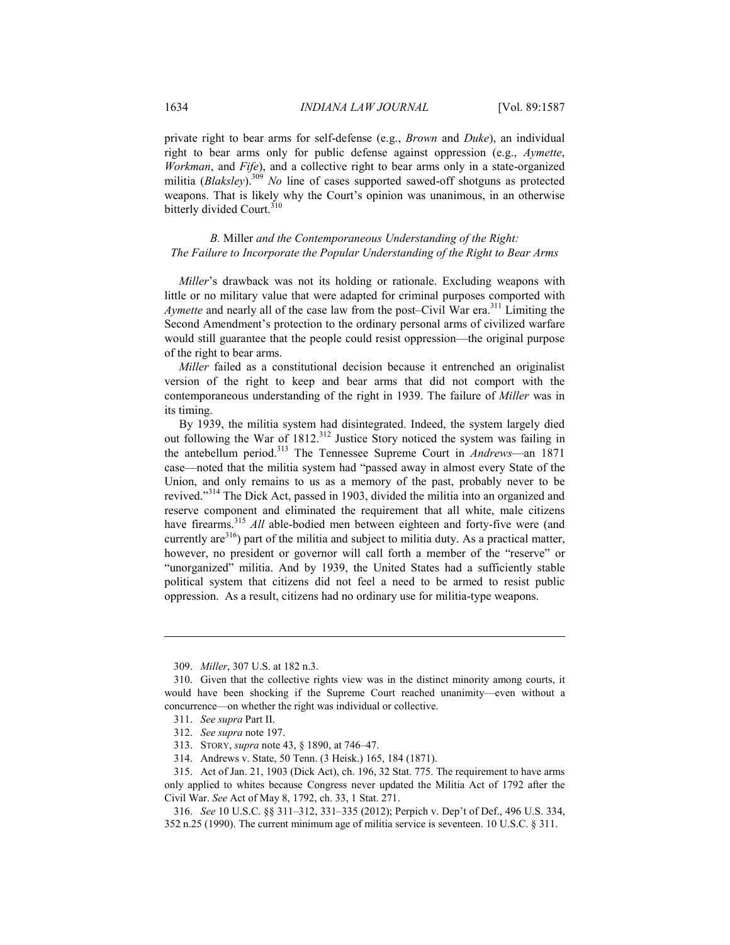private right to bear arms for self-defense (e.g., *Brown* and *Duke*), an individual right to bear arms only for public defense against oppression (e.g., *Aymette*, *Workman*, and *Fife*), and a collective right to bear arms only in a state-organized militia (*Blaksley*).<sup>309</sup> *No* line of cases supported sawed-off shotguns as protected weapons. That is likely why the Court's opinion was unanimous, in an otherwise bitterly divided Court.<sup>310</sup>

*B.* Miller *and the Contemporaneous Understanding of the Right: The Failure to Incorporate the Popular Understanding of the Right to Bear Arms* 

*Miller*'s drawback was not its holding or rationale. Excluding weapons with little or no military value that were adapted for criminal purposes comported with *Aymette* and nearly all of the case law from the post–Civil War era.<sup>311</sup> Limiting the Second Amendment's protection to the ordinary personal arms of civilized warfare would still guarantee that the people could resist oppression—the original purpose of the right to bear arms.

*Miller* failed as a constitutional decision because it entrenched an originalist version of the right to keep and bear arms that did not comport with the contemporaneous understanding of the right in 1939. The failure of *Miller* was in its timing.

By 1939, the militia system had disintegrated. Indeed, the system largely died out following the War of 1812.<sup>312</sup> Justice Story noticed the system was failing in the antebellum period.313 The Tennessee Supreme Court in *Andrews*—an 1871 case—noted that the militia system had "passed away in almost every State of the Union, and only remains to us as a memory of the past, probably never to be revived."314 The Dick Act, passed in 1903, divided the militia into an organized and reserve component and eliminated the requirement that all white, male citizens have firearms.<sup>315</sup> *All* able-bodied men between eighteen and forty-five were (and currently are  $316$ ) part of the militia and subject to militia duty. As a practical matter, however, no president or governor will call forth a member of the "reserve" or "unorganized" militia. And by 1939, the United States had a sufficiently stable political system that citizens did not feel a need to be armed to resist public oppression. As a result, citizens had no ordinary use for militia-type weapons.

 <sup>309.</sup> *Miller*, 307 U.S. at 182 n.3.

 <sup>310.</sup> Given that the collective rights view was in the distinct minority among courts, it would have been shocking if the Supreme Court reached unanimity—even without a concurrence—on whether the right was individual or collective.

 <sup>311.</sup> *See supra* Part II.

 <sup>312.</sup> *See supra* note 197.

 <sup>313.</sup> STORY, *supra* note 43, § 1890, at 746–47.

 <sup>314.</sup> Andrews v. State, 50 Tenn. (3 Heisk.) 165, 184 (1871).

 <sup>315.</sup> Act of Jan. 21, 1903 (Dick Act), ch. 196, 32 Stat. 775. The requirement to have arms only applied to whites because Congress never updated the Militia Act of 1792 after the Civil War. *See* Act of May 8, 1792, ch. 33, 1 Stat. 271.

 <sup>316.</sup> *See* 10 U.S.C. §§ 311–312, 331–335 (2012); Perpich v. Dep't of Def., 496 U.S. 334, 352 n.25 (1990). The current minimum age of militia service is seventeen. 10 U.S.C. § 311.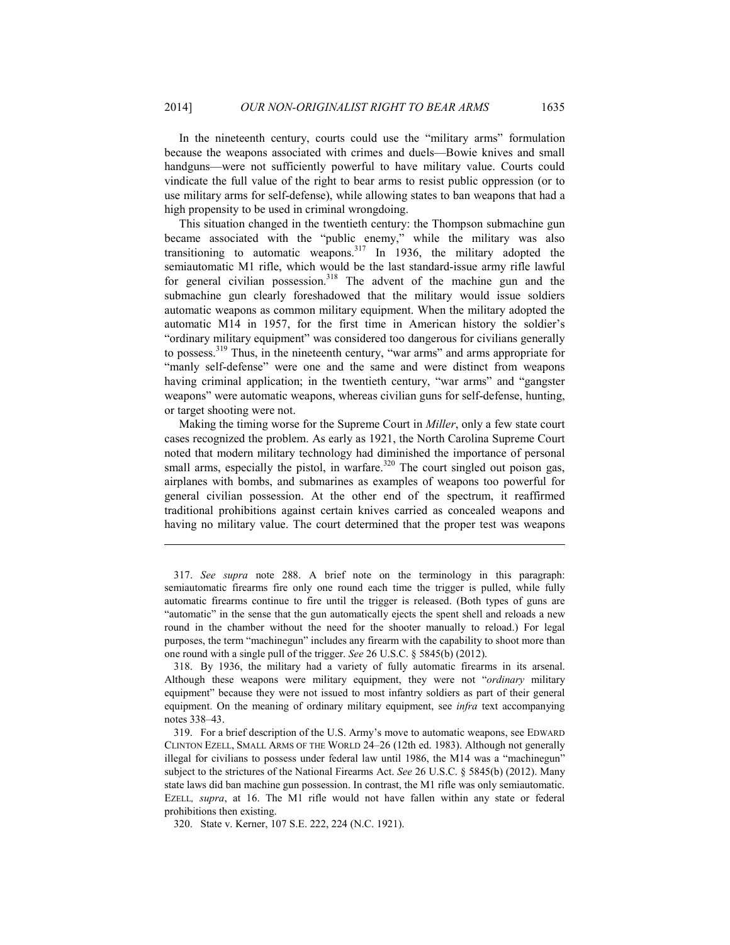In the nineteenth century, courts could use the "military arms" formulation because the weapons associated with crimes and duels—Bowie knives and small handguns—were not sufficiently powerful to have military value. Courts could vindicate the full value of the right to bear arms to resist public oppression (or to use military arms for self-defense), while allowing states to ban weapons that had a high propensity to be used in criminal wrongdoing.

This situation changed in the twentieth century: the Thompson submachine gun became associated with the "public enemy," while the military was also transitioning to automatic weapons.317 In 1936, the military adopted the semiautomatic M1 rifle, which would be the last standard-issue army rifle lawful for general civilian possession.<sup>318</sup> The advent of the machine gun and the submachine gun clearly foreshadowed that the military would issue soldiers automatic weapons as common military equipment. When the military adopted the automatic M14 in 1957, for the first time in American history the soldier's "ordinary military equipment" was considered too dangerous for civilians generally to possess.<sup>319</sup> Thus, in the nineteenth century, "war arms" and arms appropriate for "manly self-defense" were one and the same and were distinct from weapons having criminal application; in the twentieth century, "war arms" and "gangster weapons" were automatic weapons, whereas civilian guns for self-defense, hunting, or target shooting were not.

Making the timing worse for the Supreme Court in *Miller*, only a few state court cases recognized the problem. As early as 1921, the North Carolina Supreme Court noted that modern military technology had diminished the importance of personal small arms, especially the pistol, in warfare. $320$  The court singled out poison gas, airplanes with bombs, and submarines as examples of weapons too powerful for general civilian possession. At the other end of the spectrum, it reaffirmed traditional prohibitions against certain knives carried as concealed weapons and having no military value. The court determined that the proper test was weapons

 <sup>317.</sup> *See supra* note 288. A brief note on the terminology in this paragraph: semiautomatic firearms fire only one round each time the trigger is pulled, while fully automatic firearms continue to fire until the trigger is released. (Both types of guns are "automatic" in the sense that the gun automatically ejects the spent shell and reloads a new round in the chamber without the need for the shooter manually to reload.) For legal purposes, the term "machinegun" includes any firearm with the capability to shoot more than one round with a single pull of the trigger. *See* 26 U.S.C. § 5845(b) (2012).

 <sup>318.</sup> By 1936, the military had a variety of fully automatic firearms in its arsenal. Although these weapons were military equipment, they were not "*ordinary* military equipment" because they were not issued to most infantry soldiers as part of their general equipment. On the meaning of ordinary military equipment, see *infra* text accompanying notes 338–43.

 <sup>319.</sup> For a brief description of the U.S. Army's move to automatic weapons, see EDWARD CLINTON EZELL, SMALL ARMS OF THE WORLD 24–26 (12th ed. 1983). Although not generally illegal for civilians to possess under federal law until 1986, the M14 was a "machinegun" subject to the strictures of the National Firearms Act. *See* 26 U.S.C. § 5845(b) (2012). Many state laws did ban machine gun possession. In contrast, the M1 rifle was only semiautomatic. EZELL*, supra*, at 16. The M1 rifle would not have fallen within any state or federal prohibitions then existing.

 <sup>320.</sup> State v. Kerner, 107 S.E. 222, 224 (N.C. 1921).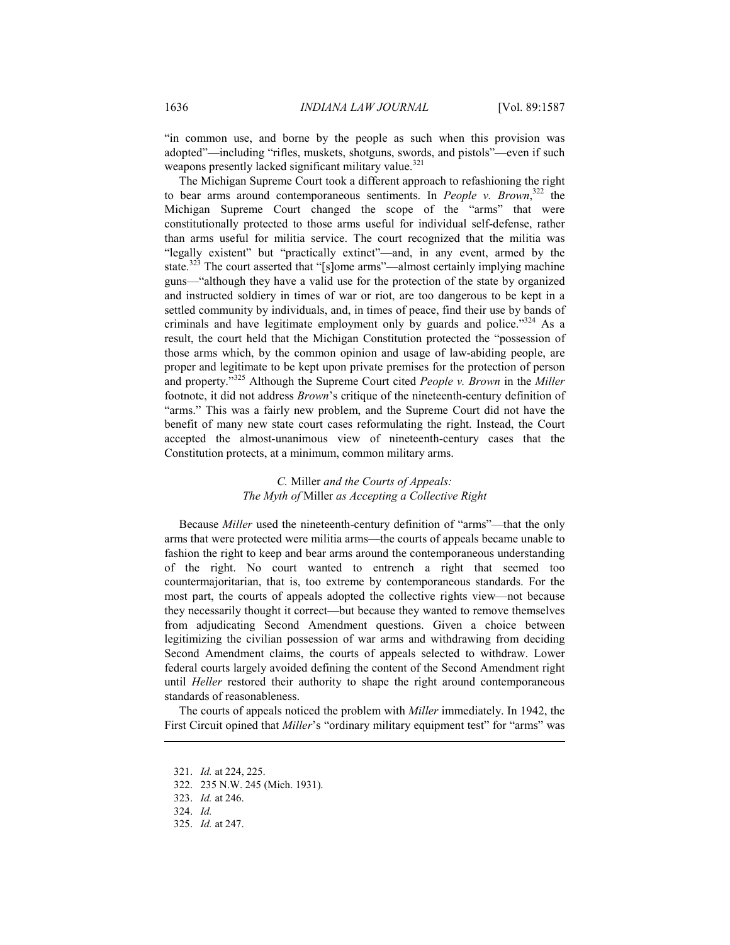"in common use, and borne by the people as such when this provision was adopted"—including "rifles, muskets, shotguns, swords, and pistols"—even if such weapons presently lacked significant military value.<sup>321</sup>

The Michigan Supreme Court took a different approach to refashioning the right to bear arms around contemporaneous sentiments. In *People v. Brown*, 322 the Michigan Supreme Court changed the scope of the "arms" that were constitutionally protected to those arms useful for individual self-defense, rather than arms useful for militia service. The court recognized that the militia was "legally existent" but "practically extinct"—and, in any event, armed by the state.<sup>323</sup> The court asserted that "[s]ome arms"—almost certainly implying machine guns—"although they have a valid use for the protection of the state by organized and instructed soldiery in times of war or riot, are too dangerous to be kept in a settled community by individuals, and, in times of peace, find their use by bands of criminals and have legitimate employment only by guards and police."<sup>324</sup> As a result, the court held that the Michigan Constitution protected the "possession of those arms which, by the common opinion and usage of law-abiding people, are proper and legitimate to be kept upon private premises for the protection of person and property."325 Although the Supreme Court cited *People v. Brown* in the *Miller* footnote, it did not address *Brown*'s critique of the nineteenth-century definition of "arms." This was a fairly new problem, and the Supreme Court did not have the benefit of many new state court cases reformulating the right. Instead, the Court accepted the almost-unanimous view of nineteenth-century cases that the Constitution protects, at a minimum, common military arms.

## *C.* Miller *and the Courts of Appeals: The Myth of* Miller *as Accepting a Collective Right*

Because *Miller* used the nineteenth-century definition of "arms"—that the only arms that were protected were militia arms—the courts of appeals became unable to fashion the right to keep and bear arms around the contemporaneous understanding of the right. No court wanted to entrench a right that seemed too countermajoritarian, that is, too extreme by contemporaneous standards. For the most part, the courts of appeals adopted the collective rights view—not because they necessarily thought it correct—but because they wanted to remove themselves from adjudicating Second Amendment questions. Given a choice between legitimizing the civilian possession of war arms and withdrawing from deciding Second Amendment claims, the courts of appeals selected to withdraw. Lower federal courts largely avoided defining the content of the Second Amendment right until *Heller* restored their authority to shape the right around contemporaneous standards of reasonableness.

The courts of appeals noticed the problem with *Miller* immediately. In 1942, the First Circuit opined that *Miller*'s "ordinary military equipment test" for "arms" was

 <sup>321.</sup> *Id.* at 224, 225.

 <sup>322. 235</sup> N.W. 245 (Mich. 1931).

 <sup>323.</sup> *Id.* at 246.

 <sup>324.</sup> *Id.*

 <sup>325.</sup> *Id.* at 247.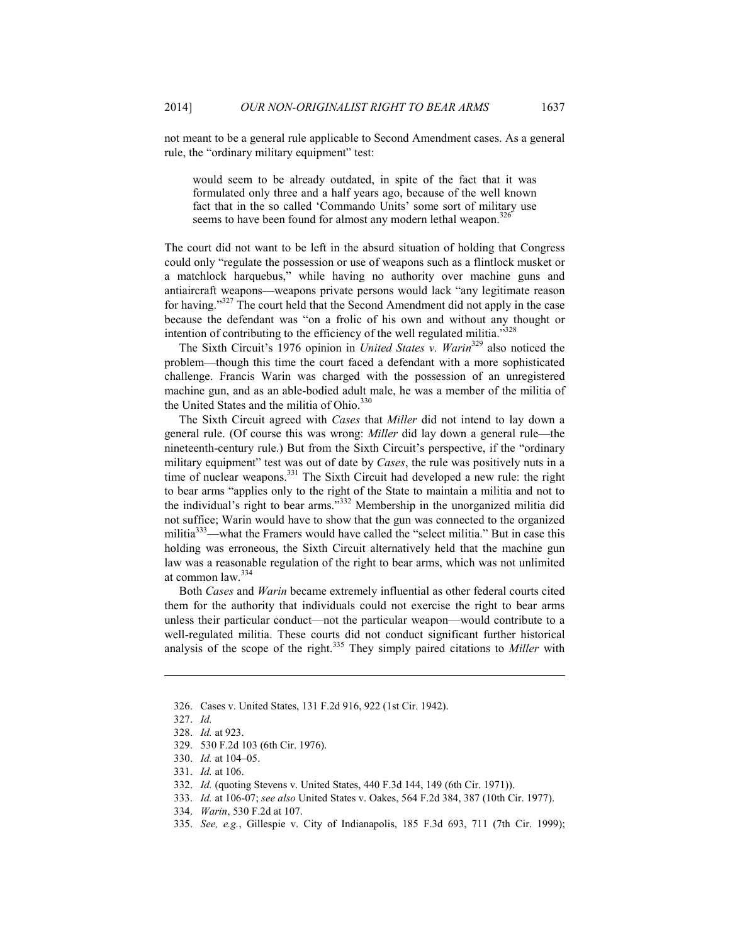not meant to be a general rule applicable to Second Amendment cases. As a general rule, the "ordinary military equipment" test:

would seem to be already outdated, in spite of the fact that it was formulated only three and a half years ago, because of the well known fact that in the so called 'Commando Units' some sort of military use seems to have been found for almost any modern lethal weapon.<sup>326</sup>

The court did not want to be left in the absurd situation of holding that Congress could only "regulate the possession or use of weapons such as a flintlock musket or a matchlock harquebus," while having no authority over machine guns and antiaircraft weapons—weapons private persons would lack "any legitimate reason for having."327 The court held that the Second Amendment did not apply in the case because the defendant was "on a frolic of his own and without any thought or intention of contributing to the efficiency of the well regulated militia."<sup>328</sup>

The Sixth Circuit's 1976 opinion in *United States v. Warin*329 also noticed the problem—though this time the court faced a defendant with a more sophisticated challenge. Francis Warin was charged with the possession of an unregistered machine gun, and as an able-bodied adult male, he was a member of the militia of the United States and the militia of Ohio.<sup>330</sup>

The Sixth Circuit agreed with *Cases* that *Miller* did not intend to lay down a general rule. (Of course this was wrong: *Miller* did lay down a general rule—the nineteenth-century rule.) But from the Sixth Circuit's perspective, if the "ordinary military equipment" test was out of date by *Cases*, the rule was positively nuts in a time of nuclear weapons.<sup>331</sup> The Sixth Circuit had developed a new rule: the right to bear arms "applies only to the right of the State to maintain a militia and not to the individual's right to bear arms."332 Membership in the unorganized militia did not suffice; Warin would have to show that the gun was connected to the organized militia<sup>333</sup>—what the Framers would have called the "select militia." But in case this holding was erroneous, the Sixth Circuit alternatively held that the machine gun law was a reasonable regulation of the right to bear arms, which was not unlimited at common law.<sup>334</sup>

Both *Cases* and *Warin* became extremely influential as other federal courts cited them for the authority that individuals could not exercise the right to bear arms unless their particular conduct—not the particular weapon—would contribute to a well-regulated militia. These courts did not conduct significant further historical analysis of the scope of the right.335 They simply paired citations to *Miller* with

 <sup>326.</sup> Cases v. United States, 131 F.2d 916, 922 (1st Cir. 1942).

 <sup>327.</sup> *Id.*

 <sup>328.</sup> *Id.* at 923.

 <sup>329. 530</sup> F.2d 103 (6th Cir. 1976).

 <sup>330.</sup> *Id.* at 104–05.

 <sup>331.</sup> *Id.* at 106.

 <sup>332.</sup> *Id.* (quoting Stevens v. United States, 440 F.3d 144, 149 (6th Cir. 1971)).

 <sup>333.</sup> *Id.* at 106-07; *see also* United States v. Oakes, 564 F.2d 384, 387 (10th Cir. 1977).

 <sup>334.</sup> *Warin*, 530 F.2d at 107.

 <sup>335.</sup> *See, e.g.*, Gillespie v. City of Indianapolis, 185 F.3d 693, 711 (7th Cir. 1999);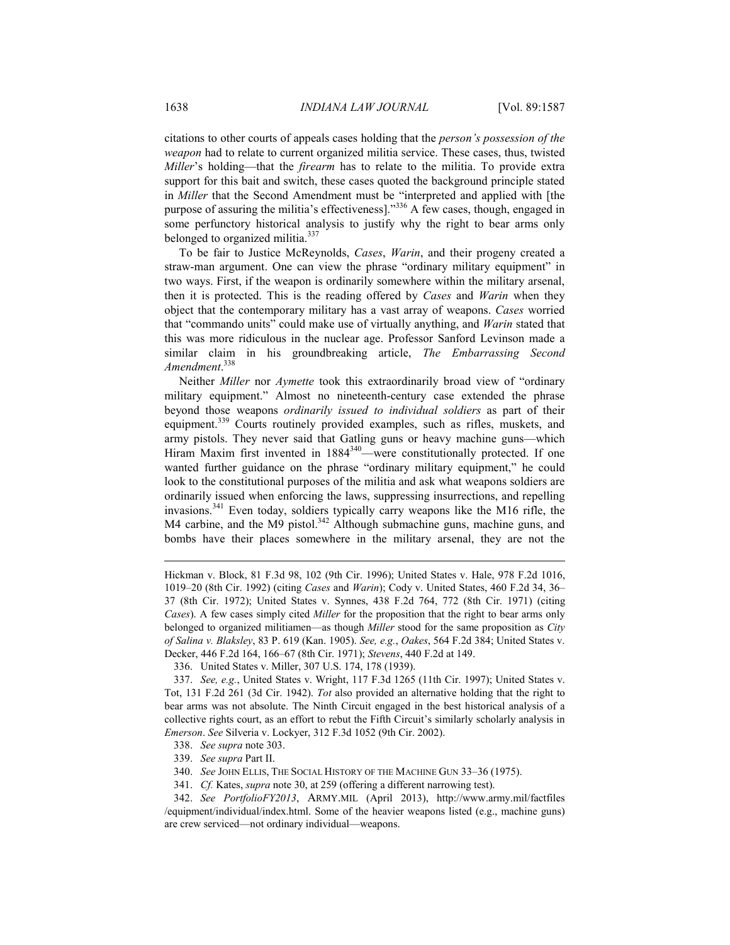citations to other courts of appeals cases holding that the *person's possession of the weapon* had to relate to current organized militia service. These cases, thus, twisted *Miller*'s holding—that the *firearm* has to relate to the militia. To provide extra support for this bait and switch, these cases quoted the background principle stated in *Miller* that the Second Amendment must be "interpreted and applied with [the purpose of assuring the militia's effectiveness]."336 A few cases, though, engaged in some perfunctory historical analysis to justify why the right to bear arms only belonged to organized militia.<sup>337</sup>

To be fair to Justice McReynolds, *Cases*, *Warin*, and their progeny created a straw-man argument. One can view the phrase "ordinary military equipment" in two ways. First, if the weapon is ordinarily somewhere within the military arsenal, then it is protected. This is the reading offered by *Cases* and *Warin* when they object that the contemporary military has a vast array of weapons. *Cases* worried that "commando units" could make use of virtually anything, and *Warin* stated that this was more ridiculous in the nuclear age. Professor Sanford Levinson made a similar claim in his groundbreaking article, *The Embarrassing Second Amendment*. 338

Neither *Miller* nor *Aymette* took this extraordinarily broad view of "ordinary military equipment." Almost no nineteenth-century case extended the phrase beyond those weapons *ordinarily issued to individual soldiers* as part of their equipment.<sup>339</sup> Courts routinely provided examples, such as rifles, muskets, and army pistols. They never said that Gatling guns or heavy machine guns—which Hiram Maxim first invented in 1884<sup>340</sup>—were constitutionally protected. If one wanted further guidance on the phrase "ordinary military equipment," he could look to the constitutional purposes of the militia and ask what weapons soldiers are ordinarily issued when enforcing the laws, suppressing insurrections, and repelling invasions.341 Even today, soldiers typically carry weapons like the M16 rifle, the M4 carbine, and the M9 pistol.<sup>342</sup> Although submachine guns, machine guns, and bombs have their places somewhere in the military arsenal, they are not the

Hickman v. Block, 81 F.3d 98, 102 (9th Cir. 1996); United States v. Hale, 978 F.2d 1016, 1019–20 (8th Cir. 1992) (citing *Cases* and *Warin*); Cody v. United States, 460 F.2d 34, 36– 37 (8th Cir. 1972); United States v. Synnes, 438 F.2d 764, 772 (8th Cir. 1971) (citing *Cases*). A few cases simply cited *Miller* for the proposition that the right to bear arms only belonged to organized militiamen—as though *Miller* stood for the same proposition as *City of Salina v. Blaksley*, 83 P. 619 (Kan. 1905). *See, e.g.*, *Oakes*, 564 F.2d 384; United States v. Decker, 446 F.2d 164, 166–67 (8th Cir. 1971); *Stevens*, 440 F.2d at 149.

 <sup>336.</sup> United States v. Miller, 307 U.S. 174, 178 (1939).

 <sup>337.</sup> *See, e.g.*, United States v. Wright, 117 F.3d 1265 (11th Cir. 1997); United States v. Tot, 131 F.2d 261 (3d Cir. 1942). *Tot* also provided an alternative holding that the right to bear arms was not absolute. The Ninth Circuit engaged in the best historical analysis of a collective rights court, as an effort to rebut the Fifth Circuit's similarly scholarly analysis in *Emerson*. *See* Silveria v. Lockyer, 312 F.3d 1052 (9th Cir. 2002).

 <sup>338.</sup> *See supra* note 303.

 <sup>339.</sup> *See supra* Part II.

 <sup>340.</sup> *See* JOHN ELLIS, THE SOCIAL HISTORY OF THE MACHINE GUN 33–36 (1975).

 <sup>341.</sup> *Cf.* Kates, *supra* note 30, at 259 (offering a different narrowing test).

 <sup>342.</sup> *See PortfolioFY2013*, ARMY.MIL (April 2013), http://www.army.mil/factfiles /equipment/individual/index.html. Some of the heavier weapons listed (e.g., machine guns) are crew serviced—not ordinary individual—weapons.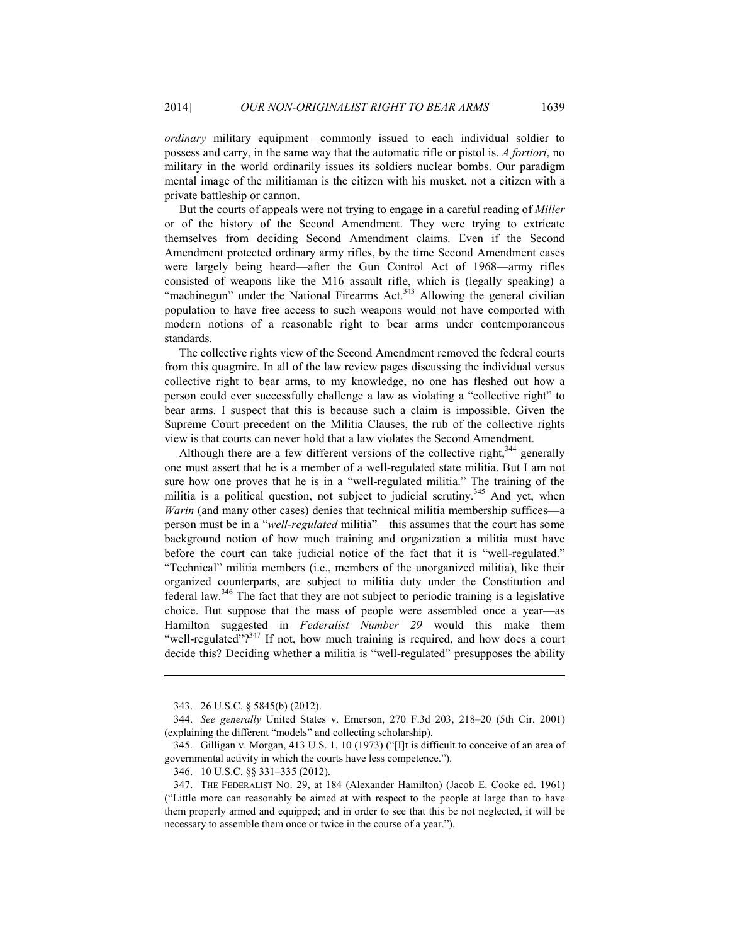*ordinary* military equipment—commonly issued to each individual soldier to possess and carry, in the same way that the automatic rifle or pistol is. *A fortiori*, no military in the world ordinarily issues its soldiers nuclear bombs. Our paradigm mental image of the militiaman is the citizen with his musket, not a citizen with a private battleship or cannon.

But the courts of appeals were not trying to engage in a careful reading of *Miller* or of the history of the Second Amendment. They were trying to extricate themselves from deciding Second Amendment claims. Even if the Second Amendment protected ordinary army rifles, by the time Second Amendment cases were largely being heard—after the Gun Control Act of 1968—army rifles consisted of weapons like the M16 assault rifle, which is (legally speaking) a "machinegun" under the National Firearms Act.<sup>343</sup> Allowing the general civilian population to have free access to such weapons would not have comported with modern notions of a reasonable right to bear arms under contemporaneous standards.

The collective rights view of the Second Amendment removed the federal courts from this quagmire. In all of the law review pages discussing the individual versus collective right to bear arms, to my knowledge, no one has fleshed out how a person could ever successfully challenge a law as violating a "collective right" to bear arms. I suspect that this is because such a claim is impossible. Given the Supreme Court precedent on the Militia Clauses, the rub of the collective rights view is that courts can never hold that a law violates the Second Amendment.

Although there are a few different versions of the collective right,  $344$  generally one must assert that he is a member of a well-regulated state militia. But I am not sure how one proves that he is in a "well-regulated militia." The training of the militia is a political question, not subject to judicial scrutiny.<sup>345</sup> And yet, when *Warin* (and many other cases) denies that technical militia membership suffices—a person must be in a "*well-regulated* militia"—this assumes that the court has some background notion of how much training and organization a militia must have before the court can take judicial notice of the fact that it is "well-regulated." "Technical" militia members (i.e., members of the unorganized militia), like their organized counterparts, are subject to militia duty under the Constitution and federal law.346 The fact that they are not subject to periodic training is a legislative choice. But suppose that the mass of people were assembled once a year—as Hamilton suggested in *Federalist Number 29*—would this make them "well-regulated"? $347$  If not, how much training is required, and how does a court decide this? Deciding whether a militia is "well-regulated" presupposes the ability

 <sup>343. 26</sup> U.S.C. § 5845(b) (2012).

 <sup>344.</sup> *See generally* United States v. Emerson, 270 F.3d 203, 218–20 (5th Cir. 2001) (explaining the different "models" and collecting scholarship).

 <sup>345.</sup> Gilligan v. Morgan, 413 U.S. 1, 10 (1973) ("[I]t is difficult to conceive of an area of governmental activity in which the courts have less competence.").

 <sup>346. 10</sup> U.S.C. §§ 331–335 (2012).

 <sup>347.</sup> THE FEDERALIST NO. 29, at 184 (Alexander Hamilton) (Jacob E. Cooke ed. 1961) ("Little more can reasonably be aimed at with respect to the people at large than to have them properly armed and equipped; and in order to see that this be not neglected, it will be necessary to assemble them once or twice in the course of a year.").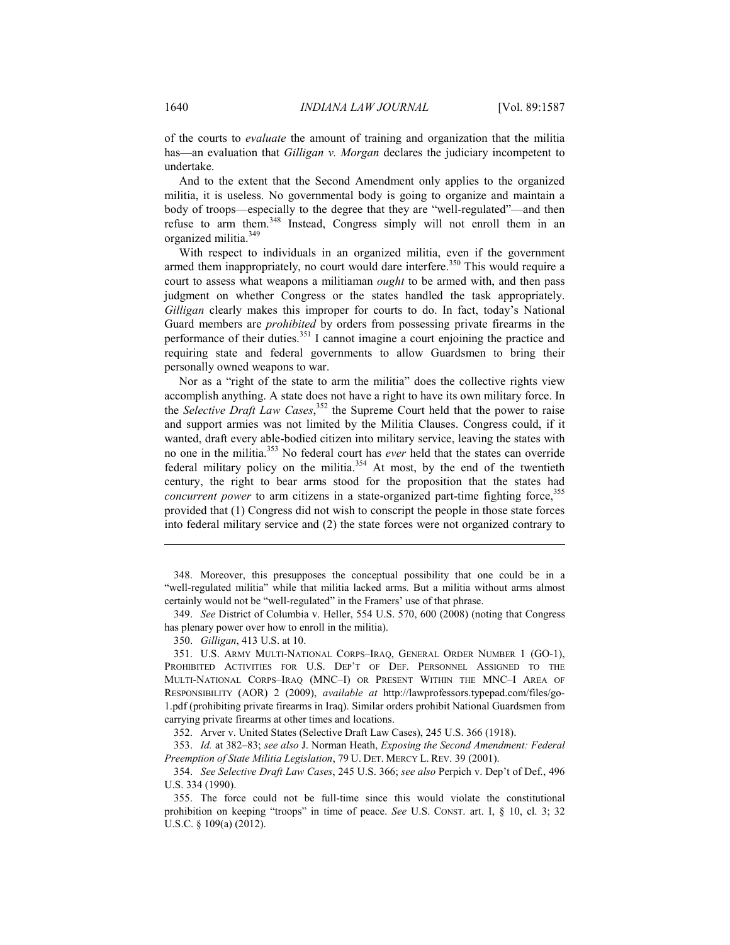of the courts to *evaluate* the amount of training and organization that the militia has—an evaluation that *Gilligan v. Morgan* declares the judiciary incompetent to undertake.

And to the extent that the Second Amendment only applies to the organized militia, it is useless. No governmental body is going to organize and maintain a body of troops—especially to the degree that they are "well-regulated"—and then refuse to arm them.<sup>348</sup> Instead, Congress simply will not enroll them in an organized militia.349

With respect to individuals in an organized militia, even if the government armed them inappropriately, no court would dare interfere.<sup>350</sup> This would require a court to assess what weapons a militiaman *ought* to be armed with, and then pass judgment on whether Congress or the states handled the task appropriately. *Gilligan* clearly makes this improper for courts to do. In fact, today's National Guard members are *prohibited* by orders from possessing private firearms in the performance of their duties. $351$  I cannot imagine a court enjoining the practice and requiring state and federal governments to allow Guardsmen to bring their personally owned weapons to war.

Nor as a "right of the state to arm the militia" does the collective rights view accomplish anything. A state does not have a right to have its own military force. In the *Selective Draft Law Cases*, 352 the Supreme Court held that the power to raise and support armies was not limited by the Militia Clauses. Congress could, if it wanted, draft every able-bodied citizen into military service, leaving the states with no one in the militia.353 No federal court has *ever* held that the states can override federal military policy on the militia. $354$  At most, by the end of the twentieth century, the right to bear arms stood for the proposition that the states had *concurrent power* to arm citizens in a state-organized part-time fighting force,<sup>355</sup> provided that (1) Congress did not wish to conscript the people in those state forces into federal military service and (2) the state forces were not organized contrary to

 348. Moreover, this presupposes the conceptual possibility that one could be in a "well-regulated militia" while that militia lacked arms. But a militia without arms almost certainly would not be "well-regulated" in the Framers' use of that phrase.

 349. *See* District of Columbia v. Heller, 554 U.S. 570, 600 (2008) (noting that Congress has plenary power over how to enroll in the militia).

350. *Gilligan*, 413 U.S. at 10.

1

 351. U.S. ARMY MULTI-NATIONAL CORPS–IRAQ, GENERAL ORDER NUMBER 1 (GO-1), PROHIBITED ACTIVITIES FOR U.S. DEP'T OF DEF. PERSONNEL ASSIGNED TO THE MULTI-NATIONAL CORPS–IRAQ (MNC–I) OR PRESENT WITHIN THE MNC–I AREA OF RESPONSIBILITY (AOR) 2 (2009), *available at* http://lawprofessors.typepad.com/files/go-1.pdf (prohibiting private firearms in Iraq). Similar orders prohibit National Guardsmen from carrying private firearms at other times and locations.

352. Arver v. United States (Selective Draft Law Cases), 245 U.S. 366 (1918).

 353. *Id.* at 382–83; *see also* J. Norman Heath, *Exposing the Second Amendment: Federal Preemption of State Militia Legislation*, 79 U. DET. MERCY L. REV. 39 (2001).

 354. *See Selective Draft Law Cases*, 245 U.S. 366; *see also* Perpich v. Dep't of Def., 496 U.S. 334 (1990).

 355. The force could not be full-time since this would violate the constitutional prohibition on keeping "troops" in time of peace. *See* U.S. CONST. art. I, § 10, cl. 3; 32 U.S.C. § 109(a) (2012).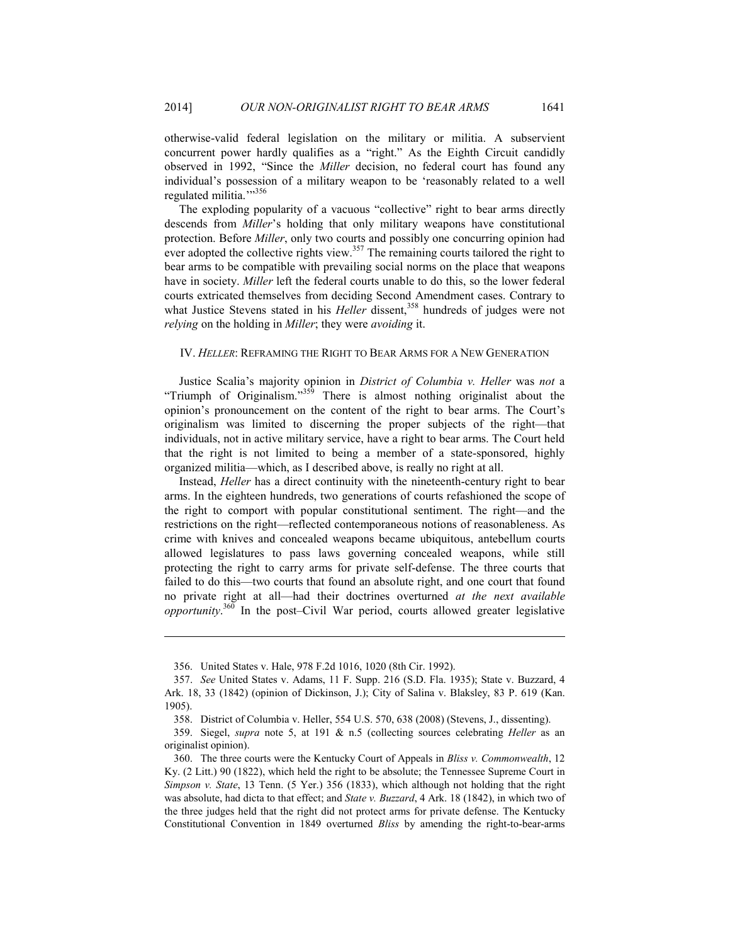otherwise-valid federal legislation on the military or militia. A subservient concurrent power hardly qualifies as a "right." As the Eighth Circuit candidly observed in 1992, "Since the *Miller* decision, no federal court has found any individual's possession of a military weapon to be 'reasonably related to a well regulated militia.">356

The exploding popularity of a vacuous "collective" right to bear arms directly descends from *Miller*'s holding that only military weapons have constitutional protection. Before *Miller*, only two courts and possibly one concurring opinion had ever adopted the collective rights view.<sup>357</sup> The remaining courts tailored the right to bear arms to be compatible with prevailing social norms on the place that weapons have in society. *Miller* left the federal courts unable to do this, so the lower federal courts extricated themselves from deciding Second Amendment cases. Contrary to what Justice Stevens stated in his *Heller* dissent,<sup>358</sup> hundreds of judges were not *relying* on the holding in *Miller*; they were *avoiding* it.

#### IV. *HELLER*: REFRAMING THE RIGHT TO BEAR ARMS FOR A NEW GENERATION

Justice Scalia's majority opinion in *District of Columbia v. Heller* was *not* a "Triumph of Originalism."<sup>359</sup> There is almost nothing originalist about the opinion's pronouncement on the content of the right to bear arms. The Court's originalism was limited to discerning the proper subjects of the right—that individuals, not in active military service, have a right to bear arms. The Court held that the right is not limited to being a member of a state-sponsored, highly organized militia—which, as I described above, is really no right at all.

Instead, *Heller* has a direct continuity with the nineteenth-century right to bear arms. In the eighteen hundreds, two generations of courts refashioned the scope of the right to comport with popular constitutional sentiment. The right—and the restrictions on the right—reflected contemporaneous notions of reasonableness. As crime with knives and concealed weapons became ubiquitous, antebellum courts allowed legislatures to pass laws governing concealed weapons, while still protecting the right to carry arms for private self-defense. The three courts that failed to do this—two courts that found an absolute right, and one court that found no private right at all—had their doctrines overturned *at the next available opportunity*. 360 In the post–Civil War period, courts allowed greater legislative

 <sup>356.</sup> United States v. Hale, 978 F.2d 1016, 1020 (8th Cir. 1992).

 <sup>357.</sup> *See* United States v. Adams, 11 F. Supp. 216 (S.D. Fla. 1935); State v. Buzzard, 4 Ark. 18, 33 (1842) (opinion of Dickinson, J.); City of Salina v. Blaksley, 83 P. 619 (Kan. 1905).

 <sup>358.</sup> District of Columbia v. Heller, 554 U.S. 570, 638 (2008) (Stevens, J., dissenting).

 <sup>359.</sup> Siegel, *supra* note 5, at 191 & n.5 (collecting sources celebrating *Heller* as an originalist opinion).

 <sup>360.</sup> The three courts were the Kentucky Court of Appeals in *Bliss v. Commonwealth*, 12 Ky. (2 Litt.) 90 (1822), which held the right to be absolute; the Tennessee Supreme Court in *Simpson v. State*, 13 Tenn. (5 Yer.) 356 (1833), which although not holding that the right was absolute, had dicta to that effect; and *State v. Buzzard*, 4 Ark. 18 (1842), in which two of the three judges held that the right did not protect arms for private defense. The Kentucky Constitutional Convention in 1849 overturned *Bliss* by amending the right-to-bear-arms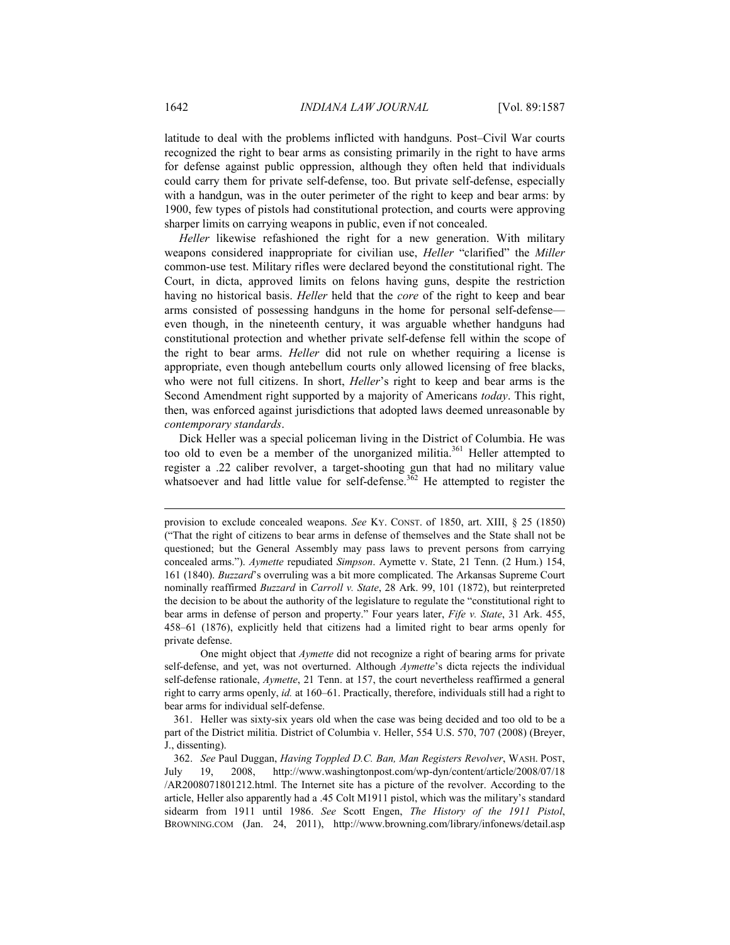latitude to deal with the problems inflicted with handguns. Post–Civil War courts recognized the right to bear arms as consisting primarily in the right to have arms for defense against public oppression, although they often held that individuals could carry them for private self-defense, too. But private self-defense, especially with a handgun, was in the outer perimeter of the right to keep and bear arms: by 1900, few types of pistols had constitutional protection, and courts were approving sharper limits on carrying weapons in public, even if not concealed.

*Heller* likewise refashioned the right for a new generation. With military weapons considered inappropriate for civilian use, *Heller* "clarified" the *Miller* common-use test. Military rifles were declared beyond the constitutional right. The Court, in dicta, approved limits on felons having guns, despite the restriction having no historical basis. *Heller* held that the *core* of the right to keep and bear arms consisted of possessing handguns in the home for personal self-defense even though, in the nineteenth century, it was arguable whether handguns had constitutional protection and whether private self-defense fell within the scope of the right to bear arms. *Heller* did not rule on whether requiring a license is appropriate, even though antebellum courts only allowed licensing of free blacks, who were not full citizens. In short, *Heller*'s right to keep and bear arms is the Second Amendment right supported by a majority of Americans *today*. This right, then, was enforced against jurisdictions that adopted laws deemed unreasonable by *contemporary standards*.

Dick Heller was a special policeman living in the District of Columbia. He was too old to even be a member of the unorganized militia.<sup>361</sup> Heller attempted to register a .22 caliber revolver, a target-shooting gun that had no military value whatsoever and had little value for self-defense.<sup>362</sup> He attempted to register the

 One might object that *Aymette* did not recognize a right of bearing arms for private self-defense, and yet, was not overturned. Although *Aymette*'s dicta rejects the individual self-defense rationale, *Aymette*, 21 Tenn. at 157, the court nevertheless reaffirmed a general right to carry arms openly, *id.* at 160–61. Practically, therefore, individuals still had a right to bear arms for individual self-defense.

 361. Heller was sixty-six years old when the case was being decided and too old to be a part of the District militia. District of Columbia v. Heller, 554 U.S. 570, 707 (2008) (Breyer, J., dissenting).

provision to exclude concealed weapons. *See* KY. CONST. of 1850, art. XIII, § 25 (1850) ("That the right of citizens to bear arms in defense of themselves and the State shall not be questioned; but the General Assembly may pass laws to prevent persons from carrying concealed arms."). *Aymette* repudiated *Simpson*. Aymette v. State, 21 Tenn. (2 Hum.) 154, 161 (1840). *Buzzard*'s overruling was a bit more complicated. The Arkansas Supreme Court nominally reaffirmed *Buzzard* in *Carroll v. State*, 28 Ark. 99, 101 (1872), but reinterpreted the decision to be about the authority of the legislature to regulate the "constitutional right to bear arms in defense of person and property." Four years later, *Fife v. State*, 31 Ark. 455, 458–61 (1876), explicitly held that citizens had a limited right to bear arms openly for private defense.

 <sup>362.</sup> *See* Paul Duggan, *Having Toppled D.C. Ban, Man Registers Revolver*, WASH. POST, July 19, 2008, http://www.washingtonpost.com/wp-dyn/content/article/2008/07/18 /AR2008071801212.html. The Internet site has a picture of the revolver. According to the article, Heller also apparently had a .45 Colt M1911 pistol, which was the military's standard sidearm from 1911 until 1986. *See* Scott Engen, *The History of the 1911 Pistol*, BROWNING.COM (Jan. 24, 2011), http://www.browning.com/library/infonews/detail.asp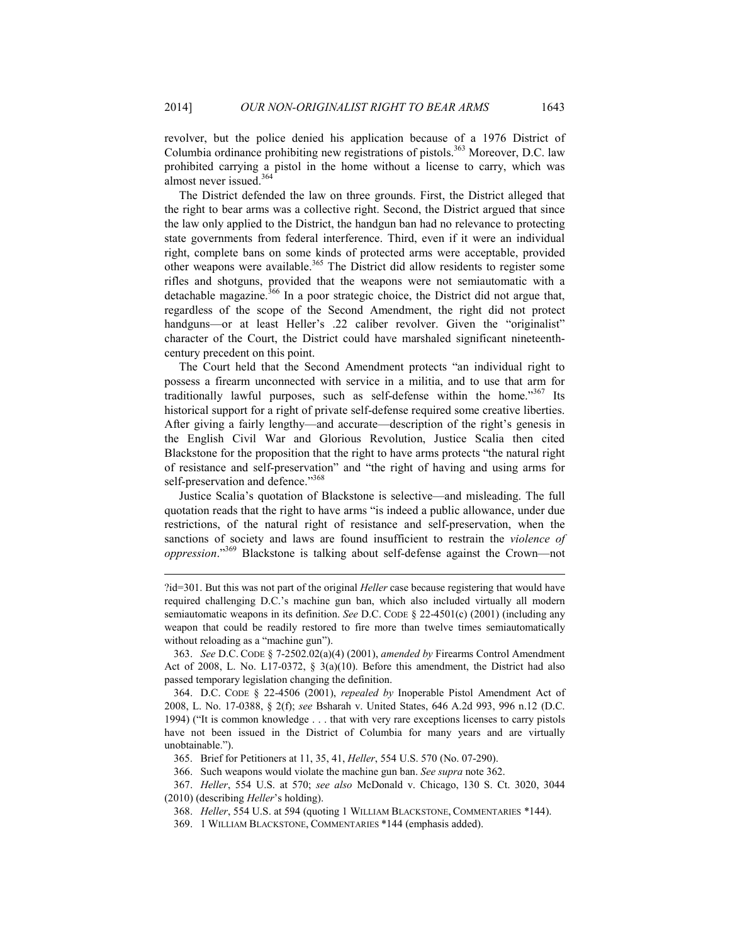revolver, but the police denied his application because of a 1976 District of Columbia ordinance prohibiting new registrations of pistols.<sup>363</sup> Moreover, D.C. law prohibited carrying a pistol in the home without a license to carry, which was almost never issued.<sup>364</sup>

The District defended the law on three grounds. First, the District alleged that the right to bear arms was a collective right. Second, the District argued that since the law only applied to the District, the handgun ban had no relevance to protecting state governments from federal interference. Third, even if it were an individual right, complete bans on some kinds of protected arms were acceptable, provided other weapons were available.<sup>365</sup> The District did allow residents to register some rifles and shotguns, provided that the weapons were not semiautomatic with a detachable magazine.<sup>366</sup> In a poor strategic choice, the District did not argue that, regardless of the scope of the Second Amendment, the right did not protect handguns—or at least Heller's .22 caliber revolver. Given the "originalist" character of the Court, the District could have marshaled significant nineteenthcentury precedent on this point.

The Court held that the Second Amendment protects "an individual right to possess a firearm unconnected with service in a militia, and to use that arm for traditionally lawful purposes, such as self-defense within the home."367 Its historical support for a right of private self-defense required some creative liberties. After giving a fairly lengthy—and accurate—description of the right's genesis in the English Civil War and Glorious Revolution, Justice Scalia then cited Blackstone for the proposition that the right to have arms protects "the natural right of resistance and self-preservation" and "the right of having and using arms for self-preservation and defence."<sup>368</sup>

Justice Scalia's quotation of Blackstone is selective—and misleading. The full quotation reads that the right to have arms "is indeed a public allowance, under due restrictions, of the natural right of resistance and self-preservation, when the sanctions of society and laws are found insufficient to restrain the *violence of oppression*."369 Blackstone is talking about self-defense against the Crown—not

<sup>?</sup>id=301. But this was not part of the original *Heller* case because registering that would have required challenging D.C.'s machine gun ban, which also included virtually all modern semiautomatic weapons in its definition. *See* D.C. CODE § 22-4501(c) (2001) (including any weapon that could be readily restored to fire more than twelve times semiautomatically without reloading as a "machine gun").

 <sup>363.</sup> *See* D.C. CODE § 7-2502.02(a)(4) (2001), *amended by* Firearms Control Amendment Act of 2008, L. No. L17-0372,  $\S$  3(a)(10). Before this amendment, the District had also passed temporary legislation changing the definition.

 <sup>364.</sup> D.C. CODE § 22-4506 (2001), *repealed by* Inoperable Pistol Amendment Act of 2008, L. No. 17-0388, § 2(f); *see* Bsharah v. United States, 646 A.2d 993, 996 n.12 (D.C. 1994) ("It is common knowledge . . . that with very rare exceptions licenses to carry pistols have not been issued in the District of Columbia for many years and are virtually unobtainable.").

 <sup>365.</sup> Brief for Petitioners at 11, 35, 41, *Heller*, 554 U.S. 570 (No. 07-290).

 <sup>366.</sup> Such weapons would violate the machine gun ban. *See supra* note 362.

 <sup>367.</sup> *Heller*, 554 U.S. at 570; *see also* McDonald v. Chicago, 130 S. Ct. 3020, 3044 (2010) (describing *Heller*'s holding).

 <sup>368.</sup> *Heller*, 554 U.S. at 594 (quoting 1 WILLIAM BLACKSTONE, COMMENTARIES \*144).

 <sup>369. 1</sup> WILLIAM BLACKSTONE, COMMENTARIES \*144 (emphasis added).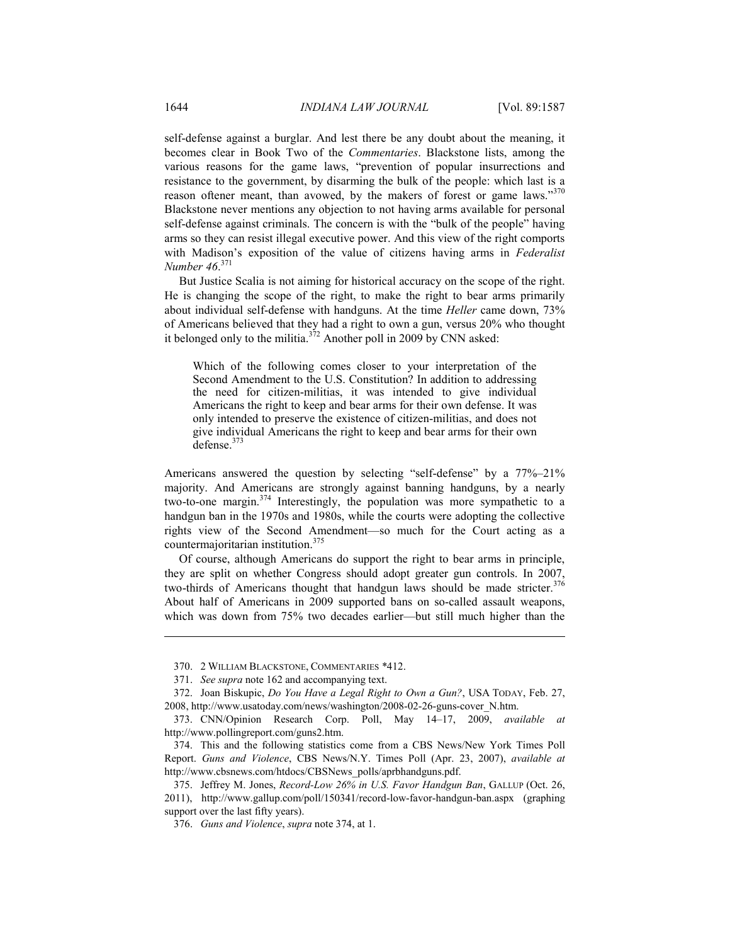self-defense against a burglar. And lest there be any doubt about the meaning, it becomes clear in Book Two of the *Commentaries*. Blackstone lists, among the various reasons for the game laws, "prevention of popular insurrections and resistance to the government, by disarming the bulk of the people: which last is a reason oftener meant, than avowed, by the makers of forest or game laws."<sup>370</sup> Blackstone never mentions any objection to not having arms available for personal self-defense against criminals. The concern is with the "bulk of the people" having arms so they can resist illegal executive power. And this view of the right comports with Madison's exposition of the value of citizens having arms in *Federalist Number 46*. 371

But Justice Scalia is not aiming for historical accuracy on the scope of the right. He is changing the scope of the right, to make the right to bear arms primarily about individual self-defense with handguns. At the time *Heller* came down, 73% of Americans believed that they had a right to own a gun, versus 20% who thought it belonged only to the militia.<sup> $372$ </sup> Another poll in 2009 by CNN asked:

Which of the following comes closer to your interpretation of the Second Amendment to the U.S. Constitution? In addition to addressing the need for citizen-militias, it was intended to give individual Americans the right to keep and bear arms for their own defense. It was only intended to preserve the existence of citizen-militias, and does not give individual Americans the right to keep and bear arms for their own defense. $37$ 

Americans answered the question by selecting "self-defense" by a 77%–21% majority. And Americans are strongly against banning handguns, by a nearly two-to-one margin.<sup>374</sup> Interestingly, the population was more sympathetic to a handgun ban in the 1970s and 1980s, while the courts were adopting the collective rights view of the Second Amendment—so much for the Court acting as a countermajoritarian institution.375

Of course, although Americans do support the right to bear arms in principle, they are split on whether Congress should adopt greater gun controls. In 2007, two-thirds of Americans thought that handgun laws should be made stricter.<sup>376</sup> About half of Americans in 2009 supported bans on so-called assault weapons, which was down from 75% two decades earlier—but still much higher than the

 <sup>370. 2</sup> WILLIAM BLACKSTONE, COMMENTARIES \*412.

 <sup>371.</sup> *See supra* note 162 and accompanying text.

 <sup>372.</sup> Joan Biskupic, *Do You Have a Legal Right to Own a Gun?*, USA TODAY, Feb. 27, 2008, http://www.usatoday.com/news/washington/2008-02-26-guns-cover\_N.htm.

 <sup>373.</sup> CNN/Opinion Research Corp. Poll, May 14–17, 2009, *available at* http://www.pollingreport.com/guns2.htm.

 <sup>374.</sup> This and the following statistics come from a CBS News/New York Times Poll Report. *Guns and Violence*, CBS News/N.Y. Times Poll (Apr. 23, 2007), *available at* http://www.cbsnews.com/htdocs/CBSNews\_polls/aprbhandguns.pdf.

 <sup>375.</sup> Jeffrey M. Jones, *Record-Low 26% in U.S. Favor Handgun Ban*, GALLUP (Oct. 26, 2011), http://www.gallup.com/poll/150341/record-low-favor-handgun-ban.aspx (graphing support over the last fifty years).

 <sup>376.</sup> *Guns and Violence*, *supra* note 374, at 1.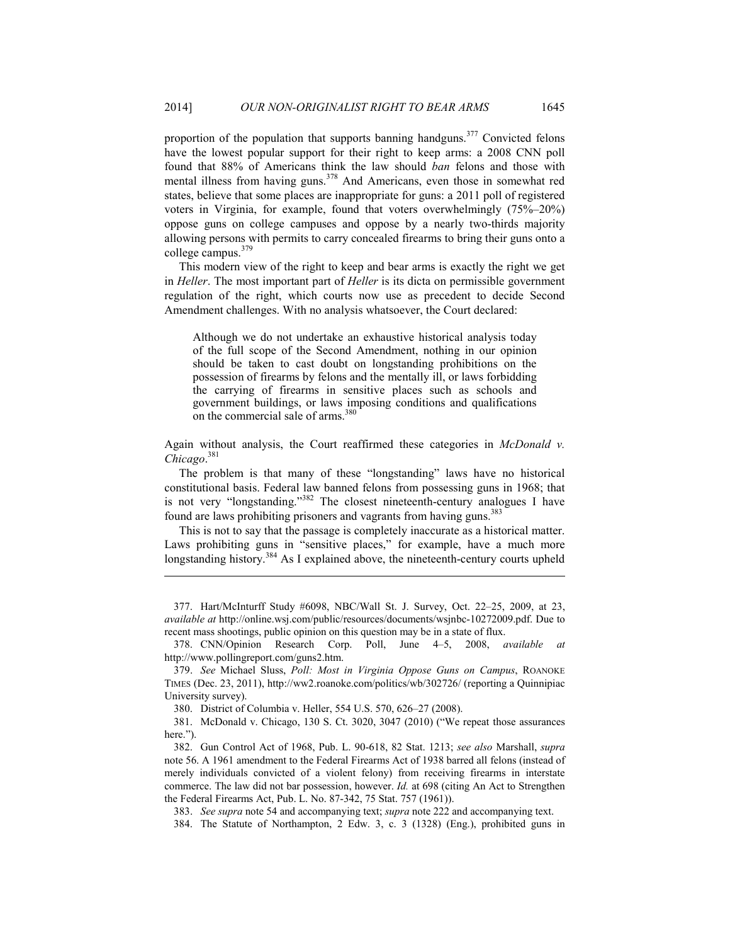proportion of the population that supports banning handguns.<sup>377</sup> Convicted felons have the lowest popular support for their right to keep arms: a 2008 CNN poll found that 88% of Americans think the law should *ban* felons and those with mental illness from having guns.<sup>378</sup> And Americans, even those in somewhat red states, believe that some places are inappropriate for guns: a 2011 poll of registered voters in Virginia, for example, found that voters overwhelmingly (75%–20%) oppose guns on college campuses and oppose by a nearly two-thirds majority allowing persons with permits to carry concealed firearms to bring their guns onto a college campus.<sup>379</sup>

This modern view of the right to keep and bear arms is exactly the right we get in *Heller*. The most important part of *Heller* is its dicta on permissible government regulation of the right, which courts now use as precedent to decide Second Amendment challenges. With no analysis whatsoever, the Court declared:

Although we do not undertake an exhaustive historical analysis today of the full scope of the Second Amendment, nothing in our opinion should be taken to cast doubt on longstanding prohibitions on the possession of firearms by felons and the mentally ill, or laws forbidding the carrying of firearms in sensitive places such as schools and government buildings, or laws imposing conditions and qualifications on the commercial sale of arms.<sup>380</sup>

Again without analysis, the Court reaffirmed these categories in *McDonald v. Chicago*. 381

The problem is that many of these "longstanding" laws have no historical constitutional basis. Federal law banned felons from possessing guns in 1968; that is not very "longstanding."382 The closest nineteenth-century analogues I have found are laws prohibiting prisoners and vagrants from having guns.<sup>383</sup>

This is not to say that the passage is completely inaccurate as a historical matter. Laws prohibiting guns in "sensitive places," for example, have a much more longstanding history.<sup>384</sup> As I explained above, the nineteenth-century courts upheld

 <sup>377.</sup> Hart/McInturff Study #6098, NBC/Wall St. J. Survey, Oct. 22–25, 2009, at 23, *available at* http://online.wsj.com/public/resources/documents/wsjnbc-10272009.pdf. Due to recent mass shootings, public opinion on this question may be in a state of flux.

 <sup>378.</sup> CNN/Opinion Research Corp. Poll, June 4–5, 2008, *available at* http://www.pollingreport.com/guns2.htm.

 <sup>379.</sup> *See* Michael Sluss, *Poll: Most in Virginia Oppose Guns on Campus*, ROANOKE TIMES (Dec. 23, 2011), http://ww2.roanoke.com/politics/wb/302726/ (reporting a Quinnipiac University survey).

 <sup>380.</sup> District of Columbia v. Heller, 554 U.S. 570, 626–27 (2008).

 <sup>381.</sup> McDonald v. Chicago, 130 S. Ct. 3020, 3047 (2010) ("We repeat those assurances here.").

 <sup>382.</sup> Gun Control Act of 1968, Pub. L. 90-618, 82 Stat. 1213; *see also* Marshall, *supra*  note 56. A 1961 amendment to the Federal Firearms Act of 1938 barred all felons (instead of merely individuals convicted of a violent felony) from receiving firearms in interstate commerce. The law did not bar possession, however. *Id.* at 698 (citing An Act to Strengthen the Federal Firearms Act, Pub. L. No. 87-342, 75 Stat. 757 (1961)).

 <sup>383.</sup> *See supra* note 54 and accompanying text; *supra* note 222 and accompanying text.

 <sup>384.</sup> The Statute of Northampton, 2 Edw. 3, c. 3 (1328) (Eng.), prohibited guns in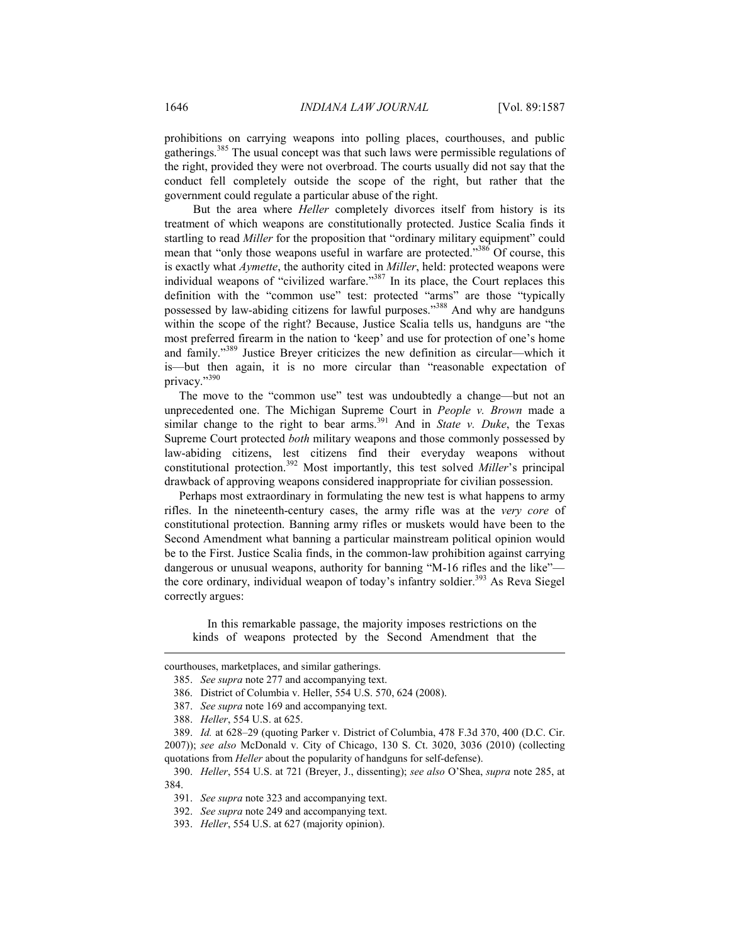prohibitions on carrying weapons into polling places, courthouses, and public gatherings.385 The usual concept was that such laws were permissible regulations of the right, provided they were not overbroad. The courts usually did not say that the conduct fell completely outside the scope of the right, but rather that the government could regulate a particular abuse of the right.

 But the area where *Heller* completely divorces itself from history is its treatment of which weapons are constitutionally protected. Justice Scalia finds it startling to read *Miller* for the proposition that "ordinary military equipment" could mean that "only those weapons useful in warfare are protected."<sup>386</sup> Of course, this is exactly what *Aymette*, the authority cited in *Miller*, held: protected weapons were individual weapons of "civilized warfare."<sup>387</sup> In its place, the Court replaces this definition with the "common use" test: protected "arms" are those "typically possessed by law-abiding citizens for lawful purposes."388 And why are handguns within the scope of the right? Because, Justice Scalia tells us, handguns are "the most preferred firearm in the nation to 'keep' and use for protection of one's home and family."389 Justice Breyer criticizes the new definition as circular—which it is—but then again, it is no more circular than "reasonable expectation of privacy."390

The move to the "common use" test was undoubtedly a change—but not an unprecedented one. The Michigan Supreme Court in *People v. Brown* made a similar change to the right to bear arms.<sup>391</sup> And in *State v. Duke*, the Texas Supreme Court protected *both* military weapons and those commonly possessed by law-abiding citizens, lest citizens find their everyday weapons without constitutional protection.392 Most importantly, this test solved *Miller*'s principal drawback of approving weapons considered inappropriate for civilian possession.

Perhaps most extraordinary in formulating the new test is what happens to army rifles. In the nineteenth-century cases, the army rifle was at the *very core* of constitutional protection. Banning army rifles or muskets would have been to the Second Amendment what banning a particular mainstream political opinion would be to the First. Justice Scalia finds, in the common-law prohibition against carrying dangerous or unusual weapons, authority for banning "M-16 rifles and the like" the core ordinary, individual weapon of today's infantry soldier.<sup>393</sup> As Reva Siegel correctly argues:

 In this remarkable passage, the majority imposes restrictions on the kinds of weapons protected by the Second Amendment that the

courthouses, marketplaces, and similar gatherings.

 <sup>385.</sup> *See supra* note 277 and accompanying text.

 <sup>386.</sup> District of Columbia v. Heller, 554 U.S. 570, 624 (2008).

 <sup>387.</sup> *See supra* note 169 and accompanying text.

 <sup>388.</sup> *Heller*, 554 U.S. at 625.

 <sup>389.</sup> *Id.* at 628–29 (quoting Parker v. District of Columbia, 478 F.3d 370, 400 (D.C. Cir. 2007)); *see also* McDonald v. City of Chicago, 130 S. Ct. 3020, 3036 (2010) (collecting quotations from *Heller* about the popularity of handguns for self-defense).

 <sup>390.</sup> *Heller*, 554 U.S. at 721 (Breyer, J., dissenting); *see also* O'Shea, *supra* note 285, at 384.

 <sup>391.</sup> *See supra* note 323 and accompanying text.

 <sup>392.</sup> *See supra* note 249 and accompanying text.

 <sup>393.</sup> *Heller*, 554 U.S. at 627 (majority opinion).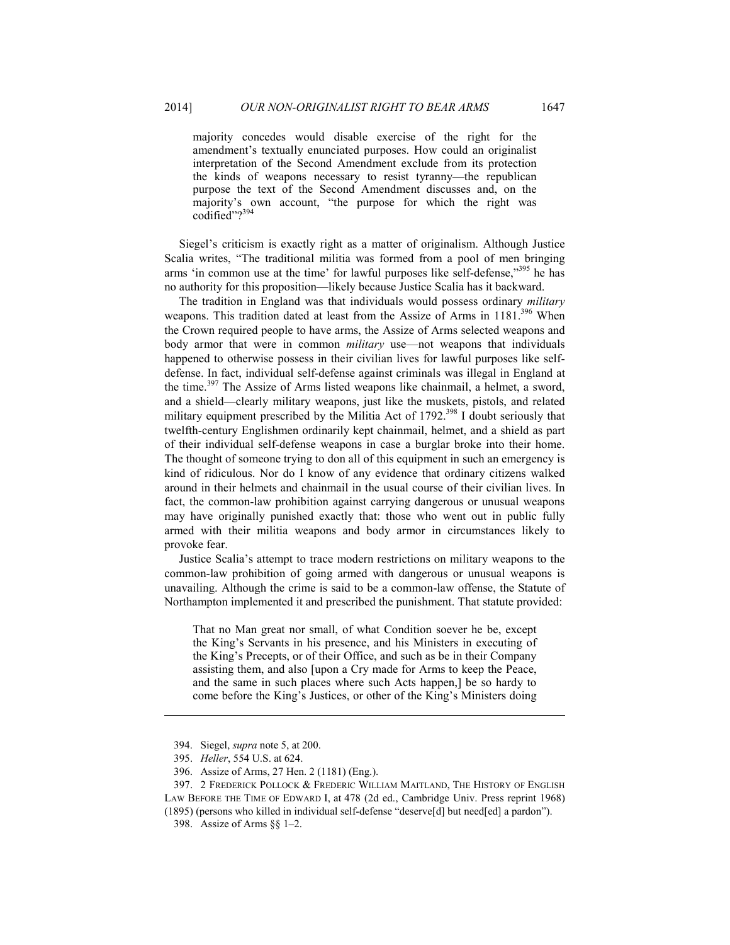majority concedes would disable exercise of the right for the amendment's textually enunciated purposes. How could an originalist interpretation of the Second Amendment exclude from its protection the kinds of weapons necessary to resist tyranny—the republican purpose the text of the Second Amendment discusses and, on the majority's own account, "the purpose for which the right was codified"?<sup>3</sup>

Siegel's criticism is exactly right as a matter of originalism. Although Justice Scalia writes, "The traditional militia was formed from a pool of men bringing arms 'in common use at the time' for lawful purposes like self-defense,"<sup>395</sup> he has no authority for this proposition—likely because Justice Scalia has it backward.

The tradition in England was that individuals would possess ordinary *military* weapons. This tradition dated at least from the Assize of Arms in 1181.<sup>396</sup> When the Crown required people to have arms, the Assize of Arms selected weapons and body armor that were in common *military* use—not weapons that individuals happened to otherwise possess in their civilian lives for lawful purposes like selfdefense. In fact, individual self-defense against criminals was illegal in England at the time.<sup>397</sup> The Assize of Arms listed weapons like chainmail, a helmet, a sword, and a shield—clearly military weapons, just like the muskets, pistols, and related military equipment prescribed by the Militia Act of 1792.<sup>398</sup> I doubt seriously that twelfth-century Englishmen ordinarily kept chainmail, helmet, and a shield as part of their individual self-defense weapons in case a burglar broke into their home. The thought of someone trying to don all of this equipment in such an emergency is kind of ridiculous. Nor do I know of any evidence that ordinary citizens walked around in their helmets and chainmail in the usual course of their civilian lives. In fact, the common-law prohibition against carrying dangerous or unusual weapons may have originally punished exactly that: those who went out in public fully armed with their militia weapons and body armor in circumstances likely to provoke fear.

Justice Scalia's attempt to trace modern restrictions on military weapons to the common-law prohibition of going armed with dangerous or unusual weapons is unavailing. Although the crime is said to be a common-law offense, the Statute of Northampton implemented it and prescribed the punishment. That statute provided:

That no Man great nor small, of what Condition soever he be, except the King's Servants in his presence, and his Ministers in executing of the King's Precepts, or of their Office, and such as be in their Company assisting them, and also [upon a Cry made for Arms to keep the Peace, and the same in such places where such Acts happen,] be so hardy to come before the King's Justices, or other of the King's Ministers doing

 <sup>394.</sup> Siegel, *supra* note 5, at 200.

 <sup>395.</sup> *Heller*, 554 U.S. at 624.

 <sup>396.</sup> Assize of Arms, 27 Hen. 2 (1181) (Eng.).

 <sup>397. 2</sup> FREDERICK POLLOCK & FREDERIC WILLIAM MAITLAND, THE HISTORY OF ENGLISH LAW BEFORE THE TIME OF EDWARD I, at 478 (2d ed., Cambridge Univ. Press reprint 1968) (1895) (persons who killed in individual self-defense "deserve[d] but need[ed] a pardon").

 <sup>398.</sup> Assize of Arms §§ 1–2.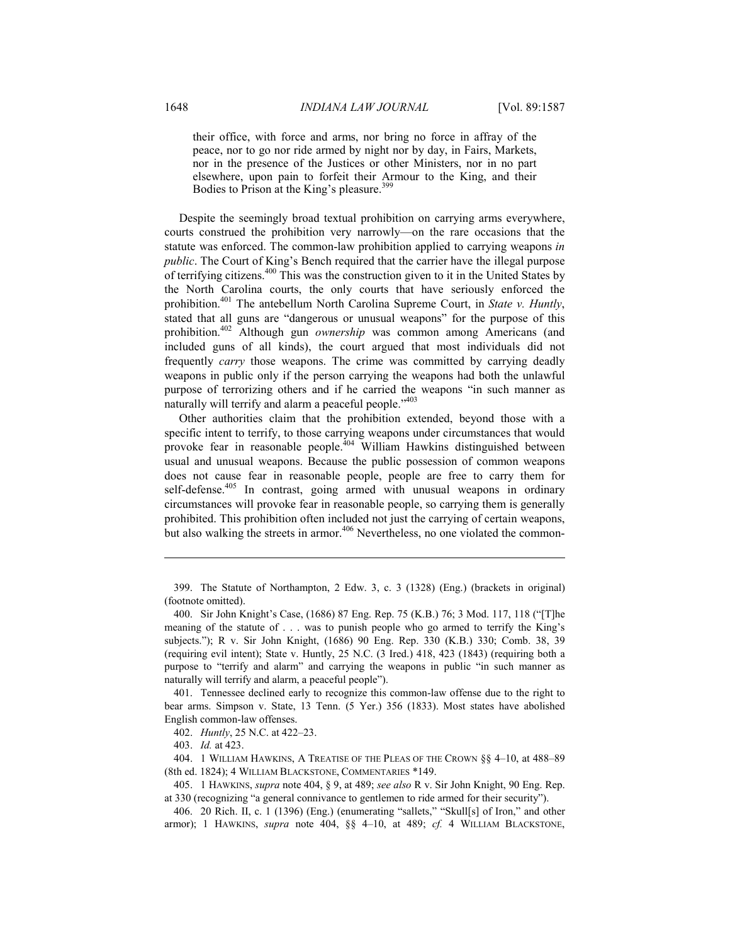their office, with force and arms, nor bring no force in affray of the peace, nor to go nor ride armed by night nor by day, in Fairs, Markets, nor in the presence of the Justices or other Ministers, nor in no part elsewhere, upon pain to forfeit their Armour to the King, and their Bodies to Prison at the King's pleasure.<sup>399</sup>

Despite the seemingly broad textual prohibition on carrying arms everywhere, courts construed the prohibition very narrowly—on the rare occasions that the statute was enforced. The common-law prohibition applied to carrying weapons *in public*. The Court of King's Bench required that the carrier have the illegal purpose of terrifying citizens.400 This was the construction given to it in the United States by the North Carolina courts, the only courts that have seriously enforced the prohibition.401 The antebellum North Carolina Supreme Court, in *State v. Huntly*, stated that all guns are "dangerous or unusual weapons" for the purpose of this prohibition.402 Although gun *ownership* was common among Americans (and included guns of all kinds), the court argued that most individuals did not frequently *carry* those weapons. The crime was committed by carrying deadly weapons in public only if the person carrying the weapons had both the unlawful purpose of terrorizing others and if he carried the weapons "in such manner as naturally will terrify and alarm a peaceful people."<sup>403</sup>

Other authorities claim that the prohibition extended, beyond those with a specific intent to terrify, to those carrying weapons under circumstances that would provoke fear in reasonable people.<sup>404</sup> William Hawkins distinguished between usual and unusual weapons. Because the public possession of common weapons does not cause fear in reasonable people, people are free to carry them for self-defense.<sup>405</sup> In contrast, going armed with unusual weapons in ordinary circumstances will provoke fear in reasonable people, so carrying them is generally prohibited. This prohibition often included not just the carrying of certain weapons, but also walking the streets in armor.<sup>406</sup> Nevertheless, no one violated the common-

 399. The Statute of Northampton, 2 Edw. 3, c. 3 (1328) (Eng.) (brackets in original) (footnote omitted).

 401. Tennessee declined early to recognize this common-law offense due to the right to bear arms. Simpson v. State, 13 Tenn. (5 Yer.) 356 (1833). Most states have abolished English common-law offenses.

402. *Huntly*, 25 N.C. at 422–23.

403. *Id.* at 423.

<u>.</u>

 404. 1 WILLIAM HAWKINS, A TREATISE OF THE PLEAS OF THE CROWN §§ 4–10, at 488–89 (8th ed. 1824); 4 WILLIAM BLACKSTONE, COMMENTARIES \*149.

 405. 1 HAWKINS, *supra* note 404, § 9, at 489; *see also* R v. Sir John Knight, 90 Eng. Rep. at 330 (recognizing "a general connivance to gentlemen to ride armed for their security").

 406. 20 Rich. II, c. 1 (1396) (Eng.) (enumerating "sallets," "Skull[s] of Iron," and other armor); 1 HAWKINS, *supra* note 404, §§ 4–10, at 489; *cf.* 4 WILLIAM BLACKSTONE,

 <sup>400.</sup> Sir John Knight's Case, (1686) 87 Eng. Rep. 75 (K.B.) 76; 3 Mod. 117, 118 ("[T]he meaning of the statute of . . . was to punish people who go armed to terrify the King's subjects."); R v. Sir John Knight, (1686) 90 Eng. Rep. 330 (K.B.) 330; Comb. 38, 39 (requiring evil intent); State v. Huntly, 25 N.C. (3 Ired.) 418, 423 (1843) (requiring both a purpose to "terrify and alarm" and carrying the weapons in public "in such manner as naturally will terrify and alarm, a peaceful people").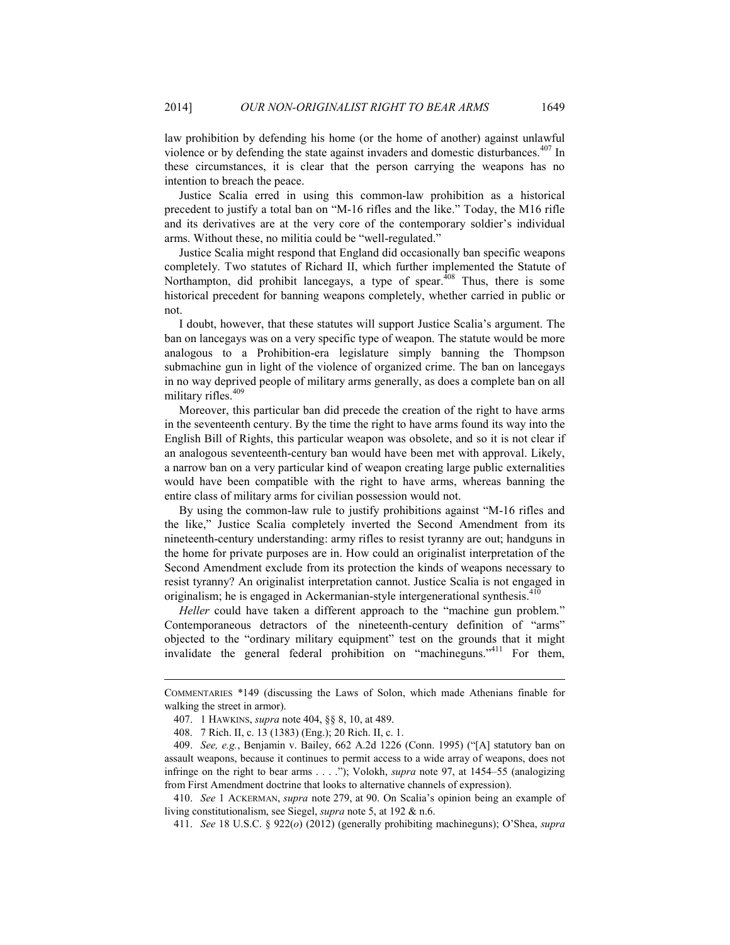law prohibition by defending his home (or the home of another) against unlawful violence or by defending the state against invaders and domestic disturbances.<sup>407</sup> In these circumstances, it is clear that the person carrying the weapons has no intention to breach the peace.

Justice Scalia erred in using this common-law prohibition as a historical precedent to justify a total ban on "M-16 rifles and the like." Today, the M16 rifle and its derivatives are at the very core of the contemporary soldier's individual arms. Without these, no militia could be "well-regulated."

Justice Scalia might respond that England did occasionally ban specific weapons completely. Two statutes of Richard II, which further implemented the Statute of Northampton, did prohibit lancegays, a type of spear.<sup>408</sup> Thus, there is some historical precedent for banning weapons completely, whether carried in public or not.

I doubt, however, that these statutes will support Justice Scalia's argument. The ban on lancegays was on a very specific type of weapon. The statute would be more analogous to a Prohibition-era legislature simply banning the Thompson submachine gun in light of the violence of organized crime. The ban on lancegays in no way deprived people of military arms generally, as does a complete ban on all military rifles.<sup>409</sup>

Moreover, this particular ban did precede the creation of the right to have arms in the seventeenth century. By the time the right to have arms found its way into the English Bill of Rights, this particular weapon was obsolete, and so it is not clear if an analogous seventeenth-century ban would have been met with approval. Likely, a narrow ban on a very particular kind of weapon creating large public externalities would have been compatible with the right to have arms, whereas banning the entire class of military arms for civilian possession would not.

By using the common-law rule to justify prohibitions against "M-16 rifles and the like," Justice Scalia completely inverted the Second Amendment from its nineteenth-century understanding: army rifles to resist tyranny are out; handguns in the home for private purposes are in. How could an originalist interpretation of the Second Amendment exclude from its protection the kinds of weapons necessary to resist tyranny? An originalist interpretation cannot. Justice Scalia is not engaged in originalism; he is engaged in Ackermanian-style intergenerational synthesis.<sup>410</sup>

*Heller* could have taken a different approach to the "machine gun problem." Contemporaneous detractors of the nineteenth-century definition of "arms" objected to the "ordinary military equipment" test on the grounds that it might invalidate the general federal prohibition on "machineguns."411 For them,

COMMENTARIES \*149 (discussing the Laws of Solon, which made Athenians finable for walking the street in armor).

 <sup>407. 1</sup> HAWKINS, *supra* note 404, §§ 8, 10, at 489.

 <sup>408. 7</sup> Rich. II, c. 13 (1383) (Eng.); 20 Rich. II, c. 1.

 <sup>409.</sup> *See, e.g.*, Benjamin v. Bailey, 662 A.2d 1226 (Conn. 1995) ("[A] statutory ban on assault weapons, because it continues to permit access to a wide array of weapons, does not infringe on the right to bear arms . . . ."); Volokh, *supra* note 97, at 1454–55 (analogizing from First Amendment doctrine that looks to alternative channels of expression).

 <sup>410.</sup> *See* 1 ACKERMAN, *supra* note 279, at 90. On Scalia's opinion being an example of living constitutionalism, see Siegel, *supra* note 5, at 192 & n.6.

 <sup>411.</sup> *See* 18 U.S.C. § 922(*o*) (2012) (generally prohibiting machineguns); O'Shea, *supra*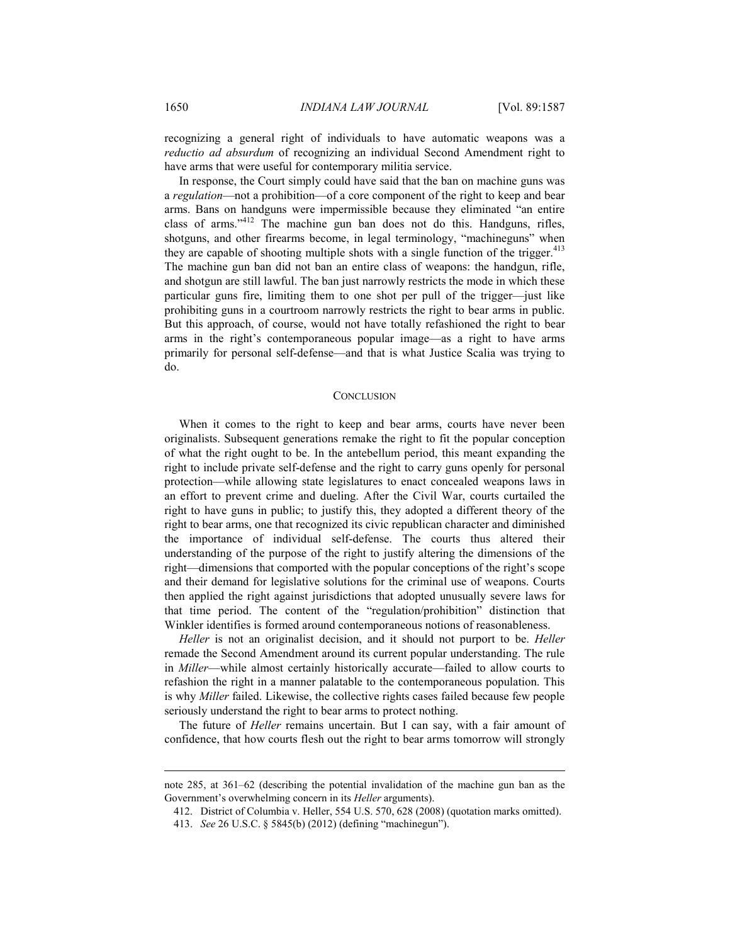recognizing a general right of individuals to have automatic weapons was a *reductio ad absurdum* of recognizing an individual Second Amendment right to have arms that were useful for contemporary militia service.

In response, the Court simply could have said that the ban on machine guns was a *regulation*—not a prohibition—of a core component of the right to keep and bear arms. Bans on handguns were impermissible because they eliminated "an entire class of arms."412 The machine gun ban does not do this. Handguns, rifles, shotguns, and other firearms become, in legal terminology, "machineguns" when they are capable of shooting multiple shots with a single function of the trigger. $413$ The machine gun ban did not ban an entire class of weapons: the handgun, rifle, and shotgun are still lawful. The ban just narrowly restricts the mode in which these particular guns fire, limiting them to one shot per pull of the trigger—just like prohibiting guns in a courtroom narrowly restricts the right to bear arms in public. But this approach, of course, would not have totally refashioned the right to bear arms in the right's contemporaneous popular image—as a right to have arms primarily for personal self-defense—and that is what Justice Scalia was trying to do.

#### **CONCLUSION**

When it comes to the right to keep and bear arms, courts have never been originalists. Subsequent generations remake the right to fit the popular conception of what the right ought to be. In the antebellum period, this meant expanding the right to include private self-defense and the right to carry guns openly for personal protection—while allowing state legislatures to enact concealed weapons laws in an effort to prevent crime and dueling. After the Civil War, courts curtailed the right to have guns in public; to justify this, they adopted a different theory of the right to bear arms, one that recognized its civic republican character and diminished the importance of individual self-defense. The courts thus altered their understanding of the purpose of the right to justify altering the dimensions of the right—dimensions that comported with the popular conceptions of the right's scope and their demand for legislative solutions for the criminal use of weapons. Courts then applied the right against jurisdictions that adopted unusually severe laws for that time period. The content of the "regulation/prohibition" distinction that Winkler identifies is formed around contemporaneous notions of reasonableness.

*Heller* is not an originalist decision, and it should not purport to be. *Heller* remade the Second Amendment around its current popular understanding. The rule in *Miller*—while almost certainly historically accurate—failed to allow courts to refashion the right in a manner palatable to the contemporaneous population. This is why *Miller* failed. Likewise, the collective rights cases failed because few people seriously understand the right to bear arms to protect nothing.

The future of *Heller* remains uncertain. But I can say, with a fair amount of confidence, that how courts flesh out the right to bear arms tomorrow will strongly

note 285, at 361–62 (describing the potential invalidation of the machine gun ban as the Government's overwhelming concern in its *Heller* arguments).

 <sup>412.</sup> District of Columbia v. Heller, 554 U.S. 570, 628 (2008) (quotation marks omitted).

 <sup>413.</sup> *See* 26 U.S.C. § 5845(b) (2012) (defining "machinegun").